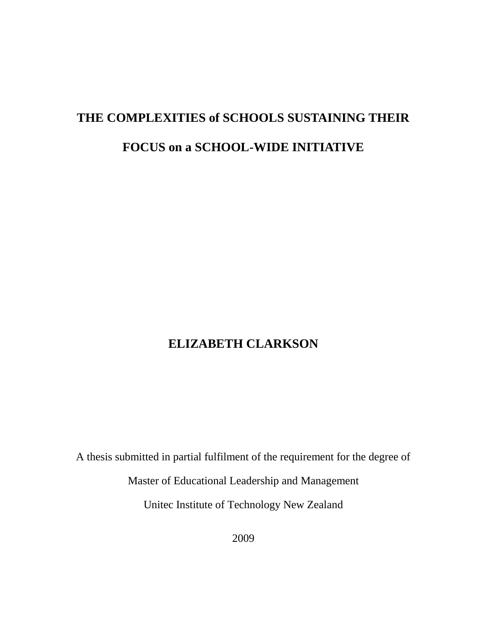# **THE COMPLEXITIES of SCHOOLS SUSTAINING THEIR**

## **FOCUS on a SCHOOL-WIDE INITIATIVE**

## **ELIZABETH CLARKSON**

A thesis submitted in partial fulfilment of the requirement for the degree of

Master of Educational Leadership and Management

Unitec Institute of Technology New Zealand

2009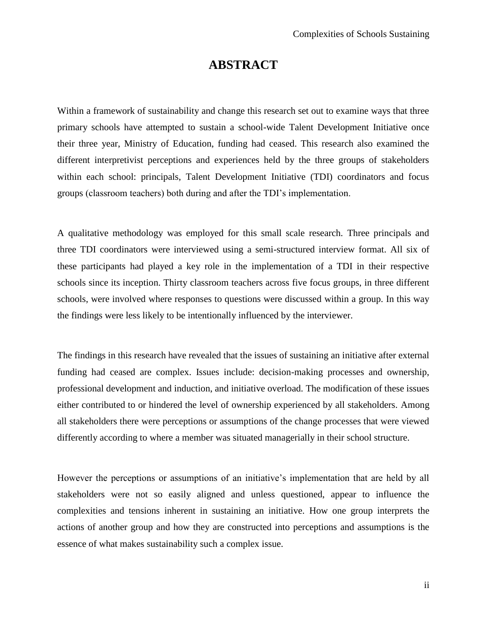### **ABSTRACT**

<span id="page-1-0"></span>Within a framework of sustainability and change this research set out to examine ways that three primary schools have attempted to sustain a school-wide Talent Development Initiative once their three year, Ministry of Education, funding had ceased. This research also examined the different interpretivist perceptions and experiences held by the three groups of stakeholders within each school: principals, Talent Development Initiative (TDI) coordinators and focus groups (classroom teachers) both during and after the TDI"s implementation.

A qualitative methodology was employed for this small scale research. Three principals and three TDI coordinators were interviewed using a semi-structured interview format. All six of these participants had played a key role in the implementation of a TDI in their respective schools since its inception. Thirty classroom teachers across five focus groups, in three different schools, were involved where responses to questions were discussed within a group. In this way the findings were less likely to be intentionally influenced by the interviewer.

The findings in this research have revealed that the issues of sustaining an initiative after external funding had ceased are complex. Issues include: decision-making processes and ownership, professional development and induction, and initiative overload. The modification of these issues either contributed to or hindered the level of ownership experienced by all stakeholders. Among all stakeholders there were perceptions or assumptions of the change processes that were viewed differently according to where a member was situated managerially in their school structure.

However the perceptions or assumptions of an initiative's implementation that are held by all stakeholders were not so easily aligned and unless questioned, appear to influence the complexities and tensions inherent in sustaining an initiative. How one group interprets the actions of another group and how they are constructed into perceptions and assumptions is the essence of what makes sustainability such a complex issue.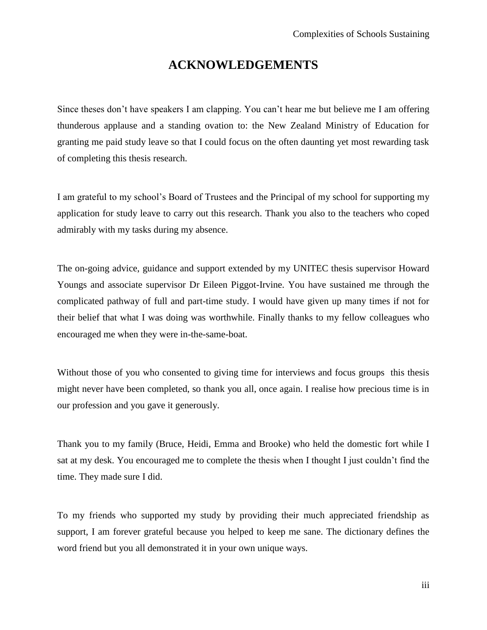### **ACKNOWLEDGEMENTS**

<span id="page-2-0"></span>Since theses don't have speakers I am clapping. You can't hear me but believe me I am offering thunderous applause and a standing ovation to: the New Zealand Ministry of Education for granting me paid study leave so that I could focus on the often daunting yet most rewarding task of completing this thesis research.

I am grateful to my school"s Board of Trustees and the Principal of my school for supporting my application for study leave to carry out this research. Thank you also to the teachers who coped admirably with my tasks during my absence.

The on-going advice, guidance and support extended by my UNITEC thesis supervisor Howard Youngs and associate supervisor Dr Eileen Piggot-Irvine. You have sustained me through the complicated pathway of full and part-time study. I would have given up many times if not for their belief that what I was doing was worthwhile. Finally thanks to my fellow colleagues who encouraged me when they were in-the-same-boat.

Without those of you who consented to giving time for interviews and focus groups this thesis might never have been completed, so thank you all, once again. I realise how precious time is in our profession and you gave it generously.

Thank you to my family (Bruce, Heidi, Emma and Brooke) who held the domestic fort while I sat at my desk. You encouraged me to complete the thesis when I thought I just couldn"t find the time. They made sure I did.

To my friends who supported my study by providing their much appreciated friendship as support, I am forever grateful because you helped to keep me sane. The dictionary defines the word friend but you all demonstrated it in your own unique ways.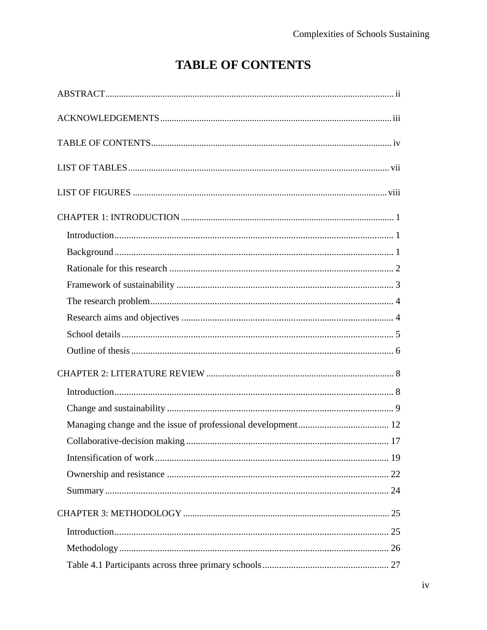## **TABLE OF CONTENTS**

<span id="page-3-0"></span>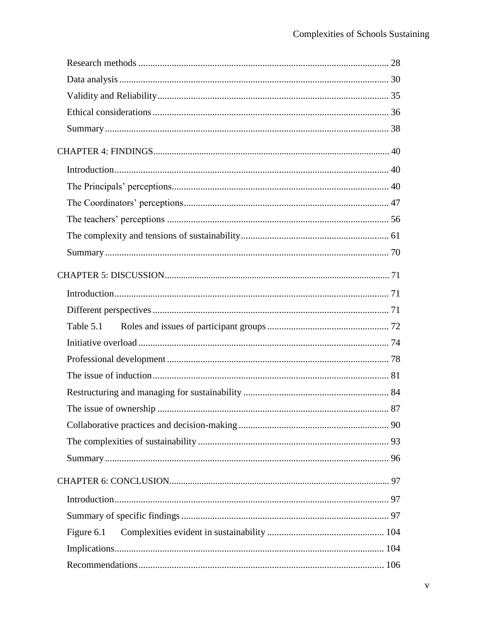| Table 5.1  |  |
|------------|--|
|            |  |
|            |  |
|            |  |
|            |  |
|            |  |
|            |  |
|            |  |
|            |  |
|            |  |
|            |  |
|            |  |
| Figure 6.1 |  |
|            |  |
|            |  |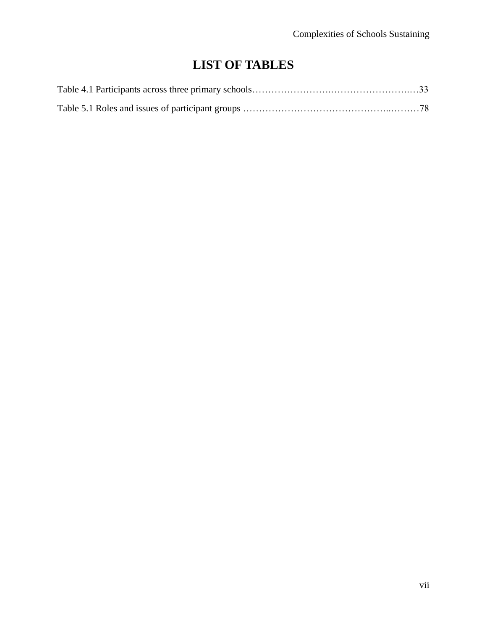## **LIST OF TABLES**

<span id="page-6-0"></span>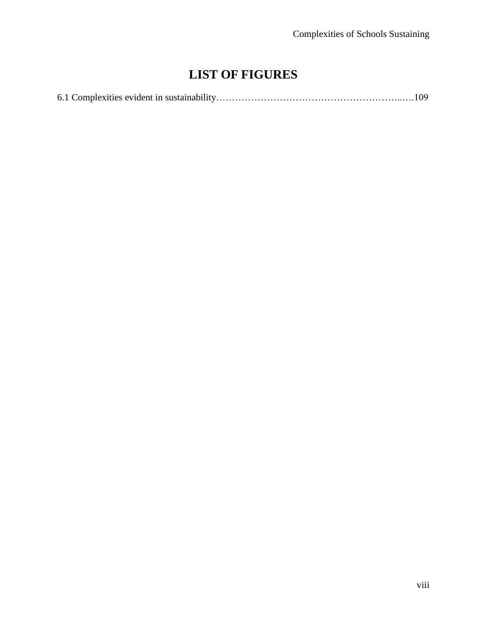## **LIST OF FIGURES**

<span id="page-7-0"></span>

|--|--|--|--|--|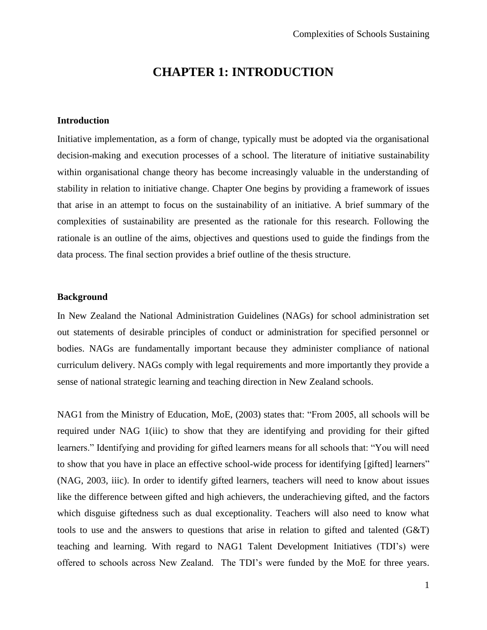## **CHAPTER 1: INTRODUCTION**

#### <span id="page-8-1"></span><span id="page-8-0"></span>**Introduction**

Initiative implementation, as a form of change, typically must be adopted via the organisational decision-making and execution processes of a school. The literature of initiative sustainability within organisational change theory has become increasingly valuable in the understanding of stability in relation to initiative change. Chapter One begins by providing a framework of issues that arise in an attempt to focus on the sustainability of an initiative. A brief summary of the complexities of sustainability are presented as the rationale for this research. Following the rationale is an outline of the aims, objectives and questions used to guide the findings from the data process. The final section provides a brief outline of the thesis structure.

#### <span id="page-8-2"></span>**Background**

In New Zealand the National Administration Guidelines (NAGs) for school administration set out statements of desirable principles of conduct or administration for specified personnel or bodies. NAGs are fundamentally important because they administer compliance of national curriculum delivery. NAGs comply with legal requirements and more importantly they provide a sense of national strategic learning and teaching direction in New Zealand schools.

NAG1 from the Ministry of Education, MoE, (2003) states that: "From 2005, all schools will be required under NAG 1(iiic) to show that they are identifying and providing for their gifted learners." Identifying and providing for gifted learners means for all schools that: "You will need to show that you have in place an effective school-wide process for identifying [gifted] learners" (NAG, 2003, iiic). In order to identify gifted learners, teachers will need to know about issues like the difference between gifted and high achievers, the underachieving gifted, and the factors which disguise giftedness such as dual exceptionality. Teachers will also need to know what tools to use and the answers to questions that arise in relation to gifted and talented (G&T) teaching and learning. With regard to NAG1 Talent Development Initiatives (TDI"s) were offered to schools across New Zealand. The TDI"s were funded by the MoE for three years.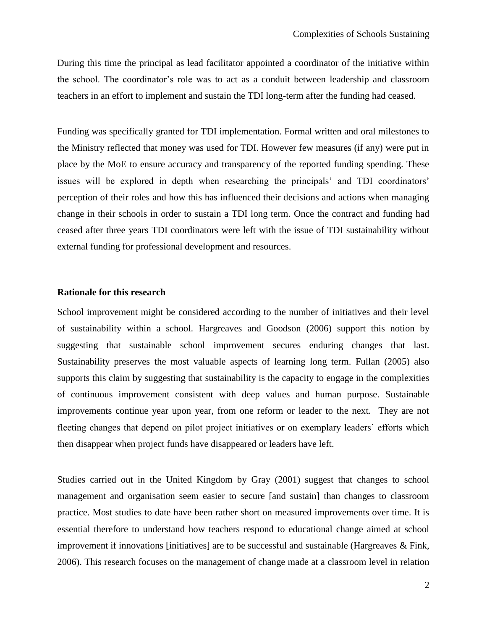During this time the principal as lead facilitator appointed a coordinator of the initiative within the school. The coordinator"s role was to act as a conduit between leadership and classroom teachers in an effort to implement and sustain the TDI long-term after the funding had ceased.

Funding was specifically granted for TDI implementation. Formal written and oral milestones to the Ministry reflected that money was used for TDI. However few measures (if any) were put in place by the MoE to ensure accuracy and transparency of the reported funding spending. These issues will be explored in depth when researching the principals' and TDI coordinators' perception of their roles and how this has influenced their decisions and actions when managing change in their schools in order to sustain a TDI long term. Once the contract and funding had ceased after three years TDI coordinators were left with the issue of TDI sustainability without external funding for professional development and resources.

#### <span id="page-9-0"></span>**Rationale for this research**

School improvement might be considered according to the number of initiatives and their level of sustainability within a school. Hargreaves and Goodson (2006) support this notion by suggesting that sustainable school improvement secures enduring changes that last. Sustainability preserves the most valuable aspects of learning long term. Fullan (2005) also supports this claim by suggesting that sustainability is the capacity to engage in the complexities of continuous improvement consistent with deep values and human purpose. Sustainable improvements continue year upon year, from one reform or leader to the next. They are not fleeting changes that depend on pilot project initiatives or on exemplary leaders" efforts which then disappear when project funds have disappeared or leaders have left.

Studies carried out in the United Kingdom by Gray (2001) suggest that changes to school management and organisation seem easier to secure [and sustain] than changes to classroom practice. Most studies to date have been rather short on measured improvements over time. It is essential therefore to understand how teachers respond to educational change aimed at school improvement if innovations [initiatives] are to be successful and sustainable (Hargreaves & Fink, 2006). This research focuses on the management of change made at a classroom level in relation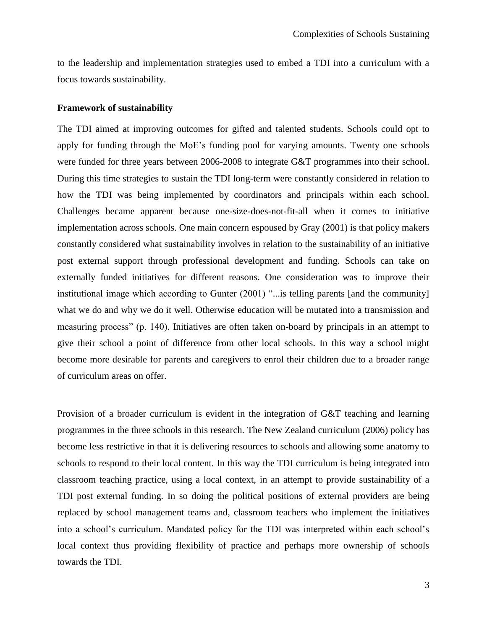to the leadership and implementation strategies used to embed a TDI into a curriculum with a focus towards sustainability.

#### <span id="page-10-0"></span>**Framework of sustainability**

The TDI aimed at improving outcomes for gifted and talented students. Schools could opt to apply for funding through the MoE"s funding pool for varying amounts. Twenty one schools were funded for three years between 2006-2008 to integrate G&T programmes into their school. During this time strategies to sustain the TDI long-term were constantly considered in relation to how the TDI was being implemented by coordinators and principals within each school. Challenges became apparent because one-size-does-not-fit-all when it comes to initiative implementation across schools. One main concern espoused by Gray (2001) is that policy makers constantly considered what sustainability involves in relation to the sustainability of an initiative post external support through professional development and funding. Schools can take on externally funded initiatives for different reasons. One consideration was to improve their institutional image which according to Gunter (2001) "...is telling parents [and the community] what we do and why we do it well. Otherwise education will be mutated into a transmission and measuring process" (p. 140). Initiatives are often taken on-board by principals in an attempt to give their school a point of difference from other local schools. In this way a school might become more desirable for parents and caregivers to enrol their children due to a broader range of curriculum areas on offer.

Provision of a broader curriculum is evident in the integration of G&T teaching and learning programmes in the three schools in this research. The New Zealand curriculum (2006) policy has become less restrictive in that it is delivering resources to schools and allowing some anatomy to schools to respond to their local content. In this way the TDI curriculum is being integrated into classroom teaching practice, using a local context, in an attempt to provide sustainability of a TDI post external funding. In so doing the political positions of external providers are being replaced by school management teams and, classroom teachers who implement the initiatives into a school"s curriculum. Mandated policy for the TDI was interpreted within each school"s local context thus providing flexibility of practice and perhaps more ownership of schools towards the TDI.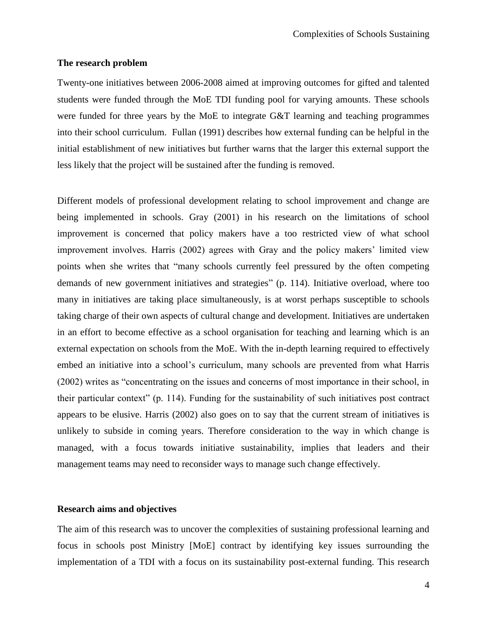#### <span id="page-11-0"></span>**The research problem**

Twenty-one initiatives between 2006-2008 aimed at improving outcomes for gifted and talented students were funded through the MoE TDI funding pool for varying amounts. These schools were funded for three years by the MoE to integrate G&T learning and teaching programmes into their school curriculum. Fullan (1991) describes how external funding can be helpful in the initial establishment of new initiatives but further warns that the larger this external support the less likely that the project will be sustained after the funding is removed.

Different models of professional development relating to school improvement and change are being implemented in schools. Gray (2001) in his research on the limitations of school improvement is concerned that policy makers have a too restricted view of what school improvement involves. Harris (2002) agrees with Gray and the policy makers' limited view points when she writes that "many schools currently feel pressured by the often competing demands of new government initiatives and strategies" (p. 114). Initiative overload, where too many in initiatives are taking place simultaneously, is at worst perhaps susceptible to schools taking charge of their own aspects of cultural change and development. Initiatives are undertaken in an effort to become effective as a school organisation for teaching and learning which is an external expectation on schools from the MoE. With the in-depth learning required to effectively embed an initiative into a school"s curriculum, many schools are prevented from what Harris (2002) writes as "concentrating on the issues and concerns of most importance in their school, in their particular context" (p. 114). Funding for the sustainability of such initiatives post contract appears to be elusive. Harris (2002) also goes on to say that the current stream of initiatives is unlikely to subside in coming years. Therefore consideration to the way in which change is managed, with a focus towards initiative sustainability, implies that leaders and their management teams may need to reconsider ways to manage such change effectively.

#### <span id="page-11-1"></span>**Research aims and objectives**

The aim of this research was to uncover the complexities of sustaining professional learning and focus in schools post Ministry [MoE] contract by identifying key issues surrounding the implementation of a TDI with a focus on its sustainability post-external funding. This research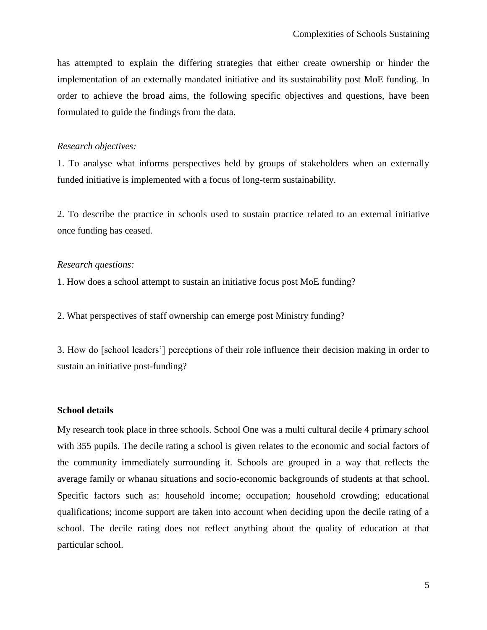has attempted to explain the differing strategies that either create ownership or hinder the implementation of an externally mandated initiative and its sustainability post MoE funding. In order to achieve the broad aims, the following specific objectives and questions, have been formulated to guide the findings from the data.

#### *Research objectives:*

1. To analyse what informs perspectives held by groups of stakeholders when an externally funded initiative is implemented with a focus of long-term sustainability.

2. To describe the practice in schools used to sustain practice related to an external initiative once funding has ceased.

#### *Research questions:*

1. How does a school attempt to sustain an initiative focus post MoE funding?

2. What perspectives of staff ownership can emerge post Ministry funding?

3. How do [school leaders"] perceptions of their role influence their decision making in order to sustain an initiative post-funding?

#### <span id="page-12-0"></span>**School details**

My research took place in three schools. School One was a multi cultural decile 4 primary school with 355 pupils. The decile rating a school is given relates to the economic and social factors of the community immediately surrounding it. Schools are grouped in a way that reflects the average family or whanau situations and socio-economic backgrounds of students at that school. Specific factors such as: household income; occupation; household crowding; educational qualifications; income support are taken into account when deciding upon the decile rating of a school. The decile rating does not reflect anything about the quality of education at that particular school.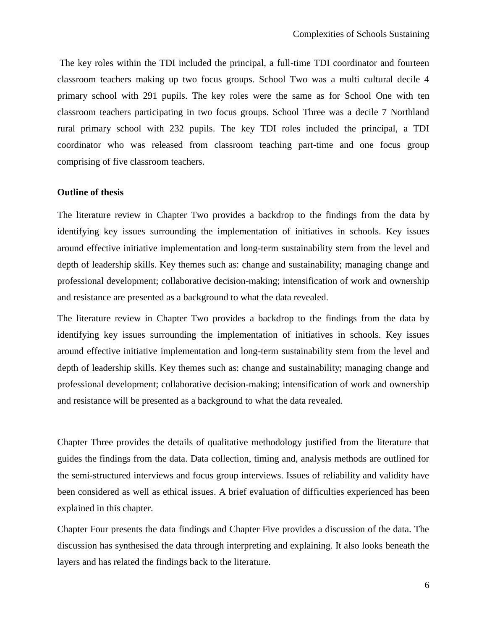The key roles within the TDI included the principal, a full-time TDI coordinator and fourteen classroom teachers making up two focus groups. School Two was a multi cultural decile 4 primary school with 291 pupils. The key roles were the same as for School One with ten classroom teachers participating in two focus groups. School Three was a decile 7 Northland rural primary school with 232 pupils. The key TDI roles included the principal, a TDI coordinator who was released from classroom teaching part-time and one focus group comprising of five classroom teachers.

#### <span id="page-13-0"></span>**Outline of thesis**

The literature review in Chapter Two provides a backdrop to the findings from the data by identifying key issues surrounding the implementation of initiatives in schools. Key issues around effective initiative implementation and long-term sustainability stem from the level and depth of leadership skills. Key themes such as: change and sustainability; managing change and professional development; collaborative decision-making; intensification of work and ownership and resistance are presented as a background to what the data revealed.

The literature review in Chapter Two provides a backdrop to the findings from the data by identifying key issues surrounding the implementation of initiatives in schools. Key issues around effective initiative implementation and long-term sustainability stem from the level and depth of leadership skills. Key themes such as: change and sustainability; managing change and professional development; collaborative decision-making; intensification of work and ownership and resistance will be presented as a background to what the data revealed.

Chapter Three provides the details of qualitative methodology justified from the literature that guides the findings from the data. Data collection, timing and, analysis methods are outlined for the semi-structured interviews and focus group interviews. Issues of reliability and validity have been considered as well as ethical issues. A brief evaluation of difficulties experienced has been explained in this chapter.

Chapter Four presents the data findings and Chapter Five provides a discussion of the data. The discussion has synthesised the data through interpreting and explaining. It also looks beneath the layers and has related the findings back to the literature.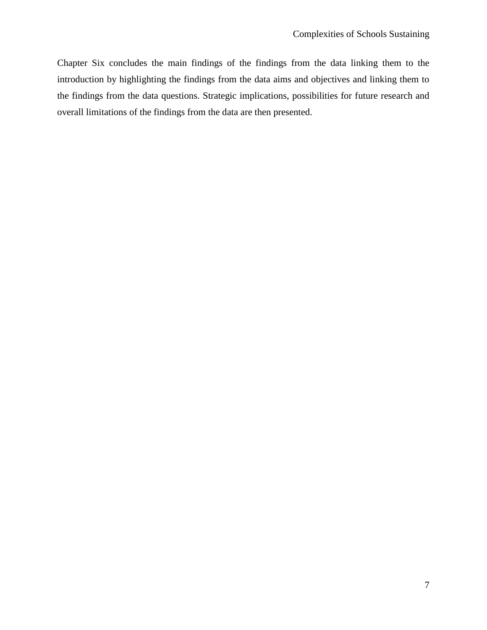Chapter Six concludes the main findings of the findings from the data linking them to the introduction by highlighting the findings from the data aims and objectives and linking them to the findings from the data questions. Strategic implications, possibilities for future research and overall limitations of the findings from the data are then presented.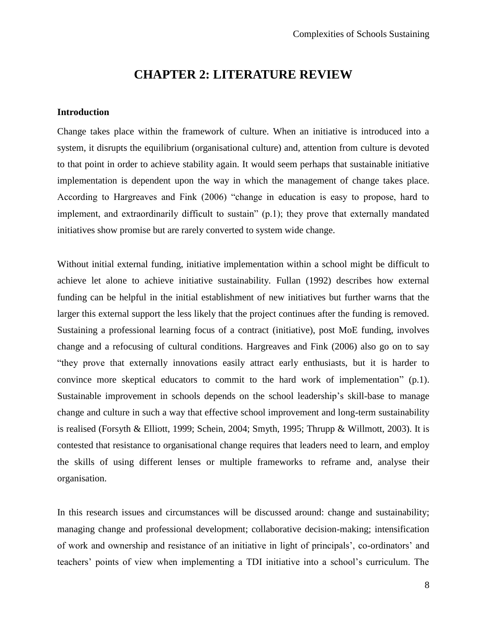### **CHAPTER 2: LITERATURE REVIEW**

#### <span id="page-15-1"></span><span id="page-15-0"></span>**Introduction**

Change takes place within the framework of culture. When an initiative is introduced into a system, it disrupts the equilibrium (organisational culture) and, attention from culture is devoted to that point in order to achieve stability again. It would seem perhaps that sustainable initiative implementation is dependent upon the way in which the management of change takes place. According to Hargreaves and Fink (2006) "change in education is easy to propose, hard to implement, and extraordinarily difficult to sustain" (p.1); they prove that externally mandated initiatives show promise but are rarely converted to system wide change.

Without initial external funding, initiative implementation within a school might be difficult to achieve let alone to achieve initiative sustainability. Fullan (1992) describes how external funding can be helpful in the initial establishment of new initiatives but further warns that the larger this external support the less likely that the project continues after the funding is removed. Sustaining a professional learning focus of a contract (initiative), post MoE funding, involves change and a refocusing of cultural conditions. Hargreaves and Fink (2006) also go on to say "they prove that externally innovations easily attract early enthusiasts, but it is harder to convince more skeptical educators to commit to the hard work of implementation" (p.1). Sustainable improvement in schools depends on the school leadership"s skill-base to manage change and culture in such a way that effective school improvement and long-term sustainability is realised (Forsyth & Elliott, 1999; Schein, 2004; Smyth, 1995; Thrupp & Willmott, 2003). It is contested that resistance to organisational change requires that leaders need to learn, and employ the skills of using different lenses or multiple frameworks to reframe and, analyse their organisation.

In this research issues and circumstances will be discussed around: change and sustainability; managing change and professional development; collaborative decision-making; intensification of work and ownership and resistance of an initiative in light of principals", co-ordinators" and teachers" points of view when implementing a TDI initiative into a school"s curriculum. The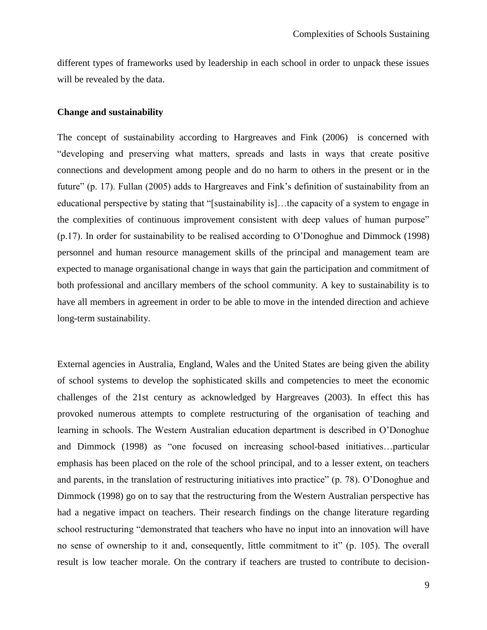different types of frameworks used by leadership in each school in order to unpack these issues will be revealed by the data.

#### <span id="page-16-0"></span>**Change and sustainability**

The concept of sustainability according to Hargreaves and Fink (2006) is concerned with "developing and preserving what matters, spreads and lasts in ways that create positive connections and development among people and do no harm to others in the present or in the future" (p. 17). Fullan (2005) adds to Hargreaves and Fink's definition of sustainability from an educational perspective by stating that "[sustainability is]…the capacity of a system to engage in the complexities of continuous improvement consistent with deep values of human purpose" (p.17). In order for sustainability to be realised according to O"Donoghue and Dimmock (1998) personnel and human resource management skills of the principal and management team are expected to manage organisational change in ways that gain the participation and commitment of both professional and ancillary members of the school community. A key to sustainability is to have all members in agreement in order to be able to move in the intended direction and achieve long-term sustainability.

External agencies in Australia, England, Wales and the United States are being given the ability of school systems to develop the sophisticated skills and competencies to meet the economic challenges of the 21st century as acknowledged by Hargreaves (2003). In effect this has provoked numerous attempts to complete restructuring of the organisation of teaching and learning in schools. The Western Australian education department is described in O"Donoghue and Dimmock (1998) as "one focused on increasing school-based initiatives…particular emphasis has been placed on the role of the school principal, and to a lesser extent, on teachers and parents, in the translation of restructuring initiatives into practice" (p. 78). O"Donoghue and Dimmock (1998) go on to say that the restructuring from the Western Australian perspective has had a negative impact on teachers. Their research findings on the change literature regarding school restructuring "demonstrated that teachers who have no input into an innovation will have no sense of ownership to it and, consequently, little commitment to it" (p. 105). The overall result is low teacher morale. On the contrary if teachers are trusted to contribute to decision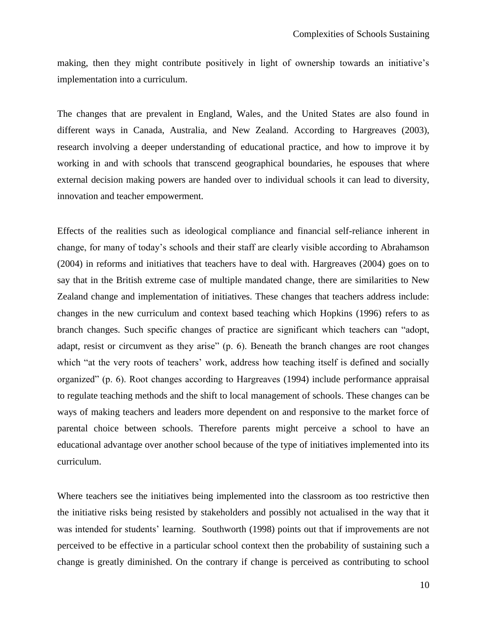making, then they might contribute positively in light of ownership towards an initiative"s implementation into a curriculum.

The changes that are prevalent in England, Wales, and the United States are also found in different ways in Canada, Australia, and New Zealand. According to Hargreaves (2003), research involving a deeper understanding of educational practice, and how to improve it by working in and with schools that transcend geographical boundaries, he espouses that where external decision making powers are handed over to individual schools it can lead to diversity, innovation and teacher empowerment.

Effects of the realities such as ideological compliance and financial self-reliance inherent in change, for many of today"s schools and their staff are clearly visible according to Abrahamson (2004) in reforms and initiatives that teachers have to deal with. Hargreaves (2004) goes on to say that in the British extreme case of multiple mandated change, there are similarities to New Zealand change and implementation of initiatives. These changes that teachers address include: changes in the new curriculum and context based teaching which Hopkins (1996) refers to as branch changes. Such specific changes of practice are significant which teachers can "adopt, adapt, resist or circumvent as they arise" (p. 6). Beneath the branch changes are root changes which "at the very roots of teachers' work, address how teaching itself is defined and socially organized" (p. 6). Root changes according to Hargreaves (1994) include performance appraisal to regulate teaching methods and the shift to local management of schools. These changes can be ways of making teachers and leaders more dependent on and responsive to the market force of parental choice between schools. Therefore parents might perceive a school to have an educational advantage over another school because of the type of initiatives implemented into its curriculum.

Where teachers see the initiatives being implemented into the classroom as too restrictive then the initiative risks being resisted by stakeholders and possibly not actualised in the way that it was intended for students' learning. Southworth (1998) points out that if improvements are not perceived to be effective in a particular school context then the probability of sustaining such a change is greatly diminished. On the contrary if change is perceived as contributing to school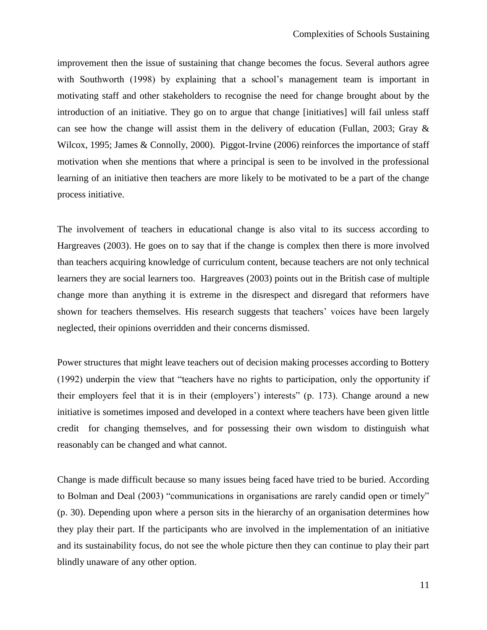improvement then the issue of sustaining that change becomes the focus. Several authors agree with Southworth (1998) by explaining that a school's management team is important in motivating staff and other stakeholders to recognise the need for change brought about by the introduction of an initiative. They go on to argue that change [initiatives] will fail unless staff can see how the change will assist them in the delivery of education (Fullan, 2003; Gray  $\&$ Wilcox, 1995; James & Connolly, 2000). Piggot-Irvine (2006) reinforces the importance of staff motivation when she mentions that where a principal is seen to be involved in the professional learning of an initiative then teachers are more likely to be motivated to be a part of the change process initiative.

The involvement of teachers in educational change is also vital to its success according to Hargreaves (2003). He goes on to say that if the change is complex then there is more involved than teachers acquiring knowledge of curriculum content, because teachers are not only technical learners they are social learners too. Hargreaves (2003) points out in the British case of multiple change more than anything it is extreme in the disrespect and disregard that reformers have shown for teachers themselves. His research suggests that teachers' voices have been largely neglected, their opinions overridden and their concerns dismissed.

Power structures that might leave teachers out of decision making processes according to Bottery (1992) underpin the view that "teachers have no rights to participation, only the opportunity if their employers feel that it is in their (employers") interests" (p. 173). Change around a new initiative is sometimes imposed and developed in a context where teachers have been given little credit for changing themselves, and for possessing their own wisdom to distinguish what reasonably can be changed and what cannot.

Change is made difficult because so many issues being faced have tried to be buried. According to Bolman and Deal (2003) "communications in organisations are rarely candid open or timely" (p. 30). Depending upon where a person sits in the hierarchy of an organisation determines how they play their part. If the participants who are involved in the implementation of an initiative and its sustainability focus, do not see the whole picture then they can continue to play their part blindly unaware of any other option.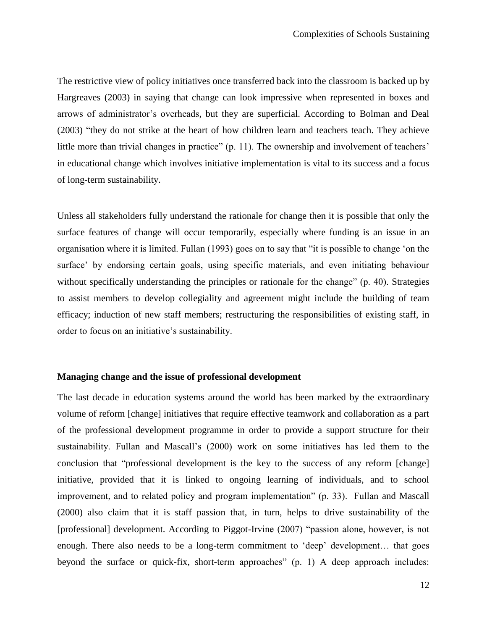The restrictive view of policy initiatives once transferred back into the classroom is backed up by Hargreaves (2003) in saying that change can look impressive when represented in boxes and arrows of administrator's overheads, but they are superficial. According to Bolman and Deal (2003) "they do not strike at the heart of how children learn and teachers teach. They achieve little more than trivial changes in practice" (p. 11). The ownership and involvement of teachers' in educational change which involves initiative implementation is vital to its success and a focus of long-term sustainability.

Unless all stakeholders fully understand the rationale for change then it is possible that only the surface features of change will occur temporarily, especially where funding is an issue in an organisation where it is limited. Fullan (1993) goes on to say that "it is possible to change "on the surface' by endorsing certain goals, using specific materials, and even initiating behaviour without specifically understanding the principles or rationale for the change" (p. 40). Strategies to assist members to develop collegiality and agreement might include the building of team efficacy; induction of new staff members; restructuring the responsibilities of existing staff, in order to focus on an initiative's sustainability.

#### <span id="page-19-0"></span>**Managing change and the issue of professional development**

The last decade in education systems around the world has been marked by the extraordinary volume of reform [change] initiatives that require effective teamwork and collaboration as a part of the professional development programme in order to provide a support structure for their sustainability. Fullan and Mascall"s (2000) work on some initiatives has led them to the conclusion that "professional development is the key to the success of any reform [change] initiative, provided that it is linked to ongoing learning of individuals, and to school improvement, and to related policy and program implementation" (p. 33). Fullan and Mascall (2000) also claim that it is staff passion that, in turn, helps to drive sustainability of the [professional] development. According to Piggot-Irvine (2007) "passion alone, however, is not enough. There also needs to be a long-term commitment to 'deep' development... that goes beyond the surface or quick-fix, short-term approaches" (p. 1) A deep approach includes: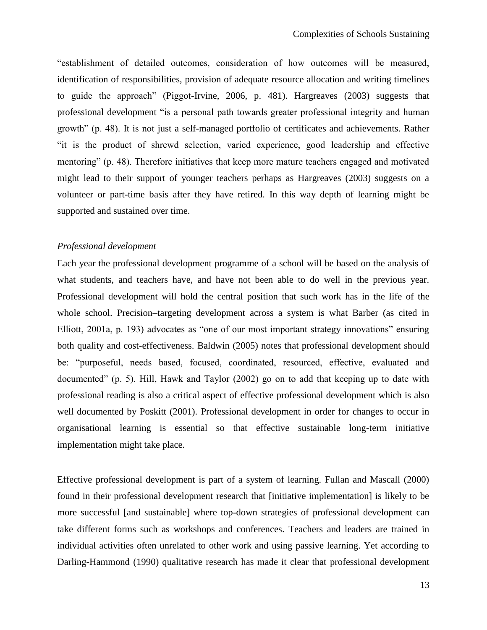"establishment of detailed outcomes, consideration of how outcomes will be measured, identification of responsibilities, provision of adequate resource allocation and writing timelines to guide the approach" (Piggot-Irvine, 2006, p. 481). Hargreaves (2003) suggests that professional development "is a personal path towards greater professional integrity and human growth" (p. 48). It is not just a self-managed portfolio of certificates and achievements. Rather "it is the product of shrewd selection, varied experience, good leadership and effective mentoring" (p. 48). Therefore initiatives that keep more mature teachers engaged and motivated might lead to their support of younger teachers perhaps as Hargreaves (2003) suggests on a volunteer or part-time basis after they have retired. In this way depth of learning might be supported and sustained over time.

#### *Professional development*

Each year the professional development programme of a school will be based on the analysis of what students, and teachers have, and have not been able to do well in the previous year. Professional development will hold the central position that such work has in the life of the whole school. Precision–targeting development across a system is what Barber (as cited in Elliott, 2001a, p. 193) advocates as "one of our most important strategy innovations" ensuring both quality and cost-effectiveness. Baldwin (2005) notes that professional development should be: "purposeful, needs based, focused, coordinated, resourced, effective, evaluated and documented" (p. 5). Hill, Hawk and Taylor (2002) go on to add that keeping up to date with professional reading is also a critical aspect of effective professional development which is also well documented by Poskitt (2001). Professional development in order for changes to occur in organisational learning is essential so that effective sustainable long-term initiative implementation might take place.

Effective professional development is part of a system of learning. Fullan and Mascall (2000) found in their professional development research that [initiative implementation] is likely to be more successful [and sustainable] where top-down strategies of professional development can take different forms such as workshops and conferences. Teachers and leaders are trained in individual activities often unrelated to other work and using passive learning. Yet according to Darling-Hammond (1990) qualitative research has made it clear that professional development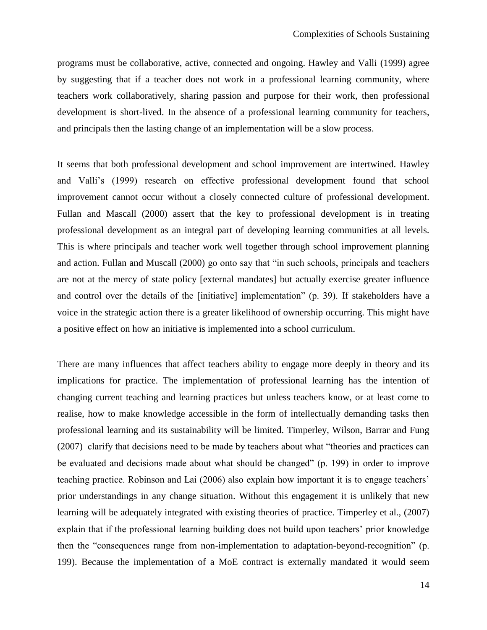programs must be collaborative, active, connected and ongoing. Hawley and Valli (1999) agree by suggesting that if a teacher does not work in a professional learning community, where teachers work collaboratively, sharing passion and purpose for their work, then professional development is short-lived. In the absence of a professional learning community for teachers, and principals then the lasting change of an implementation will be a slow process.

It seems that both professional development and school improvement are intertwined. Hawley and Valli"s (1999) research on effective professional development found that school improvement cannot occur without a closely connected culture of professional development. Fullan and Mascall (2000) assert that the key to professional development is in treating professional development as an integral part of developing learning communities at all levels. This is where principals and teacher work well together through school improvement planning and action. Fullan and Muscall (2000) go onto say that "in such schools, principals and teachers are not at the mercy of state policy [external mandates] but actually exercise greater influence and control over the details of the [initiative] implementation" (p. 39). If stakeholders have a voice in the strategic action there is a greater likelihood of ownership occurring. This might have a positive effect on how an initiative is implemented into a school curriculum.

There are many influences that affect teachers ability to engage more deeply in theory and its implications for practice. The implementation of professional learning has the intention of changing current teaching and learning practices but unless teachers know, or at least come to realise, how to make knowledge accessible in the form of intellectually demanding tasks then professional learning and its sustainability will be limited. Timperley, Wilson, Barrar and Fung (2007) clarify that decisions need to be made by teachers about what "theories and practices can be evaluated and decisions made about what should be changed" (p. 199) in order to improve teaching practice. Robinson and Lai (2006) also explain how important it is to engage teachers" prior understandings in any change situation. Without this engagement it is unlikely that new learning will be adequately integrated with existing theories of practice. Timperley et al., (2007) explain that if the professional learning building does not build upon teachers' prior knowledge then the "consequences range from non-implementation to adaptation-beyond-recognition" (p. 199). Because the implementation of a MoE contract is externally mandated it would seem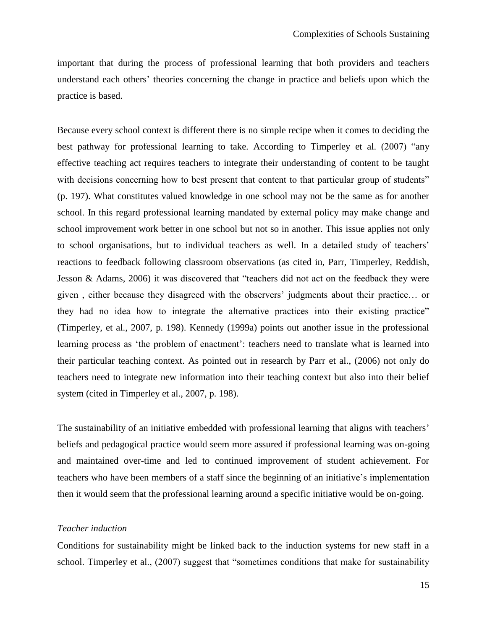important that during the process of professional learning that both providers and teachers understand each others" theories concerning the change in practice and beliefs upon which the practice is based.

Because every school context is different there is no simple recipe when it comes to deciding the best pathway for professional learning to take. According to Timperley et al. (2007) "any effective teaching act requires teachers to integrate their understanding of content to be taught with decisions concerning how to best present that content to that particular group of students" (p. 197). What constitutes valued knowledge in one school may not be the same as for another school. In this regard professional learning mandated by external policy may make change and school improvement work better in one school but not so in another. This issue applies not only to school organisations, but to individual teachers as well. In a detailed study of teachers' reactions to feedback following classroom observations (as cited in, Parr, Timperley, Reddish, Jesson & Adams, 2006) it was discovered that "teachers did not act on the feedback they were given , either because they disagreed with the observers" judgments about their practice… or they had no idea how to integrate the alternative practices into their existing practice" (Timperley, et al., 2007, p. 198). Kennedy (1999a) points out another issue in the professional learning process as 'the problem of enactment': teachers need to translate what is learned into their particular teaching context. As pointed out in research by Parr et al., (2006) not only do teachers need to integrate new information into their teaching context but also into their belief system (cited in Timperley et al., 2007, p. 198).

The sustainability of an initiative embedded with professional learning that aligns with teachers' beliefs and pedagogical practice would seem more assured if professional learning was on-going and maintained over-time and led to continued improvement of student achievement. For teachers who have been members of a staff since the beginning of an initiative"s implementation then it would seem that the professional learning around a specific initiative would be on-going.

#### *Teacher induction*

Conditions for sustainability might be linked back to the induction systems for new staff in a school. Timperley et al., (2007) suggest that "sometimes conditions that make for sustainability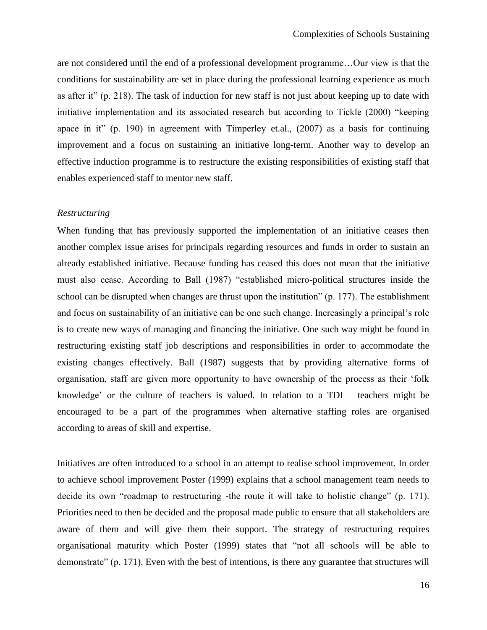are not considered until the end of a professional development programme…Our view is that the conditions for sustainability are set in place during the professional learning experience as much as after it" (p. 218). The task of induction for new staff is not just about keeping up to date with initiative implementation and its associated research but according to Tickle (2000) "keeping apace in it" (p. 190) in agreement with Timperley et.al., (2007) as a basis for continuing improvement and a focus on sustaining an initiative long-term. Another way to develop an effective induction programme is to restructure the existing responsibilities of existing staff that enables experienced staff to mentor new staff.

#### *Restructuring*

When funding that has previously supported the implementation of an initiative ceases then another complex issue arises for principals regarding resources and funds in order to sustain an already established initiative. Because funding has ceased this does not mean that the initiative must also cease. According to Ball (1987) "established micro-political structures inside the school can be disrupted when changes are thrust upon the institution" (p. 177). The establishment and focus on sustainability of an initiative can be one such change. Increasingly a principal's role is to create new ways of managing and financing the initiative. One such way might be found in restructuring existing staff job descriptions and responsibilities in order to accommodate the existing changes effectively. Ball (1987) suggests that by providing alternative forms of organisation, staff are given more opportunity to have ownership of the process as their "folk knowledge" or the culture of teachers is valued. In relation to a TDI teachers might be encouraged to be a part of the programmes when alternative staffing roles are organised according to areas of skill and expertise.

Initiatives are often introduced to a school in an attempt to realise school improvement. In order to achieve school improvement Poster (1999) explains that a school management team needs to decide its own "roadmap to restructuring -the route it will take to holistic change" (p. 171). Priorities need to then be decided and the proposal made public to ensure that all stakeholders are aware of them and will give them their support. The strategy of restructuring requires organisational maturity which Poster (1999) states that "not all schools will be able to demonstrate" (p. 171). Even with the best of intentions, is there any guarantee that structures will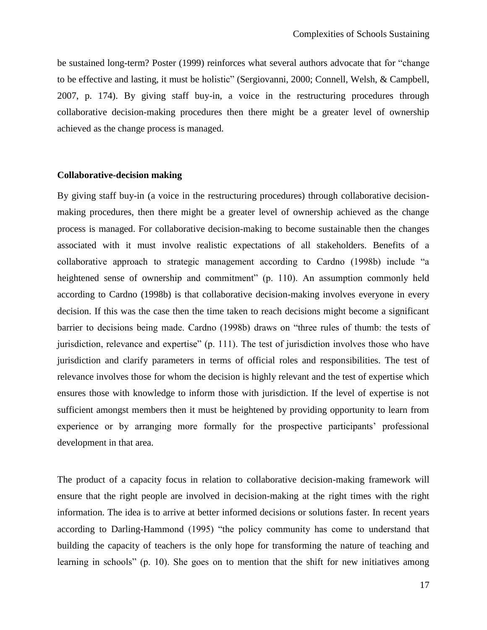be sustained long-term? Poster (1999) reinforces what several authors advocate that for "change to be effective and lasting, it must be holistic" (Sergiovanni, 2000; Connell, Welsh, & Campbell, 2007, p. 174). By giving staff buy-in, a voice in the restructuring procedures through collaborative decision-making procedures then there might be a greater level of ownership achieved as the change process is managed.

#### <span id="page-24-0"></span>**Collaborative-decision making**

By giving staff buy-in (a voice in the restructuring procedures) through collaborative decisionmaking procedures, then there might be a greater level of ownership achieved as the change process is managed. For collaborative decision-making to become sustainable then the changes associated with it must involve realistic expectations of all stakeholders. Benefits of a collaborative approach to strategic management according to Cardno (1998b) include "a heightened sense of ownership and commitment" (p. 110). An assumption commonly held according to Cardno (1998b) is that collaborative decision-making involves everyone in every decision. If this was the case then the time taken to reach decisions might become a significant barrier to decisions being made. Cardno (1998b) draws on "three rules of thumb: the tests of jurisdiction, relevance and expertise" (p. 111). The test of jurisdiction involves those who have jurisdiction and clarify parameters in terms of official roles and responsibilities. The test of relevance involves those for whom the decision is highly relevant and the test of expertise which ensures those with knowledge to inform those with jurisdiction. If the level of expertise is not sufficient amongst members then it must be heightened by providing opportunity to learn from experience or by arranging more formally for the prospective participants' professional development in that area.

The product of a capacity focus in relation to collaborative decision-making framework will ensure that the right people are involved in decision-making at the right times with the right information. The idea is to arrive at better informed decisions or solutions faster. In recent years according to Darling-Hammond (1995) "the policy community has come to understand that building the capacity of teachers is the only hope for transforming the nature of teaching and learning in schools" (p. 10). She goes on to mention that the shift for new initiatives among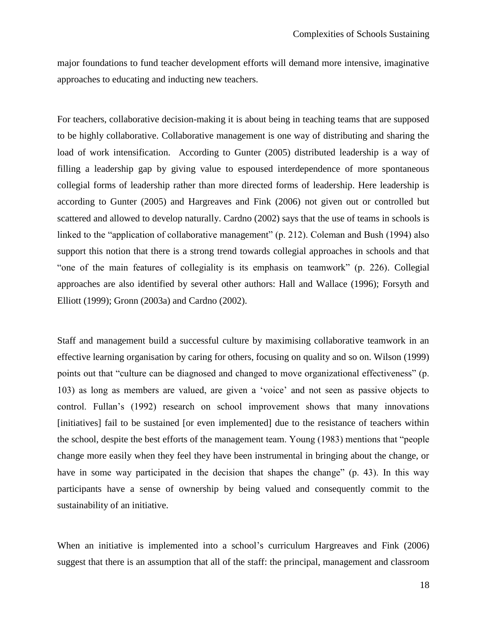major foundations to fund teacher development efforts will demand more intensive, imaginative approaches to educating and inducting new teachers.

For teachers, collaborative decision-making it is about being in teaching teams that are supposed to be highly collaborative. Collaborative management is one way of distributing and sharing the load of work intensification. According to Gunter (2005) distributed leadership is a way of filling a leadership gap by giving value to espoused interdependence of more spontaneous collegial forms of leadership rather than more directed forms of leadership. Here leadership is according to Gunter (2005) and Hargreaves and Fink (2006) not given out or controlled but scattered and allowed to develop naturally. Cardno (2002) says that the use of teams in schools is linked to the "application of collaborative management" (p. 212). Coleman and Bush (1994) also support this notion that there is a strong trend towards collegial approaches in schools and that "one of the main features of collegiality is its emphasis on teamwork" (p. 226). Collegial approaches are also identified by several other authors: Hall and Wallace (1996); Forsyth and Elliott (1999); Gronn (2003a) and Cardno (2002).

Staff and management build a successful culture by maximising collaborative teamwork in an effective learning organisation by caring for others, focusing on quality and so on. Wilson (1999) points out that "culture can be diagnosed and changed to move organizational effectiveness" (p. 103) as long as members are valued, are given a "voice" and not seen as passive objects to control. Fullan"s (1992) research on school improvement shows that many innovations [initiatives] fail to be sustained [or even implemented] due to the resistance of teachers within the school, despite the best efforts of the management team. Young (1983) mentions that "people change more easily when they feel they have been instrumental in bringing about the change, or have in some way participated in the decision that shapes the change" (p. 43). In this way participants have a sense of ownership by being valued and consequently commit to the sustainability of an initiative.

When an initiative is implemented into a school's curriculum Hargreaves and Fink (2006) suggest that there is an assumption that all of the staff: the principal, management and classroom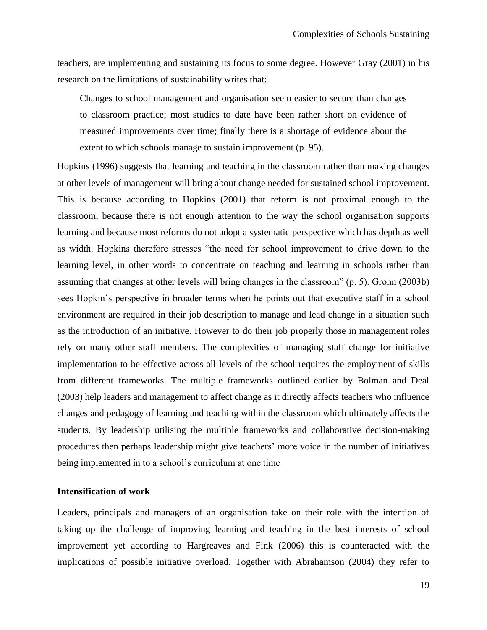teachers, are implementing and sustaining its focus to some degree. However Gray (2001) in his research on the limitations of sustainability writes that:

Changes to school management and organisation seem easier to secure than changes to classroom practice; most studies to date have been rather short on evidence of measured improvements over time; finally there is a shortage of evidence about the extent to which schools manage to sustain improvement (p. 95).

Hopkins (1996) suggests that learning and teaching in the classroom rather than making changes at other levels of management will bring about change needed for sustained school improvement. This is because according to Hopkins (2001) that reform is not proximal enough to the classroom, because there is not enough attention to the way the school organisation supports learning and because most reforms do not adopt a systematic perspective which has depth as well as width. Hopkins therefore stresses "the need for school improvement to drive down to the learning level, in other words to concentrate on teaching and learning in schools rather than assuming that changes at other levels will bring changes in the classroom" (p. 5). Gronn (2003b) sees Hopkin"s perspective in broader terms when he points out that executive staff in a school environment are required in their job description to manage and lead change in a situation such as the introduction of an initiative. However to do their job properly those in management roles rely on many other staff members. The complexities of managing staff change for initiative implementation to be effective across all levels of the school requires the employment of skills from different frameworks. The multiple frameworks outlined earlier by Bolman and Deal (2003) help leaders and management to affect change as it directly affects teachers who influence changes and pedagogy of learning and teaching within the classroom which ultimately affects the students. By leadership utilising the multiple frameworks and collaborative decision-making procedures then perhaps leadership might give teachers" more voice in the number of initiatives being implemented in to a school's curriculum at one time

#### <span id="page-26-0"></span>**Intensification of work**

Leaders, principals and managers of an organisation take on their role with the intention of taking up the challenge of improving learning and teaching in the best interests of school improvement yet according to Hargreaves and Fink (2006) this is counteracted with the implications of possible initiative overload. Together with Abrahamson (2004) they refer to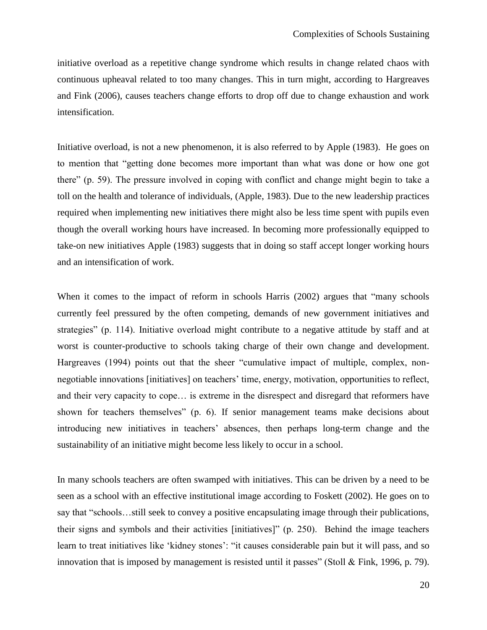initiative overload as a repetitive change syndrome which results in change related chaos with continuous upheaval related to too many changes. This in turn might, according to Hargreaves and Fink (2006), causes teachers change efforts to drop off due to change exhaustion and work intensification.

Initiative overload, is not a new phenomenon, it is also referred to by Apple (1983). He goes on to mention that "getting done becomes more important than what was done or how one got there" (p. 59). The pressure involved in coping with conflict and change might begin to take a toll on the health and tolerance of individuals, (Apple, 1983). Due to the new leadership practices required when implementing new initiatives there might also be less time spent with pupils even though the overall working hours have increased. In becoming more professionally equipped to take-on new initiatives Apple (1983) suggests that in doing so staff accept longer working hours and an intensification of work.

When it comes to the impact of reform in schools Harris (2002) argues that "many schools currently feel pressured by the often competing, demands of new government initiatives and strategies" (p. 114). Initiative overload might contribute to a negative attitude by staff and at worst is counter-productive to schools taking charge of their own change and development. Hargreaves (1994) points out that the sheer "cumulative impact of multiple, complex, nonnegotiable innovations [initiatives] on teachers' time, energy, motivation, opportunities to reflect, and their very capacity to cope… is extreme in the disrespect and disregard that reformers have shown for teachers themselves" (p. 6). If senior management teams make decisions about introducing new initiatives in teachers' absences, then perhaps long-term change and the sustainability of an initiative might become less likely to occur in a school.

In many schools teachers are often swamped with initiatives. This can be driven by a need to be seen as a school with an effective institutional image according to Foskett (2002). He goes on to say that "schools…still seek to convey a positive encapsulating image through their publications, their signs and symbols and their activities [initiatives]" (p. 250). Behind the image teachers learn to treat initiatives like "kidney stones": "it causes considerable pain but it will pass, and so innovation that is imposed by management is resisted until it passes" (Stoll & Fink, 1996, p. 79).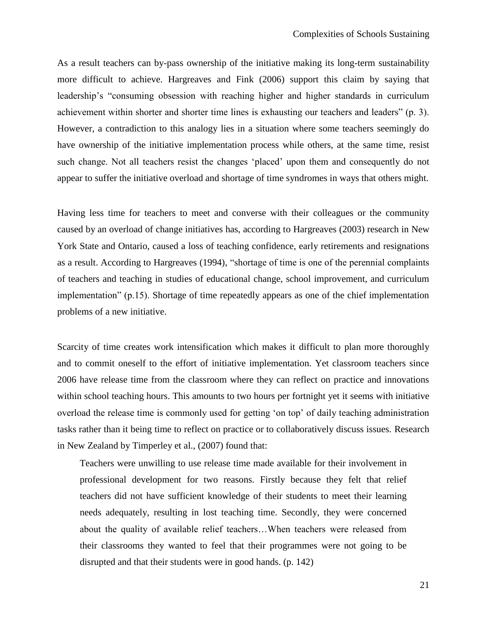As a result teachers can by-pass ownership of the initiative making its long-term sustainability more difficult to achieve. Hargreaves and Fink (2006) support this claim by saying that leadership's "consuming obsession with reaching higher and higher standards in curriculum achievement within shorter and shorter time lines is exhausting our teachers and leaders" (p. 3). However, a contradiction to this analogy lies in a situation where some teachers seemingly do have ownership of the initiative implementation process while others, at the same time, resist such change. Not all teachers resist the changes 'placed' upon them and consequently do not appear to suffer the initiative overload and shortage of time syndromes in ways that others might.

Having less time for teachers to meet and converse with their colleagues or the community caused by an overload of change initiatives has, according to Hargreaves (2003) research in New York State and Ontario, caused a loss of teaching confidence, early retirements and resignations as a result. According to Hargreaves (1994), "shortage of time is one of the perennial complaints of teachers and teaching in studies of educational change, school improvement, and curriculum implementation" (p.15). Shortage of time repeatedly appears as one of the chief implementation problems of a new initiative.

Scarcity of time creates work intensification which makes it difficult to plan more thoroughly and to commit oneself to the effort of initiative implementation. Yet classroom teachers since 2006 have release time from the classroom where they can reflect on practice and innovations within school teaching hours. This amounts to two hours per fortnight yet it seems with initiative overload the release time is commonly used for getting "on top" of daily teaching administration tasks rather than it being time to reflect on practice or to collaboratively discuss issues. Research in New Zealand by Timperley et al., (2007) found that:

Teachers were unwilling to use release time made available for their involvement in professional development for two reasons. Firstly because they felt that relief teachers did not have sufficient knowledge of their students to meet their learning needs adequately, resulting in lost teaching time. Secondly, they were concerned about the quality of available relief teachers…When teachers were released from their classrooms they wanted to feel that their programmes were not going to be disrupted and that their students were in good hands. (p. 142)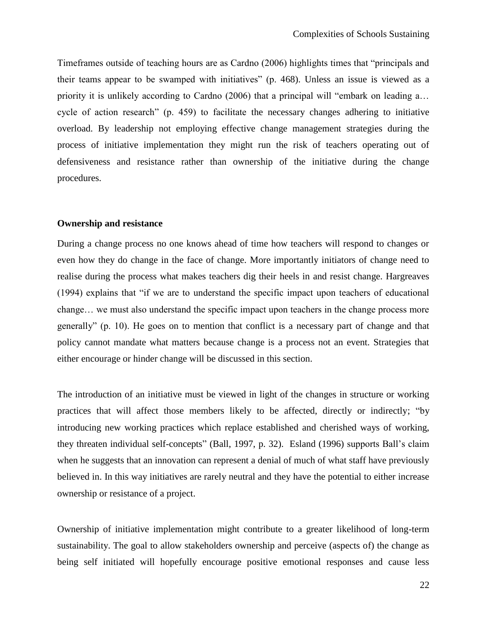Timeframes outside of teaching hours are as Cardno (2006) highlights times that "principals and their teams appear to be swamped with initiatives" (p. 468). Unless an issue is viewed as a priority it is unlikely according to Cardno (2006) that a principal will "embark on leading a... cycle of action research" (p. 459) to facilitate the necessary changes adhering to initiative overload. By leadership not employing effective change management strategies during the process of initiative implementation they might run the risk of teachers operating out of defensiveness and resistance rather than ownership of the initiative during the change procedures.

#### <span id="page-29-0"></span>**Ownership and resistance**

During a change process no one knows ahead of time how teachers will respond to changes or even how they do change in the face of change. More importantly initiators of change need to realise during the process what makes teachers dig their heels in and resist change. Hargreaves (1994) explains that "if we are to understand the specific impact upon teachers of educational change… we must also understand the specific impact upon teachers in the change process more generally" (p. 10). He goes on to mention that conflict is a necessary part of change and that policy cannot mandate what matters because change is a process not an event. Strategies that either encourage or hinder change will be discussed in this section.

The introduction of an initiative must be viewed in light of the changes in structure or working practices that will affect those members likely to be affected, directly or indirectly; "by introducing new working practices which replace established and cherished ways of working, they threaten individual self-concepts" (Ball, 1997, p. 32). Esland (1996) supports Ball"s claim when he suggests that an innovation can represent a denial of much of what staff have previously believed in. In this way initiatives are rarely neutral and they have the potential to either increase ownership or resistance of a project.

Ownership of initiative implementation might contribute to a greater likelihood of long-term sustainability. The goal to allow stakeholders ownership and perceive (aspects of) the change as being self initiated will hopefully encourage positive emotional responses and cause less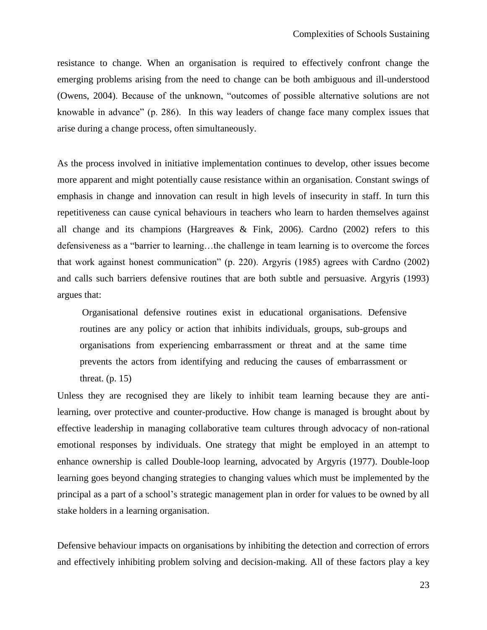resistance to change. When an organisation is required to effectively confront change the emerging problems arising from the need to change can be both ambiguous and ill-understood (Owens, 2004). Because of the unknown, "outcomes of possible alternative solutions are not knowable in advance" (p. 286). In this way leaders of change face many complex issues that arise during a change process, often simultaneously.

As the process involved in initiative implementation continues to develop, other issues become more apparent and might potentially cause resistance within an organisation. Constant swings of emphasis in change and innovation can result in high levels of insecurity in staff. In turn this repetitiveness can cause cynical behaviours in teachers who learn to harden themselves against all change and its champions (Hargreaves & Fink, 2006). Cardno (2002) refers to this defensiveness as a "barrier to learning…the challenge in team learning is to overcome the forces that work against honest communication" (p. 220). Argyris (1985) agrees with Cardno (2002) and calls such barriers defensive routines that are both subtle and persuasive. Argyris (1993) argues that:

Organisational defensive routines exist in educational organisations. Defensive routines are any policy or action that inhibits individuals, groups, sub-groups and organisations from experiencing embarrassment or threat and at the same time prevents the actors from identifying and reducing the causes of embarrassment or threat.  $(p. 15)$ 

Unless they are recognised they are likely to inhibit team learning because they are antilearning, over protective and counter-productive. How change is managed is brought about by effective leadership in managing collaborative team cultures through advocacy of non-rational emotional responses by individuals. One strategy that might be employed in an attempt to enhance ownership is called Double-loop learning, advocated by Argyris (1977). Double-loop learning goes beyond changing strategies to changing values which must be implemented by the principal as a part of a school"s strategic management plan in order for values to be owned by all stake holders in a learning organisation.

Defensive behaviour impacts on organisations by inhibiting the detection and correction of errors and effectively inhibiting problem solving and decision-making. All of these factors play a key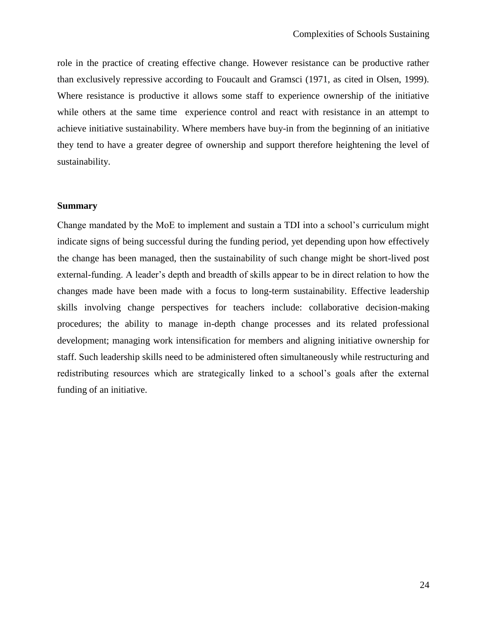role in the practice of creating effective change. However resistance can be productive rather than exclusively repressive according to Foucault and Gramsci (1971, as cited in Olsen, 1999). Where resistance is productive it allows some staff to experience ownership of the initiative while others at the same time experience control and react with resistance in an attempt to achieve initiative sustainability. Where members have buy-in from the beginning of an initiative they tend to have a greater degree of ownership and support therefore heightening the level of sustainability.

#### <span id="page-31-0"></span>**Summary**

Change mandated by the MoE to implement and sustain a TDI into a school"s curriculum might indicate signs of being successful during the funding period, yet depending upon how effectively the change has been managed, then the sustainability of such change might be short-lived post external-funding. A leader's depth and breadth of skills appear to be in direct relation to how the changes made have been made with a focus to long-term sustainability. Effective leadership skills involving change perspectives for teachers include: collaborative decision-making procedures; the ability to manage in-depth change processes and its related professional development; managing work intensification for members and aligning initiative ownership for staff. Such leadership skills need to be administered often simultaneously while restructuring and redistributing resources which are strategically linked to a school"s goals after the external funding of an initiative.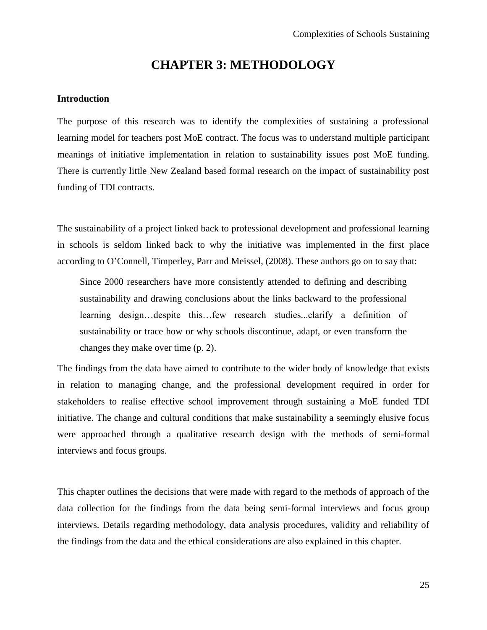### **CHAPTER 3: METHODOLOGY**

#### <span id="page-32-1"></span><span id="page-32-0"></span>**Introduction**

The purpose of this research was to identify the complexities of sustaining a professional learning model for teachers post MoE contract. The focus was to understand multiple participant meanings of initiative implementation in relation to sustainability issues post MoE funding. There is currently little New Zealand based formal research on the impact of sustainability post funding of TDI contracts.

The sustainability of a project linked back to professional development and professional learning in schools is seldom linked back to why the initiative was implemented in the first place according to O"Connell, Timperley, Parr and Meissel, (2008). These authors go on to say that:

Since 2000 researchers have more consistently attended to defining and describing sustainability and drawing conclusions about the links backward to the professional learning design…despite this…few research studies...clarify a definition of sustainability or trace how or why schools discontinue, adapt, or even transform the changes they make over time (p. 2).

The findings from the data have aimed to contribute to the wider body of knowledge that exists in relation to managing change, and the professional development required in order for stakeholders to realise effective school improvement through sustaining a MoE funded TDI initiative. The change and cultural conditions that make sustainability a seemingly elusive focus were approached through a qualitative research design with the methods of semi-formal interviews and focus groups.

This chapter outlines the decisions that were made with regard to the methods of approach of the data collection for the findings from the data being semi-formal interviews and focus group interviews. Details regarding methodology, data analysis procedures, validity and reliability of the findings from the data and the ethical considerations are also explained in this chapter.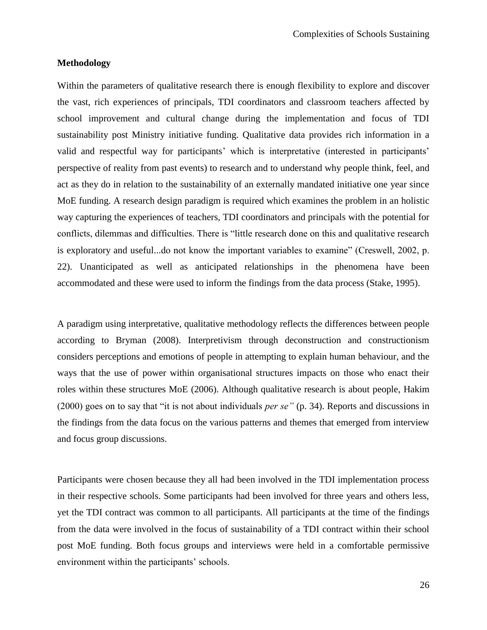#### <span id="page-33-0"></span>**Methodology**

Within the parameters of qualitative research there is enough flexibility to explore and discover the vast, rich experiences of principals, TDI coordinators and classroom teachers affected by school improvement and cultural change during the implementation and focus of TDI sustainability post Ministry initiative funding. Qualitative data provides rich information in a valid and respectful way for participants' which is interpretative (interested in participants' perspective of reality from past events) to research and to understand why people think, feel, and act as they do in relation to the sustainability of an externally mandated initiative one year since MoE funding. A research design paradigm is required which examines the problem in an holistic way capturing the experiences of teachers, TDI coordinators and principals with the potential for conflicts, dilemmas and difficulties. There is "little research done on this and qualitative research is exploratory and useful...do not know the important variables to examine" (Creswell, 2002, p. 22). Unanticipated as well as anticipated relationships in the phenomena have been accommodated and these were used to inform the findings from the data process (Stake, 1995).

A paradigm using interpretative, qualitative methodology reflects the differences between people according to Bryman (2008). Interpretivism through deconstruction and constructionism considers perceptions and emotions of people in attempting to explain human behaviour, and the ways that the use of power within organisational structures impacts on those who enact their roles within these structures MoE (2006). Although qualitative research is about people, Hakim (2000) goes on to say that "it is not about individuals *per se"* (p. 34). Reports and discussions in the findings from the data focus on the various patterns and themes that emerged from interview and focus group discussions.

Participants were chosen because they all had been involved in the TDI implementation process in their respective schools. Some participants had been involved for three years and others less, yet the TDI contract was common to all participants. All participants at the time of the findings from the data were involved in the focus of sustainability of a TDI contract within their school post MoE funding. Both focus groups and interviews were held in a comfortable permissive environment within the participants' schools.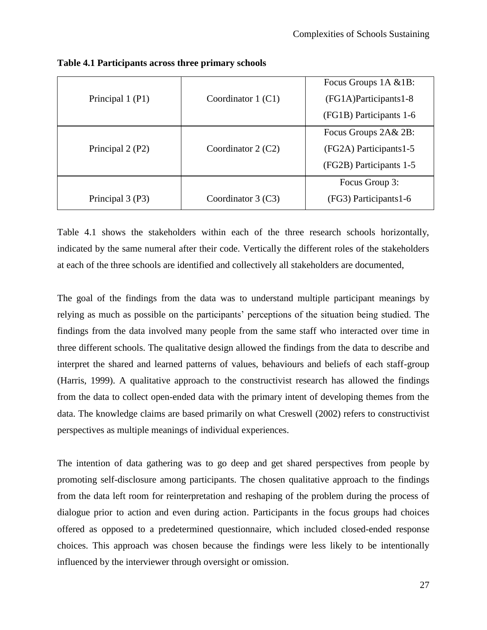|                  |                      | Focus Groups 1A & 1B:    |
|------------------|----------------------|--------------------------|
| Principal 1 (P1) | Coordinator $1$ (C1) | $(FG1A)$ Participants1-8 |
|                  |                      | (FG1B) Participants 1-6  |
|                  |                      | Focus Groups 2A& 2B:     |
| Principal 2 (P2) | Coordinator $2(C2)$  | (FG2A) Participants1-5   |
|                  |                      | (FG2B) Participants 1-5  |
|                  |                      | Focus Group 3:           |
| Principal 3 (P3) | Coordinator $3$ (C3) | (FG3) Participants1-6    |

<span id="page-34-0"></span>**Table 4.1 Participants across three primary schools** 

Table 4.1 shows the stakeholders within each of the three research schools horizontally, indicated by the same numeral after their code. Vertically the different roles of the stakeholders at each of the three schools are identified and collectively all stakeholders are documented,

The goal of the findings from the data was to understand multiple participant meanings by relying as much as possible on the participants' perceptions of the situation being studied. The findings from the data involved many people from the same staff who interacted over time in three different schools. The qualitative design allowed the findings from the data to describe and interpret the shared and learned patterns of values, behaviours and beliefs of each staff-group (Harris, 1999). A qualitative approach to the constructivist research has allowed the findings from the data to collect open-ended data with the primary intent of developing themes from the data. The knowledge claims are based primarily on what Creswell (2002) refers to constructivist perspectives as multiple meanings of individual experiences.

The intention of data gathering was to go deep and get shared perspectives from people by promoting self-disclosure among participants. The chosen qualitative approach to the findings from the data left room for reinterpretation and reshaping of the problem during the process of dialogue prior to action and even during action. Participants in the focus groups had choices offered as opposed to a predetermined questionnaire, which included closed-ended response choices. This approach was chosen because the findings were less likely to be intentionally influenced by the interviewer through oversight or omission.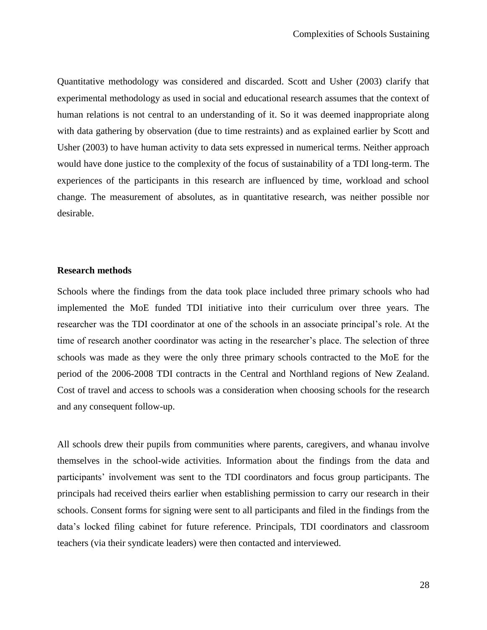Quantitative methodology was considered and discarded. Scott and Usher (2003) clarify that experimental methodology as used in social and educational research assumes that the context of human relations is not central to an understanding of it. So it was deemed inappropriate along with data gathering by observation (due to time restraints) and as explained earlier by Scott and Usher (2003) to have human activity to data sets expressed in numerical terms. Neither approach would have done justice to the complexity of the focus of sustainability of a TDI long-term. The experiences of the participants in this research are influenced by time, workload and school change. The measurement of absolutes, as in quantitative research, was neither possible nor desirable.

#### <span id="page-35-0"></span>**Research methods**

Schools where the findings from the data took place included three primary schools who had implemented the MoE funded TDI initiative into their curriculum over three years. The researcher was the TDI coordinator at one of the schools in an associate principal"s role. At the time of research another coordinator was acting in the researcher's place. The selection of three schools was made as they were the only three primary schools contracted to the MoE for the period of the 2006-2008 TDI contracts in the Central and Northland regions of New Zealand. Cost of travel and access to schools was a consideration when choosing schools for the research and any consequent follow-up.

All schools drew their pupils from communities where parents, caregivers, and whanau involve themselves in the school-wide activities. Information about the findings from the data and participants" involvement was sent to the TDI coordinators and focus group participants. The principals had received theirs earlier when establishing permission to carry our research in their schools. Consent forms for signing were sent to all participants and filed in the findings from the data"s locked filing cabinet for future reference. Principals, TDI coordinators and classroom teachers (via their syndicate leaders) were then contacted and interviewed.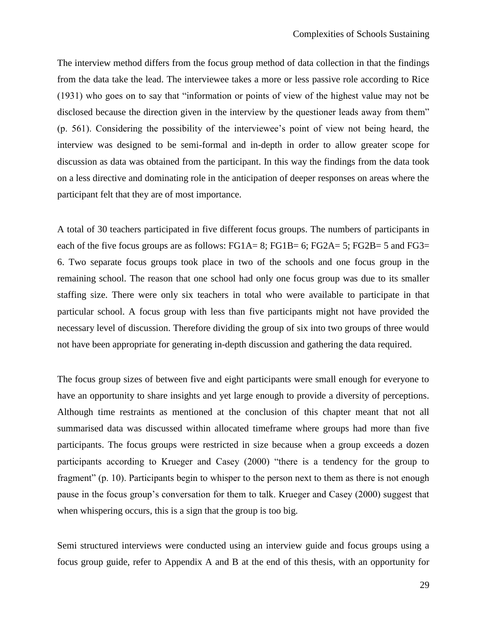The interview method differs from the focus group method of data collection in that the findings from the data take the lead. The interviewee takes a more or less passive role according to Rice (1931) who goes on to say that "information or points of view of the highest value may not be disclosed because the direction given in the interview by the questioner leads away from them" (p. 561). Considering the possibility of the interviewee"s point of view not being heard, the interview was designed to be semi-formal and in-depth in order to allow greater scope for discussion as data was obtained from the participant. In this way the findings from the data took on a less directive and dominating role in the anticipation of deeper responses on areas where the participant felt that they are of most importance.

A total of 30 teachers participated in five different focus groups. The numbers of participants in each of the five focus groups are as follows:  $FG1A= 8$ ;  $FG1B= 6$ ;  $FG2A= 5$ ;  $FG2B= 5$  and  $FG3= 5$ 6. Two separate focus groups took place in two of the schools and one focus group in the remaining school. The reason that one school had only one focus group was due to its smaller staffing size. There were only six teachers in total who were available to participate in that particular school. A focus group with less than five participants might not have provided the necessary level of discussion. Therefore dividing the group of six into two groups of three would not have been appropriate for generating in-depth discussion and gathering the data required.

The focus group sizes of between five and eight participants were small enough for everyone to have an opportunity to share insights and yet large enough to provide a diversity of perceptions. Although time restraints as mentioned at the conclusion of this chapter meant that not all summarised data was discussed within allocated timeframe where groups had more than five participants. The focus groups were restricted in size because when a group exceeds a dozen participants according to Krueger and Casey (2000) "there is a tendency for the group to fragment" (p. 10). Participants begin to whisper to the person next to them as there is not enough pause in the focus group"s conversation for them to talk. Krueger and Casey (2000) suggest that when whispering occurs, this is a sign that the group is too big.

Semi structured interviews were conducted using an interview guide and focus groups using a focus group guide, refer to Appendix A and B at the end of this thesis, with an opportunity for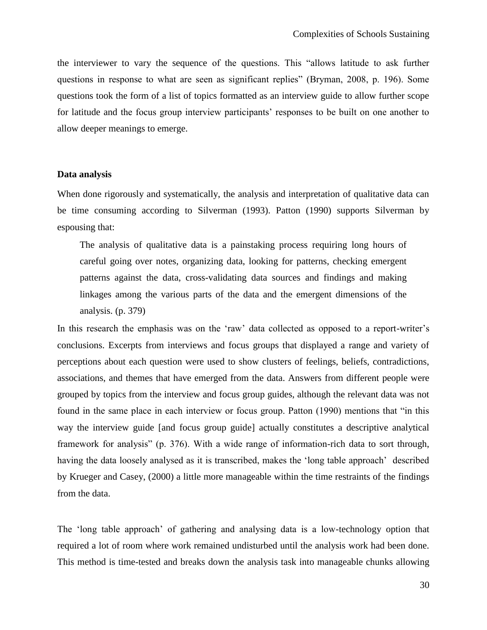the interviewer to vary the sequence of the questions. This "allows latitude to ask further questions in response to what are seen as significant replies" (Bryman, 2008, p. 196). Some questions took the form of a list of topics formatted as an interview guide to allow further scope for latitude and the focus group interview participants' responses to be built on one another to allow deeper meanings to emerge.

# **Data analysis**

When done rigorously and systematically, the analysis and interpretation of qualitative data can be time consuming according to Silverman (1993). Patton (1990) supports Silverman by espousing that:

The analysis of qualitative data is a painstaking process requiring long hours of careful going over notes, organizing data, looking for patterns, checking emergent patterns against the data, cross-validating data sources and findings and making linkages among the various parts of the data and the emergent dimensions of the analysis. (p. 379)

In this research the emphasis was on the 'raw' data collected as opposed to a report-writer's conclusions. Excerpts from interviews and focus groups that displayed a range and variety of perceptions about each question were used to show clusters of feelings, beliefs, contradictions, associations, and themes that have emerged from the data. Answers from different people were grouped by topics from the interview and focus group guides, although the relevant data was not found in the same place in each interview or focus group. Patton (1990) mentions that "in this way the interview guide [and focus group guide] actually constitutes a descriptive analytical framework for analysis" (p. 376). With a wide range of information-rich data to sort through, having the data loosely analysed as it is transcribed, makes the 'long table approach' described by Krueger and Casey, (2000) a little more manageable within the time restraints of the findings from the data.

The "long table approach" of gathering and analysing data is a low-technology option that required a lot of room where work remained undisturbed until the analysis work had been done. This method is time-tested and breaks down the analysis task into manageable chunks allowing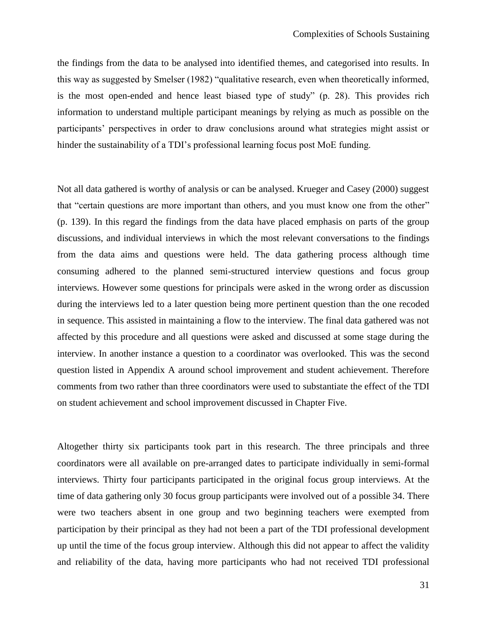the findings from the data to be analysed into identified themes, and categorised into results. In this way as suggested by Smelser (1982) "qualitative research, even when theoretically informed, is the most open-ended and hence least biased type of study" (p. 28). This provides rich information to understand multiple participant meanings by relying as much as possible on the participants' perspectives in order to draw conclusions around what strategies might assist or hinder the sustainability of a TDI's professional learning focus post MoE funding.

Not all data gathered is worthy of analysis or can be analysed. Krueger and Casey (2000) suggest that "certain questions are more important than others, and you must know one from the other" (p. 139). In this regard the findings from the data have placed emphasis on parts of the group discussions, and individual interviews in which the most relevant conversations to the findings from the data aims and questions were held. The data gathering process although time consuming adhered to the planned semi-structured interview questions and focus group interviews. However some questions for principals were asked in the wrong order as discussion during the interviews led to a later question being more pertinent question than the one recoded in sequence. This assisted in maintaining a flow to the interview. The final data gathered was not affected by this procedure and all questions were asked and discussed at some stage during the interview. In another instance a question to a coordinator was overlooked. This was the second question listed in Appendix A around school improvement and student achievement. Therefore comments from two rather than three coordinators were used to substantiate the effect of the TDI on student achievement and school improvement discussed in Chapter Five.

Altogether thirty six participants took part in this research. The three principals and three coordinators were all available on pre-arranged dates to participate individually in semi-formal interviews. Thirty four participants participated in the original focus group interviews. At the time of data gathering only 30 focus group participants were involved out of a possible 34. There were two teachers absent in one group and two beginning teachers were exempted from participation by their principal as they had not been a part of the TDI professional development up until the time of the focus group interview. Although this did not appear to affect the validity and reliability of the data, having more participants who had not received TDI professional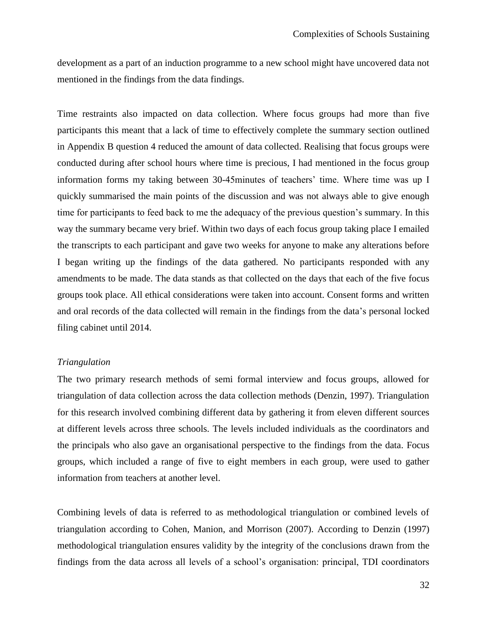development as a part of an induction programme to a new school might have uncovered data not mentioned in the findings from the data findings.

Time restraints also impacted on data collection. Where focus groups had more than five participants this meant that a lack of time to effectively complete the summary section outlined in Appendix B question 4 reduced the amount of data collected. Realising that focus groups were conducted during after school hours where time is precious, I had mentioned in the focus group information forms my taking between 30-45minutes of teachers' time. Where time was up I quickly summarised the main points of the discussion and was not always able to give enough time for participants to feed back to me the adequacy of the previous question"s summary. In this way the summary became very brief. Within two days of each focus group taking place I emailed the transcripts to each participant and gave two weeks for anyone to make any alterations before I began writing up the findings of the data gathered. No participants responded with any amendments to be made. The data stands as that collected on the days that each of the five focus groups took place. All ethical considerations were taken into account. Consent forms and written and oral records of the data collected will remain in the findings from the data"s personal locked filing cabinet until 2014.

#### *Triangulation*

The two primary research methods of semi formal interview and focus groups, allowed for triangulation of data collection across the data collection methods (Denzin, 1997). Triangulation for this research involved combining different data by gathering it from eleven different sources at different levels across three schools. The levels included individuals as the coordinators and the principals who also gave an organisational perspective to the findings from the data. Focus groups, which included a range of five to eight members in each group, were used to gather information from teachers at another level.

Combining levels of data is referred to as methodological triangulation or combined levels of triangulation according to Cohen, Manion, and Morrison (2007). According to Denzin (1997) methodological triangulation ensures validity by the integrity of the conclusions drawn from the findings from the data across all levels of a school"s organisation: principal, TDI coordinators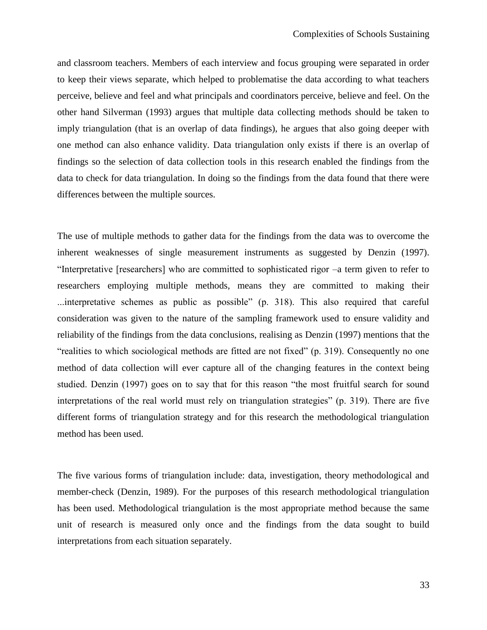and classroom teachers. Members of each interview and focus grouping were separated in order to keep their views separate, which helped to problematise the data according to what teachers perceive, believe and feel and what principals and coordinators perceive, believe and feel. On the other hand Silverman (1993) argues that multiple data collecting methods should be taken to imply triangulation (that is an overlap of data findings), he argues that also going deeper with one method can also enhance validity. Data triangulation only exists if there is an overlap of findings so the selection of data collection tools in this research enabled the findings from the data to check for data triangulation. In doing so the findings from the data found that there were differences between the multiple sources.

The use of multiple methods to gather data for the findings from the data was to overcome the inherent weaknesses of single measurement instruments as suggested by Denzin (1997). "Interpretative [researchers] who are committed to sophisticated rigor –a term given to refer to researchers employing multiple methods, means they are committed to making their ...interpretative schemes as public as possible" (p. 318). This also required that careful consideration was given to the nature of the sampling framework used to ensure validity and reliability of the findings from the data conclusions, realising as Denzin (1997) mentions that the "realities to which sociological methods are fitted are not fixed" (p. 319). Consequently no one method of data collection will ever capture all of the changing features in the context being studied. Denzin (1997) goes on to say that for this reason "the most fruitful search for sound interpretations of the real world must rely on triangulation strategies" (p. 319). There are five different forms of triangulation strategy and for this research the methodological triangulation method has been used.

The five various forms of triangulation include: data, investigation, theory methodological and member-check (Denzin, 1989). For the purposes of this research methodological triangulation has been used. Methodological triangulation is the most appropriate method because the same unit of research is measured only once and the findings from the data sought to build interpretations from each situation separately.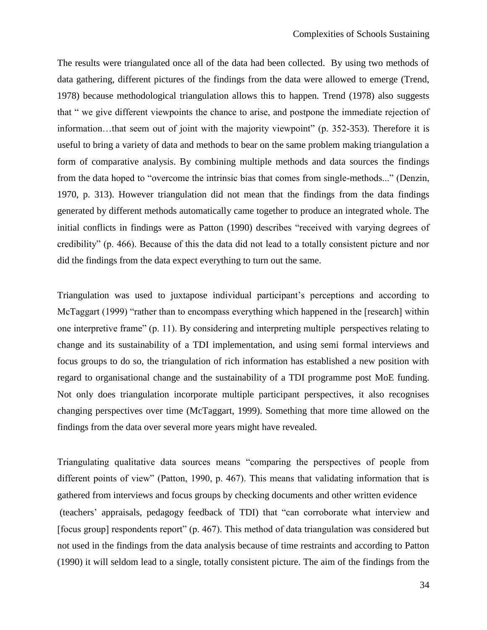The results were triangulated once all of the data had been collected. By using two methods of data gathering, different pictures of the findings from the data were allowed to emerge (Trend, 1978) because methodological triangulation allows this to happen. Trend (1978) also suggests that " we give different viewpoints the chance to arise, and postpone the immediate rejection of information…that seem out of joint with the majority viewpoint" (p. 352-353). Therefore it is useful to bring a variety of data and methods to bear on the same problem making triangulation a form of comparative analysis. By combining multiple methods and data sources the findings from the data hoped to "overcome the intrinsic bias that comes from single-methods..." (Denzin, 1970, p. 313). However triangulation did not mean that the findings from the data findings generated by different methods automatically came together to produce an integrated whole. The initial conflicts in findings were as Patton (1990) describes "received with varying degrees of credibility" (p. 466). Because of this the data did not lead to a totally consistent picture and nor did the findings from the data expect everything to turn out the same.

Triangulation was used to juxtapose individual participant"s perceptions and according to McTaggart (1999) "rather than to encompass everything which happened in the [research] within one interpretive frame" (p. 11). By considering and interpreting multiple perspectives relating to change and its sustainability of a TDI implementation, and using semi formal interviews and focus groups to do so, the triangulation of rich information has established a new position with regard to organisational change and the sustainability of a TDI programme post MoE funding. Not only does triangulation incorporate multiple participant perspectives, it also recognises changing perspectives over time (McTaggart, 1999). Something that more time allowed on the findings from the data over several more years might have revealed.

Triangulating qualitative data sources means "comparing the perspectives of people from different points of view" (Patton, 1990, p. 467). This means that validating information that is gathered from interviews and focus groups by checking documents and other written evidence (teachers" appraisals, pedagogy feedback of TDI) that "can corroborate what interview and [focus group] respondents report" (p. 467). This method of data triangulation was considered but not used in the findings from the data analysis because of time restraints and according to Patton (1990) it will seldom lead to a single, totally consistent picture. The aim of the findings from the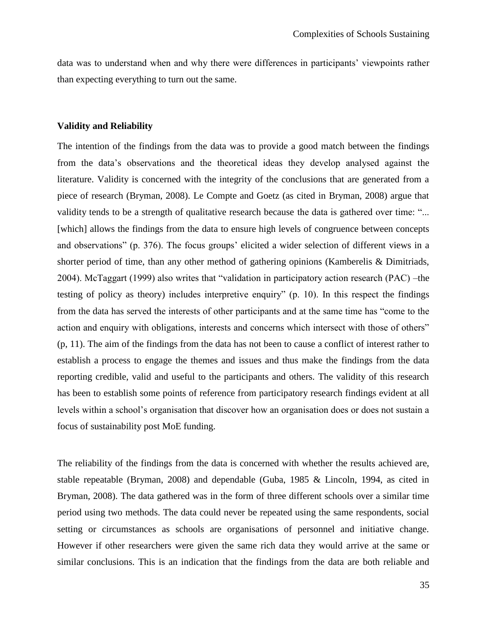data was to understand when and why there were differences in participants" viewpoints rather than expecting everything to turn out the same.

#### **Validity and Reliability**

The intention of the findings from the data was to provide a good match between the findings from the data"s observations and the theoretical ideas they develop analysed against the literature. Validity is concerned with the integrity of the conclusions that are generated from a piece of research (Bryman, 2008). Le Compte and Goetz (as cited in Bryman, 2008) argue that validity tends to be a strength of qualitative research because the data is gathered over time: "... [which] allows the findings from the data to ensure high levels of congruence between concepts and observations" (p. 376). The focus groups' elicited a wider selection of different views in a shorter period of time, than any other method of gathering opinions (Kamberelis & Dimitriads, 2004). McTaggart (1999) also writes that "validation in participatory action research (PAC) –the testing of policy as theory) includes interpretive enquiry" (p. 10). In this respect the findings from the data has served the interests of other participants and at the same time has "come to the action and enquiry with obligations, interests and concerns which intersect with those of others" (p, 11). The aim of the findings from the data has not been to cause a conflict of interest rather to establish a process to engage the themes and issues and thus make the findings from the data reporting credible, valid and useful to the participants and others. The validity of this research has been to establish some points of reference from participatory research findings evident at all levels within a school"s organisation that discover how an organisation does or does not sustain a focus of sustainability post MoE funding.

The reliability of the findings from the data is concerned with whether the results achieved are, stable repeatable (Bryman, 2008) and dependable (Guba, 1985 & Lincoln, 1994, as cited in Bryman, 2008). The data gathered was in the form of three different schools over a similar time period using two methods. The data could never be repeated using the same respondents, social setting or circumstances as schools are organisations of personnel and initiative change. However if other researchers were given the same rich data they would arrive at the same or similar conclusions. This is an indication that the findings from the data are both reliable and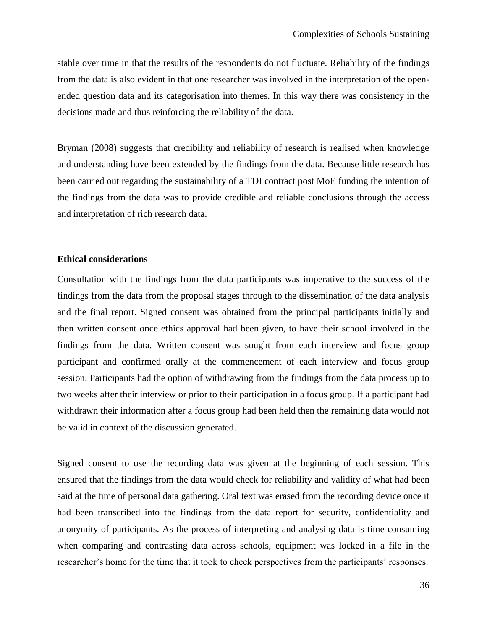stable over time in that the results of the respondents do not fluctuate. Reliability of the findings from the data is also evident in that one researcher was involved in the interpretation of the openended question data and its categorisation into themes. In this way there was consistency in the decisions made and thus reinforcing the reliability of the data.

Bryman (2008) suggests that credibility and reliability of research is realised when knowledge and understanding have been extended by the findings from the data. Because little research has been carried out regarding the sustainability of a TDI contract post MoE funding the intention of the findings from the data was to provide credible and reliable conclusions through the access and interpretation of rich research data.

# **Ethical considerations**

Consultation with the findings from the data participants was imperative to the success of the findings from the data from the proposal stages through to the dissemination of the data analysis and the final report. Signed consent was obtained from the principal participants initially and then written consent once ethics approval had been given, to have their school involved in the findings from the data. Written consent was sought from each interview and focus group participant and confirmed orally at the commencement of each interview and focus group session. Participants had the option of withdrawing from the findings from the data process up to two weeks after their interview or prior to their participation in a focus group. If a participant had withdrawn their information after a focus group had been held then the remaining data would not be valid in context of the discussion generated.

Signed consent to use the recording data was given at the beginning of each session. This ensured that the findings from the data would check for reliability and validity of what had been said at the time of personal data gathering. Oral text was erased from the recording device once it had been transcribed into the findings from the data report for security, confidentiality and anonymity of participants. As the process of interpreting and analysing data is time consuming when comparing and contrasting data across schools, equipment was locked in a file in the researcher's home for the time that it took to check perspectives from the participants' responses.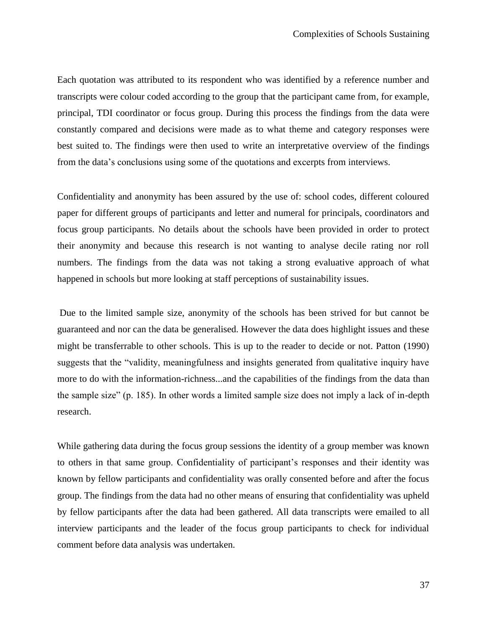Each quotation was attributed to its respondent who was identified by a reference number and transcripts were colour coded according to the group that the participant came from, for example, principal, TDI coordinator or focus group. During this process the findings from the data were constantly compared and decisions were made as to what theme and category responses were best suited to. The findings were then used to write an interpretative overview of the findings from the data"s conclusions using some of the quotations and excerpts from interviews.

Confidentiality and anonymity has been assured by the use of: school codes, different coloured paper for different groups of participants and letter and numeral for principals, coordinators and focus group participants. No details about the schools have been provided in order to protect their anonymity and because this research is not wanting to analyse decile rating nor roll numbers. The findings from the data was not taking a strong evaluative approach of what happened in schools but more looking at staff perceptions of sustainability issues.

Due to the limited sample size, anonymity of the schools has been strived for but cannot be guaranteed and nor can the data be generalised. However the data does highlight issues and these might be transferrable to other schools. This is up to the reader to decide or not. Patton (1990) suggests that the "validity, meaningfulness and insights generated from qualitative inquiry have more to do with the information-richness...and the capabilities of the findings from the data than the sample size" (p. 185). In other words a limited sample size does not imply a lack of in-depth research.

While gathering data during the focus group sessions the identity of a group member was known to others in that same group. Confidentiality of participant's responses and their identity was known by fellow participants and confidentiality was orally consented before and after the focus group. The findings from the data had no other means of ensuring that confidentiality was upheld by fellow participants after the data had been gathered. All data transcripts were emailed to all interview participants and the leader of the focus group participants to check for individual comment before data analysis was undertaken.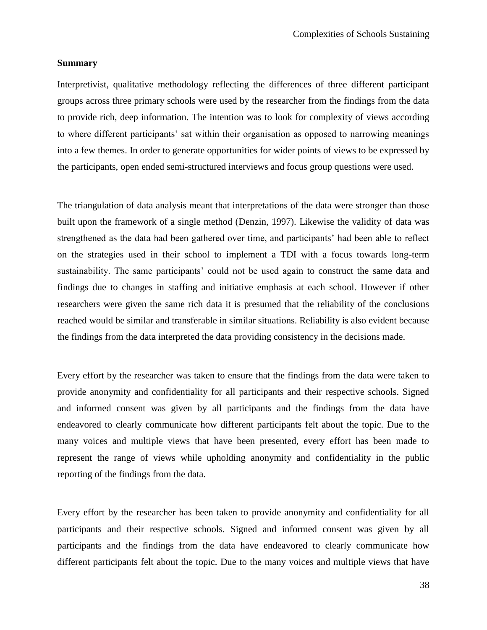# **Summary**

Interpretivist, qualitative methodology reflecting the differences of three different participant groups across three primary schools were used by the researcher from the findings from the data to provide rich, deep information. The intention was to look for complexity of views according to where different participants' sat within their organisation as opposed to narrowing meanings into a few themes. In order to generate opportunities for wider points of views to be expressed by the participants, open ended semi-structured interviews and focus group questions were used.

The triangulation of data analysis meant that interpretations of the data were stronger than those built upon the framework of a single method (Denzin, 1997). Likewise the validity of data was strengthened as the data had been gathered over time, and participants" had been able to reflect on the strategies used in their school to implement a TDI with a focus towards long-term sustainability. The same participants' could not be used again to construct the same data and findings due to changes in staffing and initiative emphasis at each school. However if other researchers were given the same rich data it is presumed that the reliability of the conclusions reached would be similar and transferable in similar situations. Reliability is also evident because the findings from the data interpreted the data providing consistency in the decisions made.

Every effort by the researcher was taken to ensure that the findings from the data were taken to provide anonymity and confidentiality for all participants and their respective schools. Signed and informed consent was given by all participants and the findings from the data have endeavored to clearly communicate how different participants felt about the topic. Due to the many voices and multiple views that have been presented, every effort has been made to represent the range of views while upholding anonymity and confidentiality in the public reporting of the findings from the data.

Every effort by the researcher has been taken to provide anonymity and confidentiality for all participants and their respective schools. Signed and informed consent was given by all participants and the findings from the data have endeavored to clearly communicate how different participants felt about the topic. Due to the many voices and multiple views that have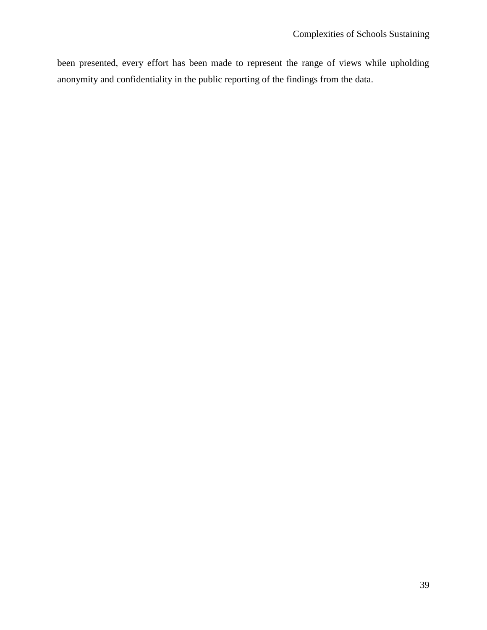been presented, every effort has been made to represent the range of views while upholding anonymity and confidentiality in the public reporting of the findings from the data.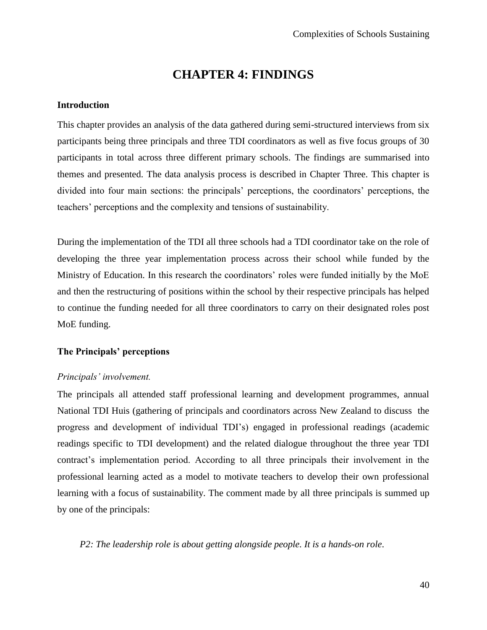# **CHAPTER 4: FINDINGS**

# **Introduction**

This chapter provides an analysis of the data gathered during semi-structured interviews from six participants being three principals and three TDI coordinators as well as five focus groups of 30 participants in total across three different primary schools. The findings are summarised into themes and presented. The data analysis process is described in Chapter Three. This chapter is divided into four main sections: the principals" perceptions, the coordinators" perceptions, the teachers" perceptions and the complexity and tensions of sustainability.

During the implementation of the TDI all three schools had a TDI coordinator take on the role of developing the three year implementation process across their school while funded by the Ministry of Education. In this research the coordinators' roles were funded initially by the MoE and then the restructuring of positions within the school by their respective principals has helped to continue the funding needed for all three coordinators to carry on their designated roles post MoE funding.

# **The Principals' perceptions**

# *Principals" involvement.*

The principals all attended staff professional learning and development programmes, annual National TDI Huis (gathering of principals and coordinators across New Zealand to discuss the progress and development of individual TDI"s) engaged in professional readings (academic readings specific to TDI development) and the related dialogue throughout the three year TDI contract"s implementation period. According to all three principals their involvement in the professional learning acted as a model to motivate teachers to develop their own professional learning with a focus of sustainability. The comment made by all three principals is summed up by one of the principals:

*P2: The leadership role is about getting alongside people. It is a hands-on role*.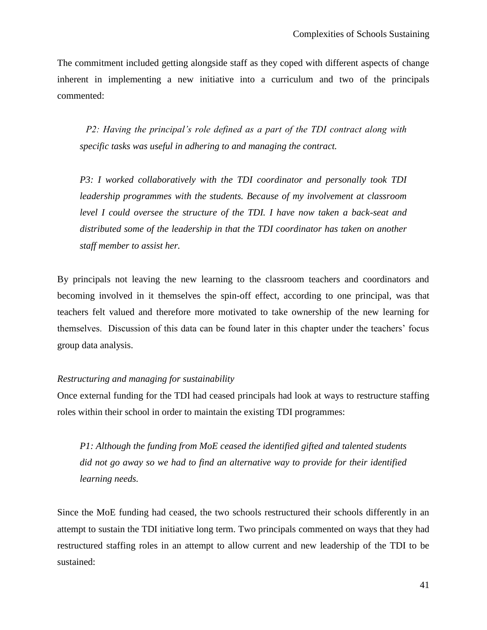The commitment included getting alongside staff as they coped with different aspects of change inherent in implementing a new initiative into a curriculum and two of the principals commented:

*P2: Having the principal"s role defined as a part of the TDI contract along with specific tasks was useful in adhering to and managing the contract.*

*P3: I worked collaboratively with the TDI coordinator and personally took TDI leadership programmes with the students. Because of my involvement at classroom level I could oversee the structure of the TDI. I have now taken a back-seat and distributed some of the leadership in that the TDI coordinator has taken on another staff member to assist her.*

By principals not leaving the new learning to the classroom teachers and coordinators and becoming involved in it themselves the spin-off effect, according to one principal, was that teachers felt valued and therefore more motivated to take ownership of the new learning for themselves. Discussion of this data can be found later in this chapter under the teachers" focus group data analysis.

# *Restructuring and managing for sustainability*

Once external funding for the TDI had ceased principals had look at ways to restructure staffing roles within their school in order to maintain the existing TDI programmes:

*P1: Although the funding from MoE ceased the identified gifted and talented students did not go away so we had to find an alternative way to provide for their identified learning needs.*

Since the MoE funding had ceased, the two schools restructured their schools differently in an attempt to sustain the TDI initiative long term. Two principals commented on ways that they had restructured staffing roles in an attempt to allow current and new leadership of the TDI to be sustained: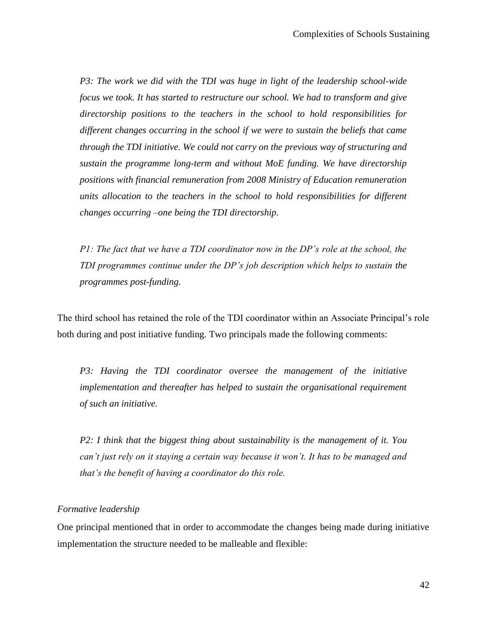*P3: The work we did with the TDI was huge in light of the leadership school-wide focus we took. It has started to restructure our school. We had to transform and give directorship positions to the teachers in the school to hold responsibilities for different changes occurring in the school if we were to sustain the beliefs that came through the TDI initiative. We could not carry on the previous way of structuring and sustain the programme long-term and without MoE funding. We have directorship positions with financial remuneration from 2008 Ministry of Education remuneration units allocation to the teachers in the school to hold responsibilities for different changes occurring –one being the TDI directorship.* 

*P1: The fact that we have a TDI coordinator now in the DP's role at the school, the TDI programmes continue under the DP"s job description which helps to sustain the programmes post-funding.*

The third school has retained the role of the TDI coordinator within an Associate Principal"s role both during and post initiative funding. Two principals made the following comments:

*P3: Having the TDI coordinator oversee the management of the initiative implementation and thereafter has helped to sustain the organisational requirement of such an initiative.*

*P2: I think that the biggest thing about sustainability is the management of it. You can"t just rely on it staying a certain way because it won"t. It has to be managed and that"s the benefit of having a coordinator do this role.*

# *Formative leadership*

One principal mentioned that in order to accommodate the changes being made during initiative implementation the structure needed to be malleable and flexible: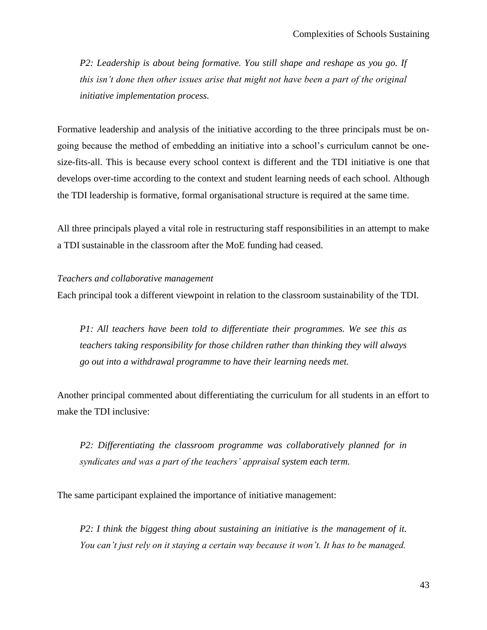*P2: Leadership is about being formative. You still shape and reshape as you go. If this isn"t done then other issues arise that might not have been a part of the original initiative implementation process.* 

Formative leadership and analysis of the initiative according to the three principals must be ongoing because the method of embedding an initiative into a school"s curriculum cannot be onesize-fits-all. This is because every school context is different and the TDI initiative is one that develops over-time according to the context and student learning needs of each school. Although the TDI leadership is formative, formal organisational structure is required at the same time.

All three principals played a vital role in restructuring staff responsibilities in an attempt to make a TDI sustainable in the classroom after the MoE funding had ceased.

#### *Teachers and collaborative management*

Each principal took a different viewpoint in relation to the classroom sustainability of the TDI.

*P1: All teachers have been told to differentiate their programmes. We see this as teachers taking responsibility for those children rather than thinking they will always go out into a withdrawal programme to have their learning needs met.*

Another principal commented about differentiating the curriculum for all students in an effort to make the TDI inclusive:

*P2: Differentiating the classroom programme was collaboratively planned for in syndicates and was a part of the teachers" appraisal system each term.*

The same participant explained the importance of initiative management:

*P2: I think the biggest thing about sustaining an initiative is the management of it. You can"t just rely on it staying a certain way because it won"t. It has to be managed.*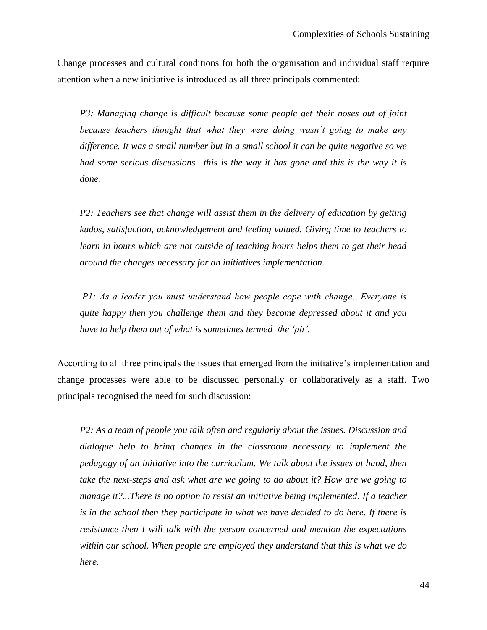Change processes and cultural conditions for both the organisation and individual staff require attention when a new initiative is introduced as all three principals commented:

*P3: Managing change is difficult because some people get their noses out of joint because teachers thought that what they were doing wasn"t going to make any difference. It was a small number but in a small school it can be quite negative so we had some serious discussions –this is the way it has gone and this is the way it is done.*

*P2: Teachers see that change will assist them in the delivery of education by getting kudos, satisfaction, acknowledgement and feeling valued. Giving time to teachers to learn in hours which are not outside of teaching hours helps them to get their head around the changes necessary for an initiatives implementation.*

*P1: As a leader you must understand how people cope with change…Everyone is quite happy then you challenge them and they become depressed about it and you have to help them out of what is sometimes termed the "pit".*

According to all three principals the issues that emerged from the initiative's implementation and change processes were able to be discussed personally or collaboratively as a staff. Two principals recognised the need for such discussion:

*P2: As a team of people you talk often and regularly about the issues. Discussion and dialogue help to bring changes in the classroom necessary to implement the pedagogy of an initiative into the curriculum. We talk about the issues at hand, then take the next-steps and ask what are we going to do about it? How are we going to manage it?...There is no option to resist an initiative being implemented. If a teacher is in the school then they participate in what we have decided to do here. If there is resistance then I will talk with the person concerned and mention the expectations within our school. When people are employed they understand that this is what we do here.*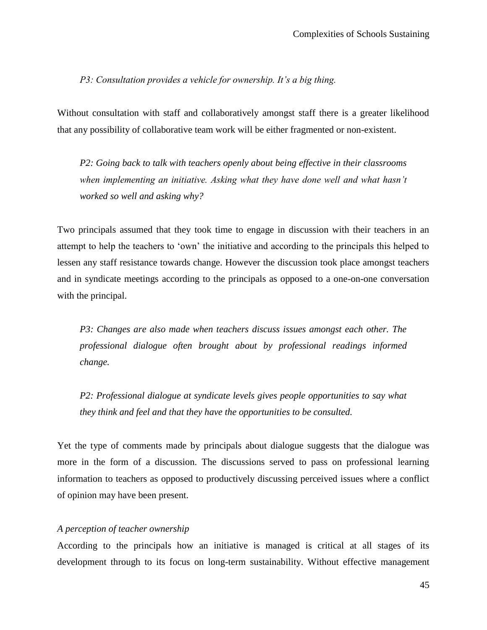# *P3: Consultation provides a vehicle for ownership. It"s a big thing.*

Without consultation with staff and collaboratively amongst staff there is a greater likelihood that any possibility of collaborative team work will be either fragmented or non-existent.

*P2: Going back to talk with teachers openly about being effective in their classrooms when implementing an initiative. Asking what they have done well and what hasn"t worked so well and asking why?*

Two principals assumed that they took time to engage in discussion with their teachers in an attempt to help the teachers to "own" the initiative and according to the principals this helped to lessen any staff resistance towards change. However the discussion took place amongst teachers and in syndicate meetings according to the principals as opposed to a one-on-one conversation with the principal.

*P3: Changes are also made when teachers discuss issues amongst each other. The professional dialogue often brought about by professional readings informed change.*

*P2: Professional dialogue at syndicate levels gives people opportunities to say what they think and feel and that they have the opportunities to be consulted.*

Yet the type of comments made by principals about dialogue suggests that the dialogue was more in the form of a discussion. The discussions served to pass on professional learning information to teachers as opposed to productively discussing perceived issues where a conflict of opinion may have been present.

# *A perception of teacher ownership*

According to the principals how an initiative is managed is critical at all stages of its development through to its focus on long-term sustainability. Without effective management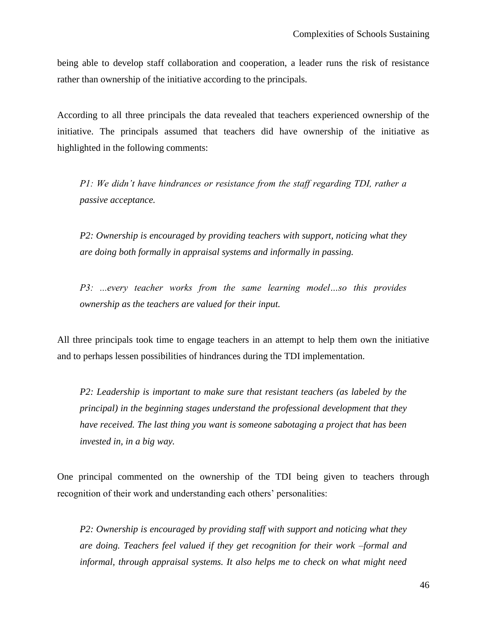being able to develop staff collaboration and cooperation, a leader runs the risk of resistance rather than ownership of the initiative according to the principals.

According to all three principals the data revealed that teachers experienced ownership of the initiative. The principals assumed that teachers did have ownership of the initiative as highlighted in the following comments:

*P1: We didn't have hindrances or resistance from the staff regarding TDI, rather a passive acceptance.*

*P2: Ownership is encouraged by providing teachers with support, noticing what they are doing both formally in appraisal systems and informally in passing.* 

*P3: ...every teacher works from the same learning model…so this provides ownership as the teachers are valued for their input.*

All three principals took time to engage teachers in an attempt to help them own the initiative and to perhaps lessen possibilities of hindrances during the TDI implementation.

*P2: Leadership is important to make sure that resistant teachers (as labeled by the principal) in the beginning stages understand the professional development that they have received. The last thing you want is someone sabotaging a project that has been invested in, in a big way.*

One principal commented on the ownership of the TDI being given to teachers through recognition of their work and understanding each others' personalities:

*P2: Ownership is encouraged by providing staff with support and noticing what they are doing. Teachers feel valued if they get recognition for their work –formal and informal, through appraisal systems. It also helps me to check on what might need*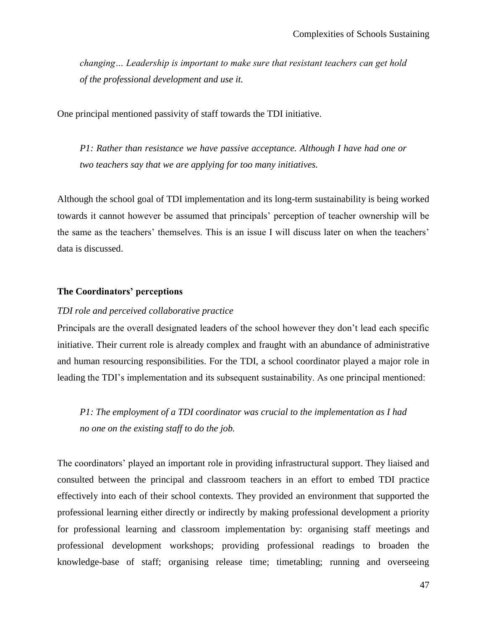*changing… Leadership is important to make sure that resistant teachers can get hold of the professional development and use it.*

One principal mentioned passivity of staff towards the TDI initiative.

*P1: Rather than resistance we have passive acceptance. Although I have had one or two teachers say that we are applying for too many initiatives.*

Although the school goal of TDI implementation and its long-term sustainability is being worked towards it cannot however be assumed that principals" perception of teacher ownership will be the same as the teachers' themselves. This is an issue I will discuss later on when the teachers' data is discussed.

# **The Coordinators' perceptions**

## *TDI role and perceived collaborative practice*

Principals are the overall designated leaders of the school however they don"t lead each specific initiative. Their current role is already complex and fraught with an abundance of administrative and human resourcing responsibilities. For the TDI, a school coordinator played a major role in leading the TDI's implementation and its subsequent sustainability. As one principal mentioned:

*P1: The employment of a TDI coordinator was crucial to the implementation as I had no one on the existing staff to do the job.*

The coordinators' played an important role in providing infrastructural support. They liaised and consulted between the principal and classroom teachers in an effort to embed TDI practice effectively into each of their school contexts. They provided an environment that supported the professional learning either directly or indirectly by making professional development a priority for professional learning and classroom implementation by: organising staff meetings and professional development workshops; providing professional readings to broaden the knowledge-base of staff; organising release time; timetabling; running and overseeing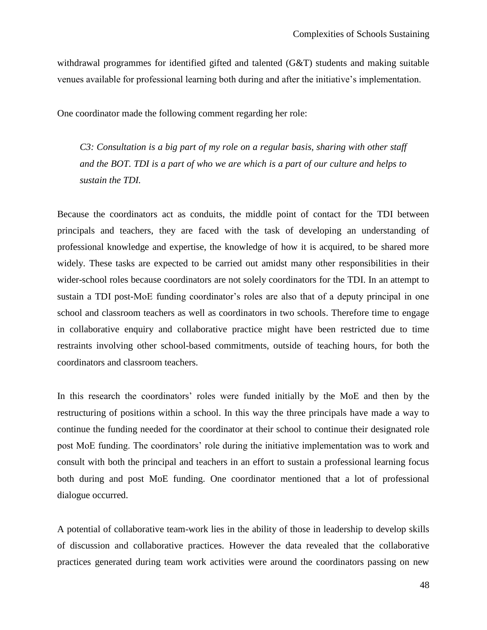withdrawal programmes for identified gifted and talented (G&T) students and making suitable venues available for professional learning both during and after the initiative"s implementation.

One coordinator made the following comment regarding her role:

*C3: Consultation is a big part of my role on a regular basis, sharing with other staff and the BOT. TDI is a part of who we are which is a part of our culture and helps to sustain the TDI.*

Because the coordinators act as conduits, the middle point of contact for the TDI between principals and teachers, they are faced with the task of developing an understanding of professional knowledge and expertise, the knowledge of how it is acquired, to be shared more widely. These tasks are expected to be carried out amidst many other responsibilities in their wider-school roles because coordinators are not solely coordinators for the TDI. In an attempt to sustain a TDI post-MoE funding coordinator's roles are also that of a deputy principal in one school and classroom teachers as well as coordinators in two schools. Therefore time to engage in collaborative enquiry and collaborative practice might have been restricted due to time restraints involving other school-based commitments, outside of teaching hours, for both the coordinators and classroom teachers.

In this research the coordinators' roles were funded initially by the MoE and then by the restructuring of positions within a school. In this way the three principals have made a way to continue the funding needed for the coordinator at their school to continue their designated role post MoE funding. The coordinators' role during the initiative implementation was to work and consult with both the principal and teachers in an effort to sustain a professional learning focus both during and post MoE funding. One coordinator mentioned that a lot of professional dialogue occurred.

A potential of collaborative team-work lies in the ability of those in leadership to develop skills of discussion and collaborative practices. However the data revealed that the collaborative practices generated during team work activities were around the coordinators passing on new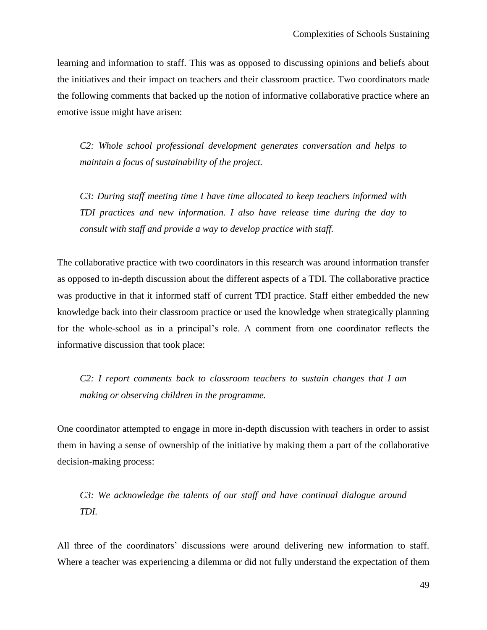learning and information to staff. This was as opposed to discussing opinions and beliefs about the initiatives and their impact on teachers and their classroom practice. Two coordinators made the following comments that backed up the notion of informative collaborative practice where an emotive issue might have arisen:

*C2: Whole school professional development generates conversation and helps to maintain a focus of sustainability of the project.*

*C3: During staff meeting time I have time allocated to keep teachers informed with TDI practices and new information. I also have release time during the day to consult with staff and provide a way to develop practice with staff.*

The collaborative practice with two coordinators in this research was around information transfer as opposed to in-depth discussion about the different aspects of a TDI. The collaborative practice was productive in that it informed staff of current TDI practice. Staff either embedded the new knowledge back into their classroom practice or used the knowledge when strategically planning for the whole-school as in a principal"s role. A comment from one coordinator reflects the informative discussion that took place:

*C2: I report comments back to classroom teachers to sustain changes that I am making or observing children in the programme.*

One coordinator attempted to engage in more in-depth discussion with teachers in order to assist them in having a sense of ownership of the initiative by making them a part of the collaborative decision-making process:

*C3: We acknowledge the talents of our staff and have continual dialogue around TDI.*

All three of the coordinators' discussions were around delivering new information to staff. Where a teacher was experiencing a dilemma or did not fully understand the expectation of them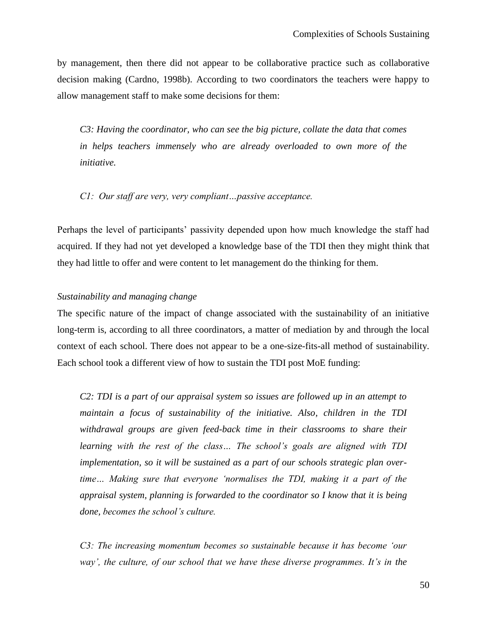by management, then there did not appear to be collaborative practice such as collaborative decision making (Cardno, 1998b). According to two coordinators the teachers were happy to allow management staff to make some decisions for them:

*C3: Having the coordinator, who can see the big picture, collate the data that comes in helps teachers immensely who are already overloaded to own more of the initiative.*

*C1: Our staff are very, very compliant…passive acceptance.* 

Perhaps the level of participants' passivity depended upon how much knowledge the staff had acquired. If they had not yet developed a knowledge base of the TDI then they might think that they had little to offer and were content to let management do the thinking for them.

## *Sustainability and managing change*

The specific nature of the impact of change associated with the sustainability of an initiative long-term is, according to all three coordinators, a matter of mediation by and through the local context of each school. There does not appear to be a one-size-fits-all method of sustainability. Each school took a different view of how to sustain the TDI post MoE funding:

*C2: TDI is a part of our appraisal system so issues are followed up in an attempt to maintain a focus of sustainability of the initiative. Also, children in the TDI withdrawal groups are given feed-back time in their classrooms to share their learning with the rest of the class… The school"s goals are aligned with TDI implementation, so it will be sustained as a part of our schools strategic plan overtime… Making sure that everyone "normalises the TDI, making it a part of the appraisal system, planning is forwarded to the coordinator so I know that it is being done, becomes the school"s culture.*

*C3: The increasing momentum becomes so sustainable because it has become "our way", the culture, of our school that we have these diverse programmes. It"s in the*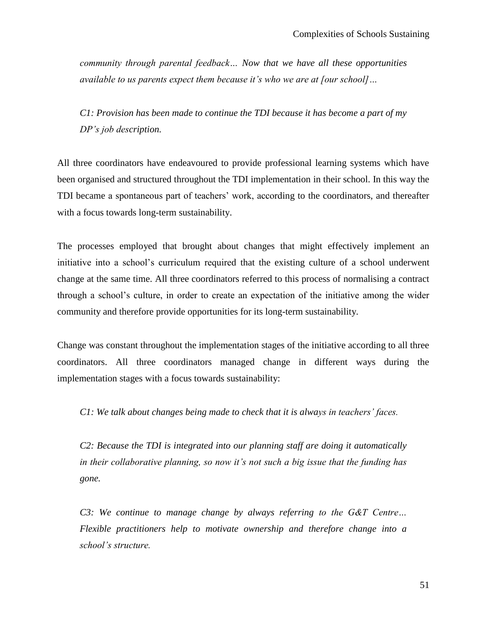*community through parental feedback… Now that we have all these opportunities available to us parents expect them because it"s who we are at [our school]…*

*C1: Provision has been made to continue the TDI because it has become a part of my DP"s job description.* 

All three coordinators have endeavoured to provide professional learning systems which have been organised and structured throughout the TDI implementation in their school. In this way the TDI became a spontaneous part of teachers" work, according to the coordinators, and thereafter with a focus towards long-term sustainability.

The processes employed that brought about changes that might effectively implement an initiative into a school"s curriculum required that the existing culture of a school underwent change at the same time. All three coordinators referred to this process of normalising a contract through a school"s culture, in order to create an expectation of the initiative among the wider community and therefore provide opportunities for its long-term sustainability.

Change was constant throughout the implementation stages of the initiative according to all three coordinators. All three coordinators managed change in different ways during the implementation stages with a focus towards sustainability:

*C1: We talk about changes being made to check that it is always in teachers" faces.*

*C2: Because the TDI is integrated into our planning staff are doing it automatically in their collaborative planning, so now it"s not such a big issue that the funding has gone.*

*C3: We continue to manage change by always referring to the G&T Centre… Flexible practitioners help to motivate ownership and therefore change into a school"s structure.*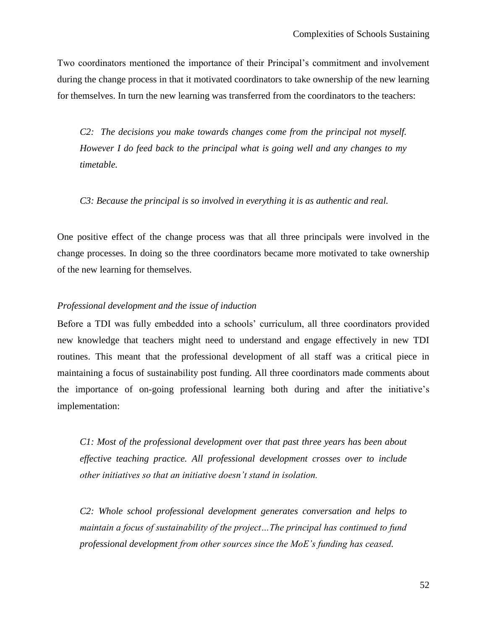Two coordinators mentioned the importance of their Principal"s commitment and involvement during the change process in that it motivated coordinators to take ownership of the new learning for themselves. In turn the new learning was transferred from the coordinators to the teachers:

*C2: The decisions you make towards changes come from the principal not myself. However I do feed back to the principal what is going well and any changes to my timetable.* 

*C3: Because the principal is so involved in everything it is as authentic and real.*

One positive effect of the change process was that all three principals were involved in the change processes. In doing so the three coordinators became more motivated to take ownership of the new learning for themselves.

# *Professional development and the issue of induction*

Before a TDI was fully embedded into a schools' curriculum, all three coordinators provided new knowledge that teachers might need to understand and engage effectively in new TDI routines. This meant that the professional development of all staff was a critical piece in maintaining a focus of sustainability post funding. All three coordinators made comments about the importance of on-going professional learning both during and after the initiative"s implementation:

*C1: Most of the professional development over that past three years has been about effective teaching practice. All professional development crosses over to include other initiatives so that an initiative doesn"t stand in isolation.*

*C2: Whole school professional development generates conversation and helps to maintain a focus of sustainability of the project…The principal has continued to fund professional development from other sources since the MoE"s funding has ceased.*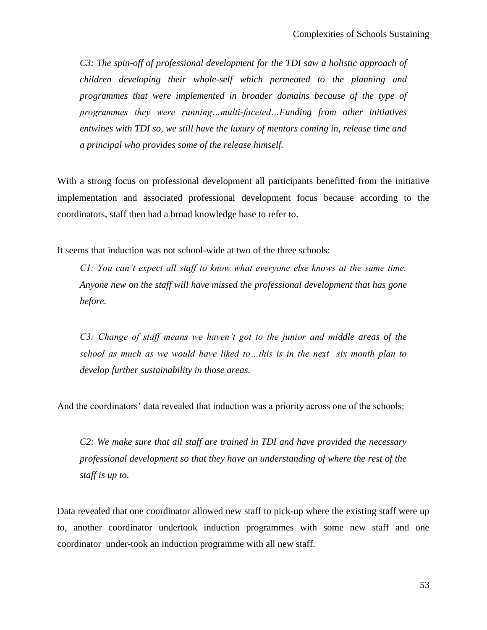*C3: The spin-off of professional development for the TDI saw a holistic approach of children developing their whole-self which permeated to the planning and programmes that were implemented in broader domains because of the type of programmes they were running…multi-faceted…Funding from other initiatives entwines with TDI so, we still have the luxury of mentors coming in, release time and a principal who provides some of the release himself.* 

With a strong focus on professional development all participants benefitted from the initiative implementation and associated professional development focus because according to the coordinators, staff then had a broad knowledge base to refer to.

It seems that induction was not school-wide at two of the three schools:

*C1: You can"t expect all staff to know what everyone else knows at the same time. Anyone new on the staff will have missed the professional development that has gone before.*

*C3: Change of staff means we haven"t got to the junior and middle areas of the school as much as we would have liked to…this is in the next six month plan to develop further sustainability in those areas.*

And the coordinators' data revealed that induction was a priority across one of the schools:

*C2: We make sure that all staff are trained in TDI and have provided the necessary professional development so that they have an understanding of where the rest of the staff is up to.*

Data revealed that one coordinator allowed new staff to pick-up where the existing staff were up to, another coordinator undertook induction programmes with some new staff and one coordinator under-took an induction programme with all new staff.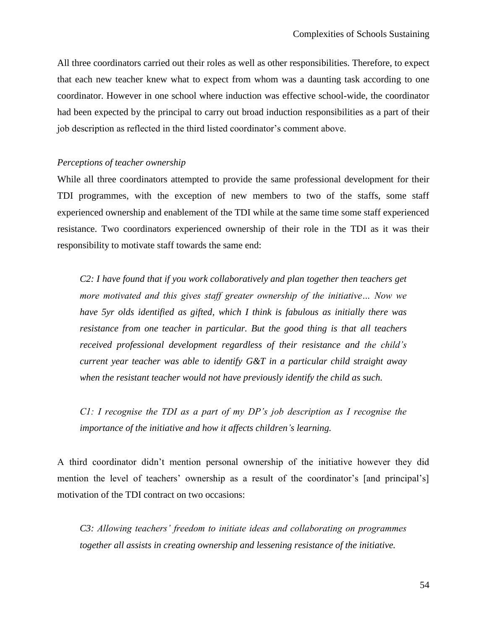All three coordinators carried out their roles as well as other responsibilities. Therefore, to expect that each new teacher knew what to expect from whom was a daunting task according to one coordinator. However in one school where induction was effective school-wide, the coordinator had been expected by the principal to carry out broad induction responsibilities as a part of their job description as reflected in the third listed coordinator"s comment above.

# *Perceptions of teacher ownership*

While all three coordinators attempted to provide the same professional development for their TDI programmes, with the exception of new members to two of the staffs, some staff experienced ownership and enablement of the TDI while at the same time some staff experienced resistance. Two coordinators experienced ownership of their role in the TDI as it was their responsibility to motivate staff towards the same end:

*C2: I have found that if you work collaboratively and plan together then teachers get more motivated and this gives staff greater ownership of the initiative… Now we have 5yr olds identified as gifted, which I think is fabulous as initially there was resistance from one teacher in particular. But the good thing is that all teachers received professional development regardless of their resistance and the child"s current year teacher was able to identify G&T in a particular child straight away when the resistant teacher would not have previously identify the child as such.*

*C1: I recognise the TDI as a part of my DP"s job description as I recognise the importance of the initiative and how it affects children"s learning.*

A third coordinator didn"t mention personal ownership of the initiative however they did mention the level of teachers' ownership as a result of the coordinator's [and principal's] motivation of the TDI contract on two occasions:

*C3: Allowing teachers" freedom to initiate ideas and collaborating on programmes together all assists in creating ownership and lessening resistance of the initiative.*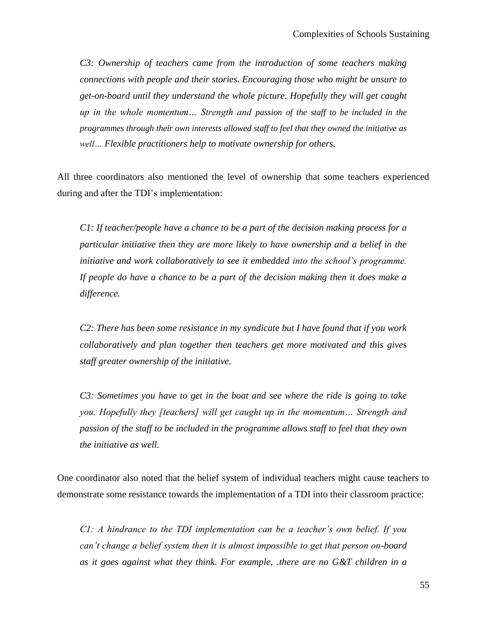*C3: Ownership of teachers came from the introduction of some teachers making connections with people and their stories. Encouraging those who might be unsure to get-on-board until they understand the whole picture. Hopefully they will get caught up in the whole momentum… Strength and passion of the staff to be included in the programmes through their own interests allowed staff to feel that they owned the initiative as well… Flexible practitioners help to motivate ownership for others.*

All three coordinators also mentioned the level of ownership that some teachers experienced during and after the TDI"s implementation:

*C1: If teacher/people have a chance to be a part of the decision making process for a particular initiative then they are more likely to have ownership and a belief in the initiative and work collaboratively to see it embedded into the school"s programme. If people do have a chance to be a part of the decision making then it does make a difference.*

*C2: There has been some resistance in my syndicate but I have found that if you work collaboratively and plan together then teachers get more motivated and this gives staff greater ownership of the initiative.*

*C3: Sometimes you have to get in the boat and see where the ride is going to take you. Hopefully they [teachers] will get caught up in the momentum… Strength and passion of the staff to be included in the programme allows staff to feel that they own the initiative as well.* 

One coordinator also noted that the belief system of individual teachers might cause teachers to demonstrate some resistance towards the implementation of a TDI into their classroom practice:

*C1: A hindrance to the TDI implementation can be a teacher"s own belief. If you can"t change a belief system then it is almost impossible to get that person on-board as it goes against what they think. For example, .there are no G&T children in a*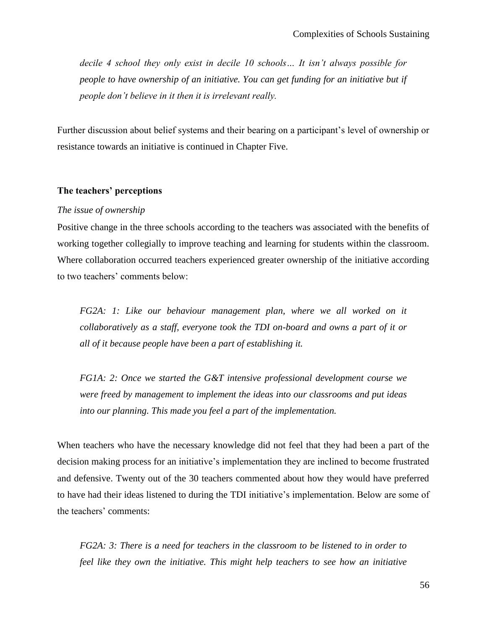*decile 4 school they only exist in decile 10 schools… It isn"t always possible for people to have ownership of an initiative. You can get funding for an initiative but if people don"t believe in it then it is irrelevant really.*

Further discussion about belief systems and their bearing on a participant"s level of ownership or resistance towards an initiative is continued in Chapter Five.

## **The teachers' perceptions**

#### *The issue of ownership*

Positive change in the three schools according to the teachers was associated with the benefits of working together collegially to improve teaching and learning for students within the classroom. Where collaboration occurred teachers experienced greater ownership of the initiative according to two teachers' comments below:

*FG2A: 1: Like our behaviour management plan, where we all worked on it collaboratively as a staff, everyone took the TDI on-board and owns a part of it or all of it because people have been a part of establishing it.*

*FG1A: 2: Once we started the G&T intensive professional development course we were freed by management to implement the ideas into our classrooms and put ideas into our planning. This made you feel a part of the implementation.* 

When teachers who have the necessary knowledge did not feel that they had been a part of the decision making process for an initiative"s implementation they are inclined to become frustrated and defensive. Twenty out of the 30 teachers commented about how they would have preferred to have had their ideas listened to during the TDI initiative"s implementation. Below are some of the teachers' comments:

*FG2A: 3: There is a need for teachers in the classroom to be listened to in order to feel like they own the initiative. This might help teachers to see how an initiative*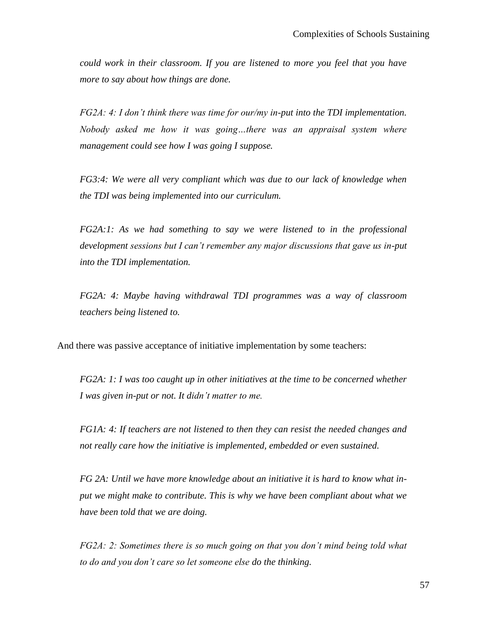*could work in their classroom. If you are listened to more you feel that you have more to say about how things are done.*

*FG2A: 4: I don"t think there was time for our/my in-put into the TDI implementation. Nobody asked me how it was going…there was an appraisal system where management could see how I was going I suppose.*

*FG3:4: We were all very compliant which was due to our lack of knowledge when the TDI was being implemented into our curriculum.*

*FG2A:1: As we had something to say we were listened to in the professional development sessions but I can"t remember any major discussions that gave us in-put into the TDI implementation.*

*FG2A: 4: Maybe having withdrawal TDI programmes was a way of classroom teachers being listened to.* 

And there was passive acceptance of initiative implementation by some teachers:

*FG2A: 1: I was too caught up in other initiatives at the time to be concerned whether I was given in-put or not. It didn"t matter to me.*

*FG1A: 4: If teachers are not listened to then they can resist the needed changes and not really care how the initiative is implemented, embedded or even sustained.*

*FG 2A: Until we have more knowledge about an initiative it is hard to know what input we might make to contribute. This is why we have been compliant about what we have been told that we are doing.*

*FG2A: 2: Sometimes there is so much going on that you don"t mind being told what to do and you don"t care so let someone else do the thinking.*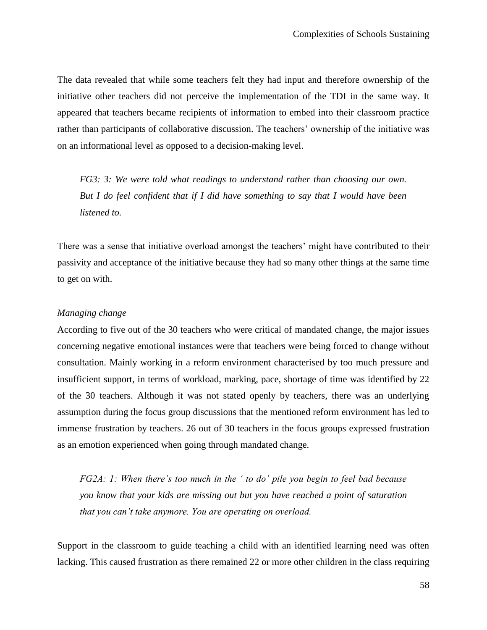The data revealed that while some teachers felt they had input and therefore ownership of the initiative other teachers did not perceive the implementation of the TDI in the same way. It appeared that teachers became recipients of information to embed into their classroom practice rather than participants of collaborative discussion. The teachers' ownership of the initiative was on an informational level as opposed to a decision-making level.

*FG3: 3: We were told what readings to understand rather than choosing our own. But I do feel confident that if I did have something to say that I would have been listened to.* 

There was a sense that initiative overload amongst the teachers" might have contributed to their passivity and acceptance of the initiative because they had so many other things at the same time to get on with.

# *Managing change*

According to five out of the 30 teachers who were critical of mandated change, the major issues concerning negative emotional instances were that teachers were being forced to change without consultation. Mainly working in a reform environment characterised by too much pressure and insufficient support, in terms of workload, marking, pace, shortage of time was identified by 22 of the 30 teachers. Although it was not stated openly by teachers, there was an underlying assumption during the focus group discussions that the mentioned reform environment has led to immense frustration by teachers. 26 out of 30 teachers in the focus groups expressed frustration as an emotion experienced when going through mandated change.

*FG2A: 1: When there"s too much in the " to do" pile you begin to feel bad because you know that your kids are missing out but you have reached a point of saturation that you can"t take anymore. You are operating on overload.*

Support in the classroom to guide teaching a child with an identified learning need was often lacking. This caused frustration as there remained 22 or more other children in the class requiring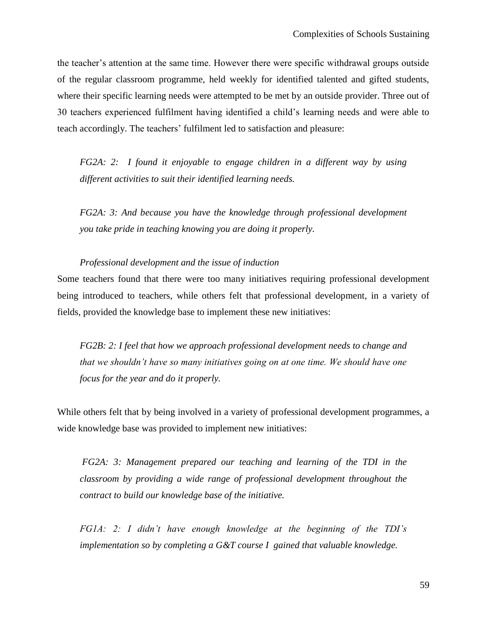the teacher"s attention at the same time. However there were specific withdrawal groups outside of the regular classroom programme, held weekly for identified talented and gifted students, where their specific learning needs were attempted to be met by an outside provider. Three out of 30 teachers experienced fulfilment having identified a child"s learning needs and were able to teach accordingly. The teachers' fulfilment led to satisfaction and pleasure:

*FG2A: 2: I found it enjoyable to engage children in a different way by using different activities to suit their identified learning needs.*

*FG2A: 3: And because you have the knowledge through professional development you take pride in teaching knowing you are doing it properly.*

## *Professional development and the issue of induction*

Some teachers found that there were too many initiatives requiring professional development being introduced to teachers, while others felt that professional development, in a variety of fields, provided the knowledge base to implement these new initiatives:

*FG2B: 2: I feel that how we approach professional development needs to change and that we shouldn"t have so many initiatives going on at one time. We should have one focus for the year and do it properly.*

While others felt that by being involved in a variety of professional development programmes, a wide knowledge base was provided to implement new initiatives:

*FG2A: 3: Management prepared our teaching and learning of the TDI in the classroom by providing a wide range of professional development throughout the contract to build our knowledge base of the initiative.*

*FG1A: 2: I didn"t have enough knowledge at the beginning of the TDI"s implementation so by completing a G&T course I gained that valuable knowledge.*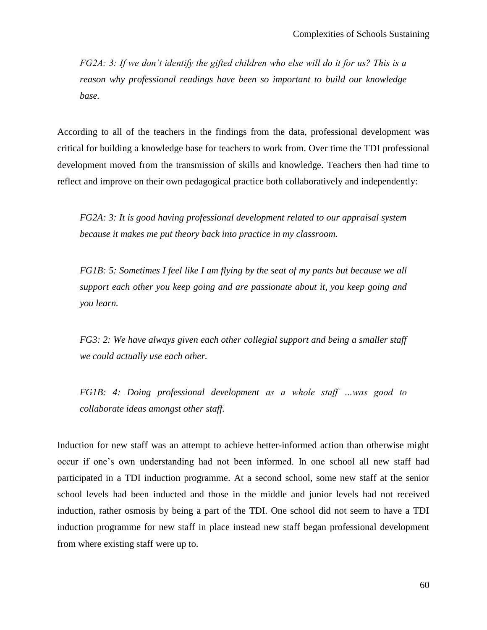*FG2A: 3: If we don"t identify the gifted children who else will do it for us? This is a reason why professional readings have been so important to build our knowledge base.*

According to all of the teachers in the findings from the data, professional development was critical for building a knowledge base for teachers to work from. Over time the TDI professional development moved from the transmission of skills and knowledge. Teachers then had time to reflect and improve on their own pedagogical practice both collaboratively and independently:

*FG2A: 3: It is good having professional development related to our appraisal system because it makes me put theory back into practice in my classroom.* 

*FG1B: 5: Sometimes I feel like I am flying by the seat of my pants but because we all support each other you keep going and are passionate about it, you keep going and you learn.*

*FG3: 2: We have always given each other collegial support and being a smaller staff we could actually use each other.*

*FG1B: 4: Doing professional development as a whole staff …was good to collaborate ideas amongst other staff.*

Induction for new staff was an attempt to achieve better-informed action than otherwise might occur if one"s own understanding had not been informed. In one school all new staff had participated in a TDI induction programme. At a second school, some new staff at the senior school levels had been inducted and those in the middle and junior levels had not received induction, rather osmosis by being a part of the TDI. One school did not seem to have a TDI induction programme for new staff in place instead new staff began professional development from where existing staff were up to.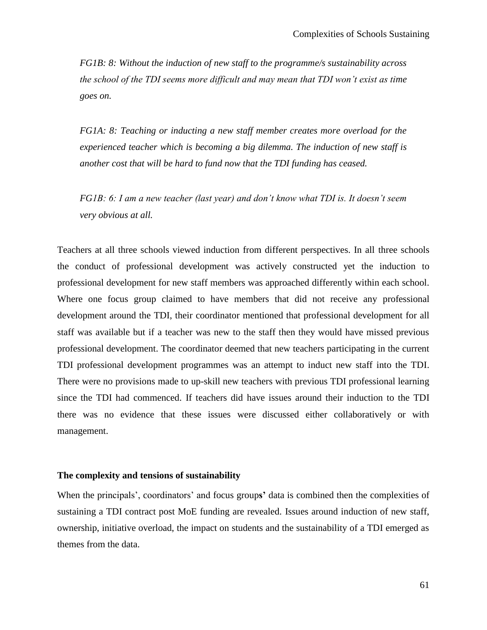*FG1B: 8: Without the induction of new staff to the programme/s sustainability across the school of the TDI seems more difficult and may mean that TDI won"t exist as time goes on.*

*FG1A: 8: Teaching or inducting a new staff member creates more overload for the experienced teacher which is becoming a big dilemma. The induction of new staff is another cost that will be hard to fund now that the TDI funding has ceased.* 

*FG1B: 6: I am a new teacher (last year) and don"t know what TDI is. It doesn"t seem very obvious at all.*

Teachers at all three schools viewed induction from different perspectives. In all three schools the conduct of professional development was actively constructed yet the induction to professional development for new staff members was approached differently within each school. Where one focus group claimed to have members that did not receive any professional development around the TDI, their coordinator mentioned that professional development for all staff was available but if a teacher was new to the staff then they would have missed previous professional development. The coordinator deemed that new teachers participating in the current TDI professional development programmes was an attempt to induct new staff into the TDI. There were no provisions made to up-skill new teachers with previous TDI professional learning since the TDI had commenced. If teachers did have issues around their induction to the TDI there was no evidence that these issues were discussed either collaboratively or with management.

# **The complexity and tensions of sustainability**

When the principals", coordinators" and focus group**s'** data is combined then the complexities of sustaining a TDI contract post MoE funding are revealed. Issues around induction of new staff, ownership, initiative overload, the impact on students and the sustainability of a TDI emerged as themes from the data.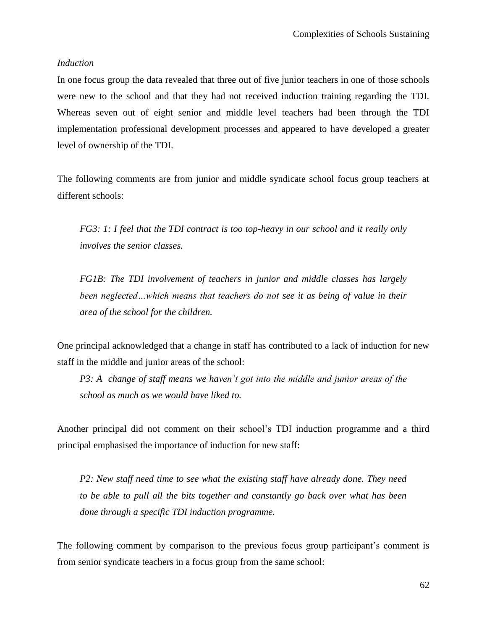## *Induction*

In one focus group the data revealed that three out of five junior teachers in one of those schools were new to the school and that they had not received induction training regarding the TDI. Whereas seven out of eight senior and middle level teachers had been through the TDI implementation professional development processes and appeared to have developed a greater level of ownership of the TDI.

The following comments are from junior and middle syndicate school focus group teachers at different schools:

*FG3: 1: I feel that the TDI contract is too top-heavy in our school and it really only involves the senior classes.*

*FG1B: The TDI involvement of teachers in junior and middle classes has largely been neglected…which means that teachers do not see it as being of value in their area of the school for the children.*

One principal acknowledged that a change in staff has contributed to a lack of induction for new staff in the middle and junior areas of the school:

*P3: A change of staff means we haven"t got into the middle and junior areas of the school as much as we would have liked to.*

Another principal did not comment on their school"s TDI induction programme and a third principal emphasised the importance of induction for new staff:

*P2: New staff need time to see what the existing staff have already done. They need to be able to pull all the bits together and constantly go back over what has been done through a specific TDI induction programme.* 

The following comment by comparison to the previous focus group participant's comment is from senior syndicate teachers in a focus group from the same school: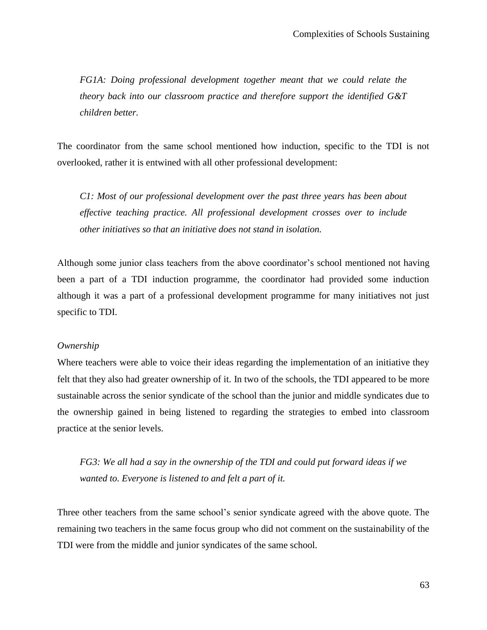*FG1A: Doing professional development together meant that we could relate the theory back into our classroom practice and therefore support the identified G&T children better.*

The coordinator from the same school mentioned how induction, specific to the TDI is not overlooked, rather it is entwined with all other professional development:

*C1: Most of our professional development over the past three years has been about effective teaching practice. All professional development crosses over to include other initiatives so that an initiative does not stand in isolation.*

Although some junior class teachers from the above coordinator's school mentioned not having been a part of a TDI induction programme, the coordinator had provided some induction although it was a part of a professional development programme for many initiatives not just specific to TDI.

# *Ownership*

Where teachers were able to voice their ideas regarding the implementation of an initiative they felt that they also had greater ownership of it. In two of the schools, the TDI appeared to be more sustainable across the senior syndicate of the school than the junior and middle syndicates due to the ownership gained in being listened to regarding the strategies to embed into classroom practice at the senior levels.

*FG3: We all had a say in the ownership of the TDI and could put forward ideas if we wanted to. Everyone is listened to and felt a part of it.*

Three other teachers from the same school"s senior syndicate agreed with the above quote. The remaining two teachers in the same focus group who did not comment on the sustainability of the TDI were from the middle and junior syndicates of the same school.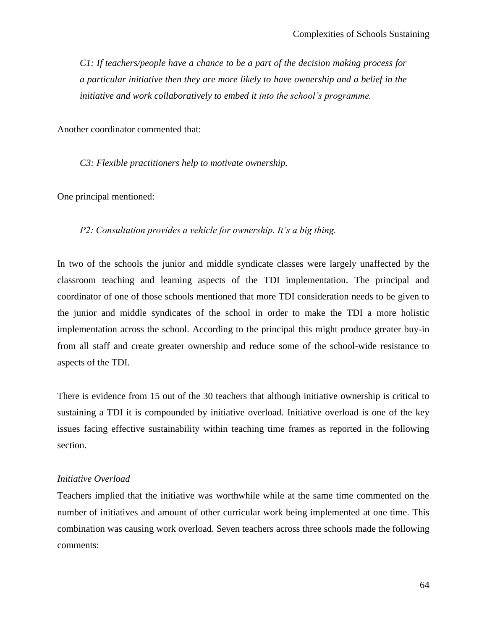*C1: If teachers/people have a chance to be a part of the decision making process for a particular initiative then they are more likely to have ownership and a belief in the initiative and work collaboratively to embed it into the school"s programme.*

Another coordinator commented that:

*C3: Flexible practitioners help to motivate ownership.*

One principal mentioned:

*P2: Consultation provides a vehicle for ownership. It"s a big thing.*

In two of the schools the junior and middle syndicate classes were largely unaffected by the classroom teaching and learning aspects of the TDI implementation. The principal and coordinator of one of those schools mentioned that more TDI consideration needs to be given to the junior and middle syndicates of the school in order to make the TDI a more holistic implementation across the school. According to the principal this might produce greater buy-in from all staff and create greater ownership and reduce some of the school-wide resistance to aspects of the TDI.

There is evidence from 15 out of the 30 teachers that although initiative ownership is critical to sustaining a TDI it is compounded by initiative overload. Initiative overload is one of the key issues facing effective sustainability within teaching time frames as reported in the following section.

## *Initiative Overload*

Teachers implied that the initiative was worthwhile while at the same time commented on the number of initiatives and amount of other curricular work being implemented at one time. This combination was causing work overload. Seven teachers across three schools made the following comments: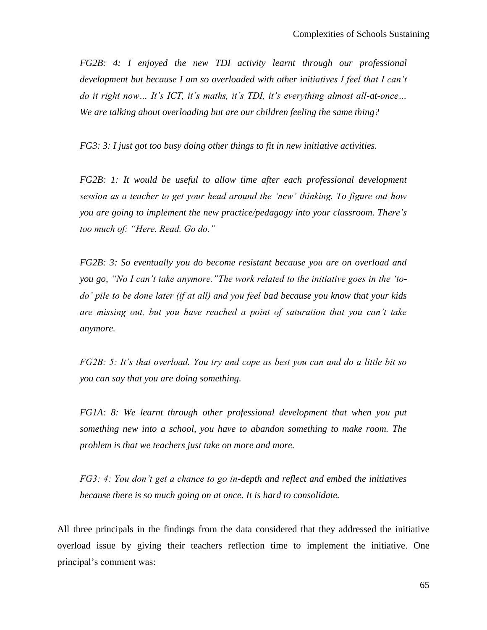*FG2B: 4: I enjoyed the new TDI activity learnt through our professional development but because I am so overloaded with other initiatives I feel that I can"t do it right now... It's ICT, it's maths, it's TDI, it's everything almost all-at-once... We are talking about overloading but are our children feeling the same thing?*

*FG3: 3: I just got too busy doing other things to fit in new initiative activities.*

*FG2B: 1: It would be useful to allow time after each professional development session as a teacher to get your head around the "new" thinking. To figure out how you are going to implement the new practice/pedagogy into your classroom. There"s too much of: "Here. Read. Go do."*

*FG2B: 3: So eventually you do become resistant because you are on overload and you go, "No I can"t take anymore."The work related to the initiative goes in the "todo" pile to be done later (if at all) and you feel bad because you know that your kids are missing out, but you have reached a point of saturation that you can"t take anymore.*

*FG2B: 5: It's that overload. You try and cope as best you can and do a little bit so you can say that you are doing something.*

*FG1A: 8: We learnt through other professional development that when you put something new into a school, you have to abandon something to make room. The problem is that we teachers just take on more and more.*

*FG3: 4: You don"t get a chance to go in-depth and reflect and embed the initiatives because there is so much going on at once. It is hard to consolidate.*

All three principals in the findings from the data considered that they addressed the initiative overload issue by giving their teachers reflection time to implement the initiative. One principal"s comment was: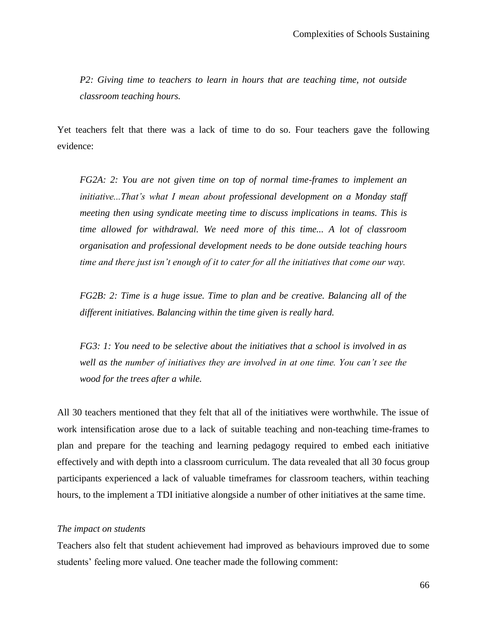*P2: Giving time to teachers to learn in hours that are teaching time, not outside classroom teaching hours.* 

Yet teachers felt that there was a lack of time to do so. Four teachers gave the following evidence:

*FG2A: 2: You are not given time on top of normal time-frames to implement an initiative...That"s what I mean about professional development on a Monday staff meeting then using syndicate meeting time to discuss implications in teams. This is time allowed for withdrawal. We need more of this time... A lot of classroom organisation and professional development needs to be done outside teaching hours time and there just isn"t enough of it to cater for all the initiatives that come our way.*

*FG2B: 2: Time is a huge issue. Time to plan and be creative. Balancing all of the different initiatives. Balancing within the time given is really hard.*

*FG3: 1: You need to be selective about the initiatives that a school is involved in as well as the number of initiatives they are involved in at one time. You can"t see the wood for the trees after a while.*

All 30 teachers mentioned that they felt that all of the initiatives were worthwhile. The issue of work intensification arose due to a lack of suitable teaching and non-teaching time-frames to plan and prepare for the teaching and learning pedagogy required to embed each initiative effectively and with depth into a classroom curriculum. The data revealed that all 30 focus group participants experienced a lack of valuable timeframes for classroom teachers, within teaching hours, to the implement a TDI initiative alongside a number of other initiatives at the same time.

## *The impact on students*

Teachers also felt that student achievement had improved as behaviours improved due to some students' feeling more valued. One teacher made the following comment: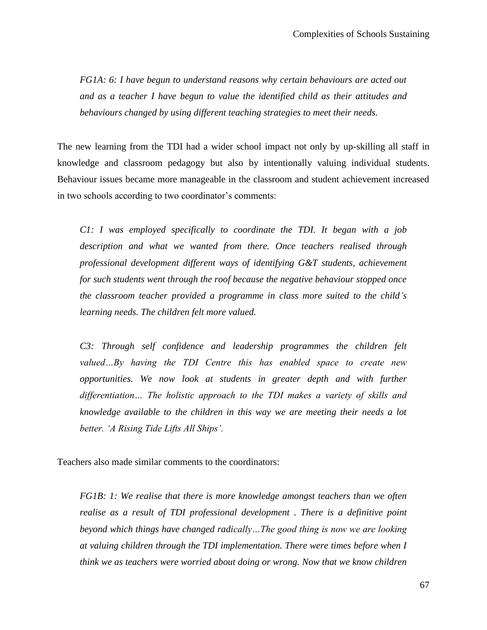*FG1A: 6: I have begun to understand reasons why certain behaviours are acted out and as a teacher I have begun to value the identified child as their attitudes and behaviours changed by using different teaching strategies to meet their needs.*

The new learning from the TDI had a wider school impact not only by up-skilling all staff in knowledge and classroom pedagogy but also by intentionally valuing individual students. Behaviour issues became more manageable in the classroom and student achievement increased in two schools according to two coordinator's comments:

*C1: I was employed specifically to coordinate the TDI. It began with a job description and what we wanted from there. Once teachers realised through professional development different ways of identifying G&T students, achievement for such students went through the roof because the negative behaviour stopped once the classroom teacher provided a programme in class more suited to the child"s learning needs. The children felt more valued.*

*C3: Through self confidence and leadership programmes the children felt valued…By having the TDI Centre this has enabled space to create new opportunities. We now look at students in greater depth and with further differentiation… The holistic approach to the TDI makes a variety of skills and knowledge available to the children in this way we are meeting their needs a lot better. "A Rising Tide Lifts All Ships".*

Teachers also made similar comments to the coordinators:

*FG1B: 1: We realise that there is more knowledge amongst teachers than we often realise as a result of TDI professional development . There is a definitive point beyond which things have changed radically…The good thing is now we are looking at valuing children through the TDI implementation. There were times before when I think we as teachers were worried about doing or wrong. Now that we know children*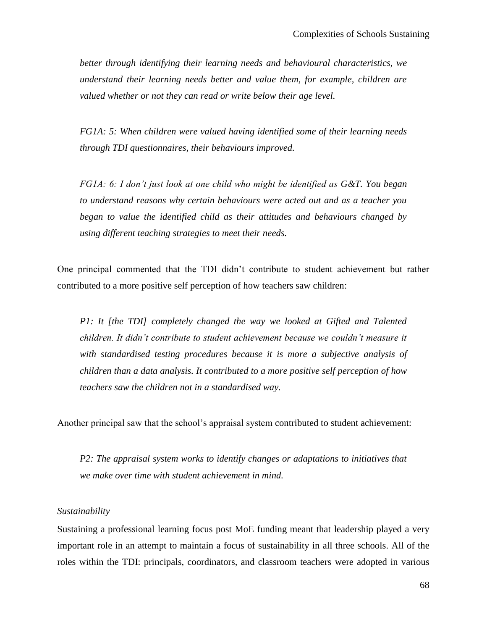*better through identifying their learning needs and behavioural characteristics, we understand their learning needs better and value them, for example, children are valued whether or not they can read or write below their age level.* 

*FG1A: 5: When children were valued having identified some of their learning needs through TDI questionnaires, their behaviours improved.*

*FG1A: 6: I don"t just look at one child who might be identified as G&T. You began to understand reasons why certain behaviours were acted out and as a teacher you began to value the identified child as their attitudes and behaviours changed by using different teaching strategies to meet their needs.*

One principal commented that the TDI didn"t contribute to student achievement but rather contributed to a more positive self perception of how teachers saw children:

*P1: It [the TDI] completely changed the way we looked at Gifted and Talented children. It didn"t contribute to student achievement because we couldn"t measure it with standardised testing procedures because it is more a subjective analysis of children than a data analysis. It contributed to a more positive self perception of how teachers saw the children not in a standardised way.*

Another principal saw that the school"s appraisal system contributed to student achievement:

*P2: The appraisal system works to identify changes or adaptations to initiatives that we make over time with student achievement in mind.*

### *Sustainability*

Sustaining a professional learning focus post MoE funding meant that leadership played a very important role in an attempt to maintain a focus of sustainability in all three schools. All of the roles within the TDI: principals, coordinators, and classroom teachers were adopted in various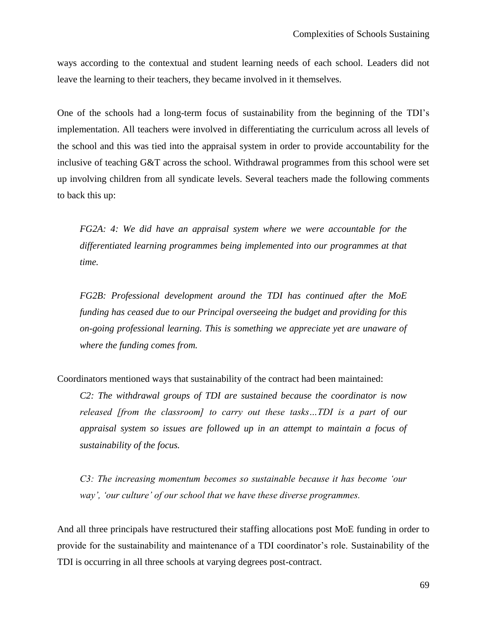ways according to the contextual and student learning needs of each school. Leaders did not leave the learning to their teachers, they became involved in it themselves.

One of the schools had a long-term focus of sustainability from the beginning of the TDI"s implementation. All teachers were involved in differentiating the curriculum across all levels of the school and this was tied into the appraisal system in order to provide accountability for the inclusive of teaching G&T across the school. Withdrawal programmes from this school were set up involving children from all syndicate levels. Several teachers made the following comments to back this up:

*FG2A: 4: We did have an appraisal system where we were accountable for the differentiated learning programmes being implemented into our programmes at that time.*

*FG2B: Professional development around the TDI has continued after the MoE funding has ceased due to our Principal overseeing the budget and providing for this on-going professional learning. This is something we appreciate yet are unaware of where the funding comes from.*

Coordinators mentioned ways that sustainability of the contract had been maintained:

*C2: The withdrawal groups of TDI are sustained because the coordinator is now released [from the classroom] to carry out these tasks…TDI is a part of our appraisal system so issues are followed up in an attempt to maintain a focus of sustainability of the focus.*

*C3: The increasing momentum becomes so sustainable because it has become "our way", "our culture" of our school that we have these diverse programmes.*

And all three principals have restructured their staffing allocations post MoE funding in order to provide for the sustainability and maintenance of a TDI coordinator"s role. Sustainability of the TDI is occurring in all three schools at varying degrees post-contract.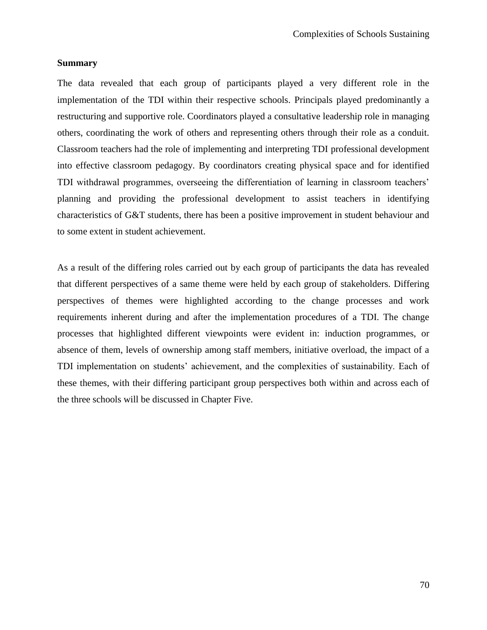## **Summary**

The data revealed that each group of participants played a very different role in the implementation of the TDI within their respective schools. Principals played predominantly a restructuring and supportive role. Coordinators played a consultative leadership role in managing others, coordinating the work of others and representing others through their role as a conduit. Classroom teachers had the role of implementing and interpreting TDI professional development into effective classroom pedagogy. By coordinators creating physical space and for identified TDI withdrawal programmes, overseeing the differentiation of learning in classroom teachers' planning and providing the professional development to assist teachers in identifying characteristics of G&T students, there has been a positive improvement in student behaviour and to some extent in student achievement.

As a result of the differing roles carried out by each group of participants the data has revealed that different perspectives of a same theme were held by each group of stakeholders. Differing perspectives of themes were highlighted according to the change processes and work requirements inherent during and after the implementation procedures of a TDI. The change processes that highlighted different viewpoints were evident in: induction programmes, or absence of them, levels of ownership among staff members, initiative overload, the impact of a TDI implementation on students" achievement, and the complexities of sustainability. Each of these themes, with their differing participant group perspectives both within and across each of the three schools will be discussed in Chapter Five.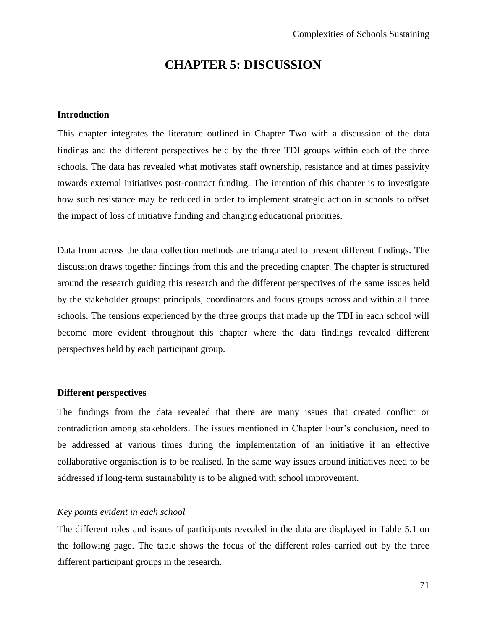# **CHAPTER 5: DISCUSSION**

## **Introduction**

This chapter integrates the literature outlined in Chapter Two with a discussion of the data findings and the different perspectives held by the three TDI groups within each of the three schools. The data has revealed what motivates staff ownership, resistance and at times passivity towards external initiatives post-contract funding. The intention of this chapter is to investigate how such resistance may be reduced in order to implement strategic action in schools to offset the impact of loss of initiative funding and changing educational priorities.

Data from across the data collection methods are triangulated to present different findings. The discussion draws together findings from this and the preceding chapter. The chapter is structured around the research guiding this research and the different perspectives of the same issues held by the stakeholder groups: principals, coordinators and focus groups across and within all three schools. The tensions experienced by the three groups that made up the TDI in each school will become more evident throughout this chapter where the data findings revealed different perspectives held by each participant group.

### **Different perspectives**

The findings from the data revealed that there are many issues that created conflict or contradiction among stakeholders. The issues mentioned in Chapter Four"s conclusion, need to be addressed at various times during the implementation of an initiative if an effective collaborative organisation is to be realised. In the same way issues around initiatives need to be addressed if long-term sustainability is to be aligned with school improvement.

# *Key points evident in each school*

The different roles and issues of participants revealed in the data are displayed in Table 5.1 on the following page. The table shows the focus of the different roles carried out by the three different participant groups in the research.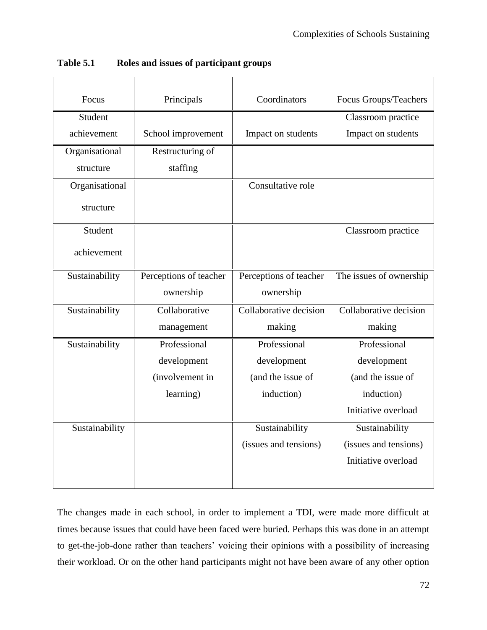| Focus          | Principals             | Coordinators           | Focus Groups/Teachers   |
|----------------|------------------------|------------------------|-------------------------|
| Student        |                        |                        | Classroom practice      |
| achievement    | School improvement     | Impact on students     | Impact on students      |
| Organisational | Restructuring of       |                        |                         |
| structure      | staffing               |                        |                         |
| Organisational |                        | Consultative role      |                         |
| structure      |                        |                        |                         |
| Student        |                        |                        | Classroom practice      |
| achievement    |                        |                        |                         |
| Sustainability | Perceptions of teacher | Perceptions of teacher | The issues of ownership |
|                | ownership              | ownership              |                         |
| Sustainability | Collaborative          | Collaborative decision | Collaborative decision  |
|                | management             | making                 | making                  |
| Sustainability | Professional           | Professional           | Professional            |
|                | development            | development            | development             |
|                | (involvement in        | (and the issue of      | (and the issue of       |
|                | learning)              | induction)             | induction)              |
|                |                        |                        | Initiative overload     |
| Sustainability |                        | Sustainability         | Sustainability          |
|                |                        | (issues and tensions)  | (issues and tensions)   |
|                |                        |                        | Initiative overload     |
|                |                        |                        |                         |

**Table 5.1 Roles and issues of participant groups**

The changes made in each school, in order to implement a TDI, were made more difficult at times because issues that could have been faced were buried. Perhaps this was done in an attempt to get-the-job-done rather than teachers' voicing their opinions with a possibility of increasing their workload. Or on the other hand participants might not have been aware of any other option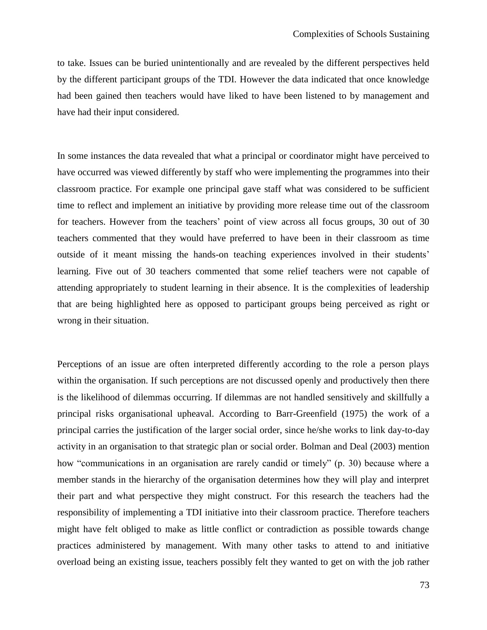to take. Issues can be buried unintentionally and are revealed by the different perspectives held by the different participant groups of the TDI. However the data indicated that once knowledge had been gained then teachers would have liked to have been listened to by management and have had their input considered.

In some instances the data revealed that what a principal or coordinator might have perceived to have occurred was viewed differently by staff who were implementing the programmes into their classroom practice. For example one principal gave staff what was considered to be sufficient time to reflect and implement an initiative by providing more release time out of the classroom for teachers. However from the teachers' point of view across all focus groups, 30 out of 30 teachers commented that they would have preferred to have been in their classroom as time outside of it meant missing the hands-on teaching experiences involved in their students" learning. Five out of 30 teachers commented that some relief teachers were not capable of attending appropriately to student learning in their absence. It is the complexities of leadership that are being highlighted here as opposed to participant groups being perceived as right or wrong in their situation.

Perceptions of an issue are often interpreted differently according to the role a person plays within the organisation. If such perceptions are not discussed openly and productively then there is the likelihood of dilemmas occurring. If dilemmas are not handled sensitively and skillfully a principal risks organisational upheaval. According to Barr-Greenfield (1975) the work of a principal carries the justification of the larger social order, since he/she works to link day-to-day activity in an organisation to that strategic plan or social order. Bolman and Deal (2003) mention how "communications in an organisation are rarely candid or timely" (p. 30) because where a member stands in the hierarchy of the organisation determines how they will play and interpret their part and what perspective they might construct. For this research the teachers had the responsibility of implementing a TDI initiative into their classroom practice. Therefore teachers might have felt obliged to make as little conflict or contradiction as possible towards change practices administered by management. With many other tasks to attend to and initiative overload being an existing issue, teachers possibly felt they wanted to get on with the job rather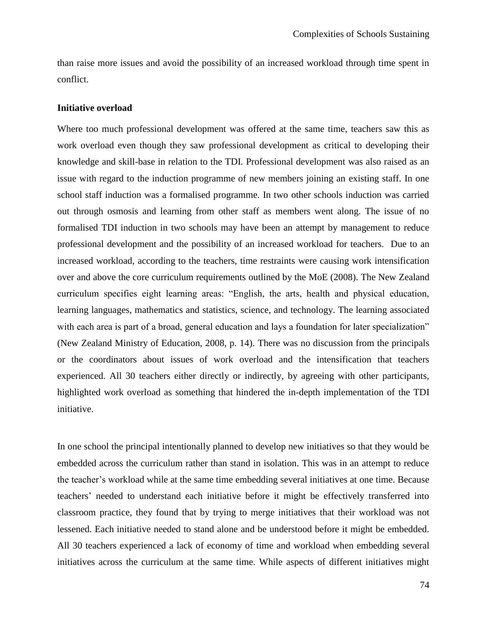than raise more issues and avoid the possibility of an increased workload through time spent in conflict.

#### **Initiative overload**

Where too much professional development was offered at the same time, teachers saw this as work overload even though they saw professional development as critical to developing their knowledge and skill-base in relation to the TDI. Professional development was also raised as an issue with regard to the induction programme of new members joining an existing staff. In one school staff induction was a formalised programme. In two other schools induction was carried out through osmosis and learning from other staff as members went along. The issue of no formalised TDI induction in two schools may have been an attempt by management to reduce professional development and the possibility of an increased workload for teachers. Due to an increased workload, according to the teachers, time restraints were causing work intensification over and above the core curriculum requirements outlined by the MoE (2008). The New Zealand curriculum specifies eight learning areas: "English, the arts, health and physical education, learning languages, mathematics and statistics, science, and technology. The learning associated with each area is part of a broad, general education and lays a foundation for later specialization" (New Zealand Ministry of Education, 2008, p. 14). There was no discussion from the principals or the coordinators about issues of work overload and the intensification that teachers experienced. All 30 teachers either directly or indirectly, by agreeing with other participants, highlighted work overload as something that hindered the in-depth implementation of the TDI initiative.

In one school the principal intentionally planned to develop new initiatives so that they would be embedded across the curriculum rather than stand in isolation. This was in an attempt to reduce the teacher"s workload while at the same time embedding several initiatives at one time. Because teachers" needed to understand each initiative before it might be effectively transferred into classroom practice, they found that by trying to merge initiatives that their workload was not lessened. Each initiative needed to stand alone and be understood before it might be embedded. All 30 teachers experienced a lack of economy of time and workload when embedding several initiatives across the curriculum at the same time. While aspects of different initiatives might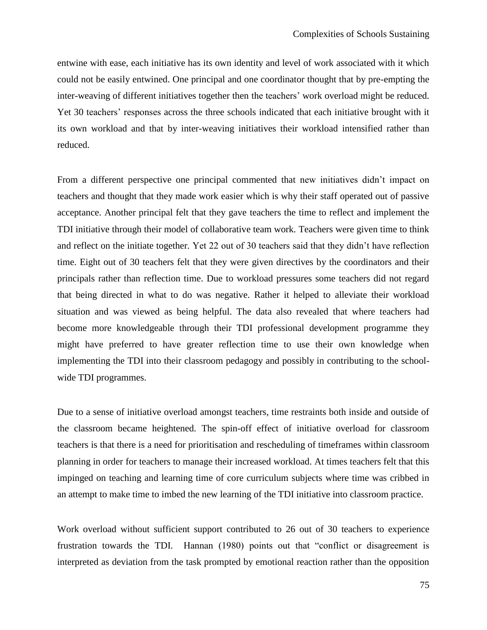entwine with ease, each initiative has its own identity and level of work associated with it which could not be easily entwined. One principal and one coordinator thought that by pre-empting the inter-weaving of different initiatives together then the teachers" work overload might be reduced. Yet 30 teachers' responses across the three schools indicated that each initiative brought with it its own workload and that by inter-weaving initiatives their workload intensified rather than reduced.

From a different perspective one principal commented that new initiatives didn"t impact on teachers and thought that they made work easier which is why their staff operated out of passive acceptance. Another principal felt that they gave teachers the time to reflect and implement the TDI initiative through their model of collaborative team work. Teachers were given time to think and reflect on the initiate together. Yet 22 out of 30 teachers said that they didn"t have reflection time. Eight out of 30 teachers felt that they were given directives by the coordinators and their principals rather than reflection time. Due to workload pressures some teachers did not regard that being directed in what to do was negative. Rather it helped to alleviate their workload situation and was viewed as being helpful. The data also revealed that where teachers had become more knowledgeable through their TDI professional development programme they might have preferred to have greater reflection time to use their own knowledge when implementing the TDI into their classroom pedagogy and possibly in contributing to the schoolwide TDI programmes.

Due to a sense of initiative overload amongst teachers, time restraints both inside and outside of the classroom became heightened. The spin-off effect of initiative overload for classroom teachers is that there is a need for prioritisation and rescheduling of timeframes within classroom planning in order for teachers to manage their increased workload. At times teachers felt that this impinged on teaching and learning time of core curriculum subjects where time was cribbed in an attempt to make time to imbed the new learning of the TDI initiative into classroom practice.

Work overload without sufficient support contributed to 26 out of 30 teachers to experience frustration towards the TDI. Hannan (1980) points out that "conflict or disagreement is interpreted as deviation from the task prompted by emotional reaction rather than the opposition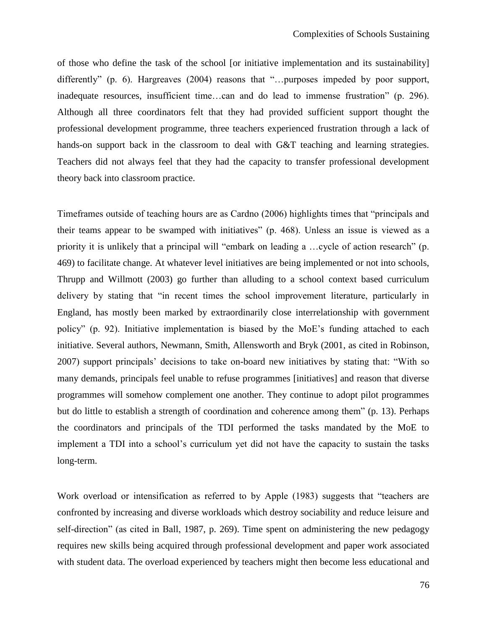of those who define the task of the school [or initiative implementation and its sustainability] differently" (p. 6). Hargreaves (2004) reasons that "... purposes impeded by poor support, inadequate resources, insufficient time…can and do lead to immense frustration" (p. 296). Although all three coordinators felt that they had provided sufficient support thought the professional development programme, three teachers experienced frustration through a lack of hands-on support back in the classroom to deal with G&T teaching and learning strategies. Teachers did not always feel that they had the capacity to transfer professional development theory back into classroom practice.

Timeframes outside of teaching hours are as Cardno (2006) highlights times that "principals and their teams appear to be swamped with initiatives" (p. 468). Unless an issue is viewed as a priority it is unlikely that a principal will "embark on leading a …cycle of action research" (p. 469) to facilitate change. At whatever level initiatives are being implemented or not into schools, Thrupp and Willmott (2003) go further than alluding to a school context based curriculum delivery by stating that "in recent times the school improvement literature, particularly in England, has mostly been marked by extraordinarily close interrelationship with government policy" (p. 92). Initiative implementation is biased by the MoE"s funding attached to each initiative. Several authors, Newmann, Smith, Allensworth and Bryk (2001, as cited in Robinson, 2007) support principals" decisions to take on-board new initiatives by stating that: "With so many demands, principals feel unable to refuse programmes [initiatives] and reason that diverse programmes will somehow complement one another. They continue to adopt pilot programmes but do little to establish a strength of coordination and coherence among them" (p. 13). Perhaps the coordinators and principals of the TDI performed the tasks mandated by the MoE to implement a TDI into a school's curriculum yet did not have the capacity to sustain the tasks long-term.

Work overload or intensification as referred to by Apple (1983) suggests that "teachers are confronted by increasing and diverse workloads which destroy sociability and reduce leisure and self-direction" (as cited in Ball, 1987, p. 269). Time spent on administering the new pedagogy requires new skills being acquired through professional development and paper work associated with student data. The overload experienced by teachers might then become less educational and

76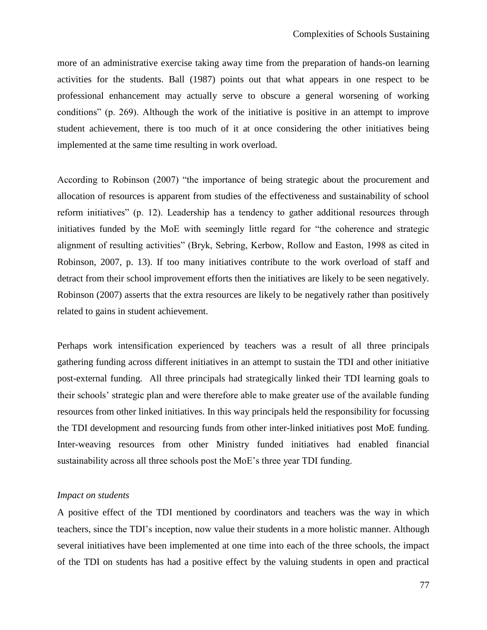more of an administrative exercise taking away time from the preparation of hands-on learning activities for the students. Ball (1987) points out that what appears in one respect to be professional enhancement may actually serve to obscure a general worsening of working conditions" (p. 269). Although the work of the initiative is positive in an attempt to improve student achievement, there is too much of it at once considering the other initiatives being implemented at the same time resulting in work overload.

According to Robinson (2007) "the importance of being strategic about the procurement and allocation of resources is apparent from studies of the effectiveness and sustainability of school reform initiatives" (p. 12). Leadership has a tendency to gather additional resources through initiatives funded by the MoE with seemingly little regard for "the coherence and strategic alignment of resulting activities" (Bryk, Sebring, Kerbow, Rollow and Easton, 1998 as cited in Robinson, 2007, p. 13). If too many initiatives contribute to the work overload of staff and detract from their school improvement efforts then the initiatives are likely to be seen negatively. Robinson (2007) asserts that the extra resources are likely to be negatively rather than positively related to gains in student achievement.

Perhaps work intensification experienced by teachers was a result of all three principals gathering funding across different initiatives in an attempt to sustain the TDI and other initiative post-external funding. All three principals had strategically linked their TDI learning goals to their schools" strategic plan and were therefore able to make greater use of the available funding resources from other linked initiatives. In this way principals held the responsibility for focussing the TDI development and resourcing funds from other inter-linked initiatives post MoE funding. Inter-weaving resources from other Ministry funded initiatives had enabled financial sustainability across all three schools post the MoE"s three year TDI funding.

## *Impact on students*

A positive effect of the TDI mentioned by coordinators and teachers was the way in which teachers, since the TDI"s inception, now value their students in a more holistic manner. Although several initiatives have been implemented at one time into each of the three schools, the impact of the TDI on students has had a positive effect by the valuing students in open and practical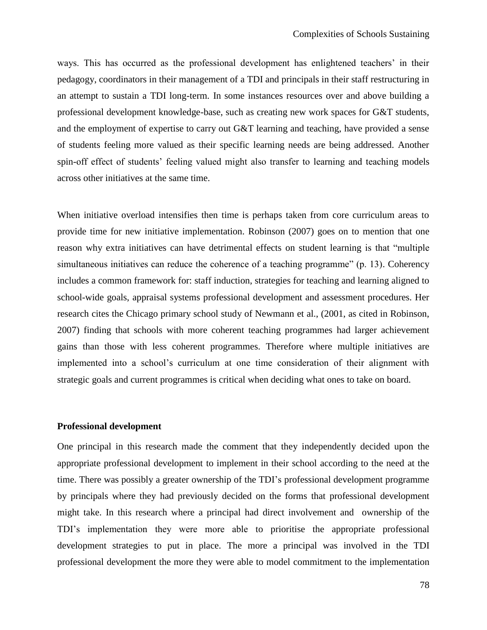ways. This has occurred as the professional development has enlightened teachers" in their pedagogy, coordinators in their management of a TDI and principals in their staff restructuring in an attempt to sustain a TDI long-term. In some instances resources over and above building a professional development knowledge-base, such as creating new work spaces for G&T students, and the employment of expertise to carry out G&T learning and teaching, have provided a sense of students feeling more valued as their specific learning needs are being addressed. Another spin-off effect of students' feeling valued might also transfer to learning and teaching models across other initiatives at the same time.

When initiative overload intensifies then time is perhaps taken from core curriculum areas to provide time for new initiative implementation. Robinson (2007) goes on to mention that one reason why extra initiatives can have detrimental effects on student learning is that "multiple simultaneous initiatives can reduce the coherence of a teaching programme" (p. 13). Coherency includes a common framework for: staff induction, strategies for teaching and learning aligned to school-wide goals, appraisal systems professional development and assessment procedures. Her research cites the Chicago primary school study of Newmann et al., (2001, as cited in Robinson, 2007) finding that schools with more coherent teaching programmes had larger achievement gains than those with less coherent programmes. Therefore where multiple initiatives are implemented into a school"s curriculum at one time consideration of their alignment with strategic goals and current programmes is critical when deciding what ones to take on board.

## **Professional development**

One principal in this research made the comment that they independently decided upon the appropriate professional development to implement in their school according to the need at the time. There was possibly a greater ownership of the TDI"s professional development programme by principals where they had previously decided on the forms that professional development might take. In this research where a principal had direct involvement and ownership of the TDI"s implementation they were more able to prioritise the appropriate professional development strategies to put in place. The more a principal was involved in the TDI professional development the more they were able to model commitment to the implementation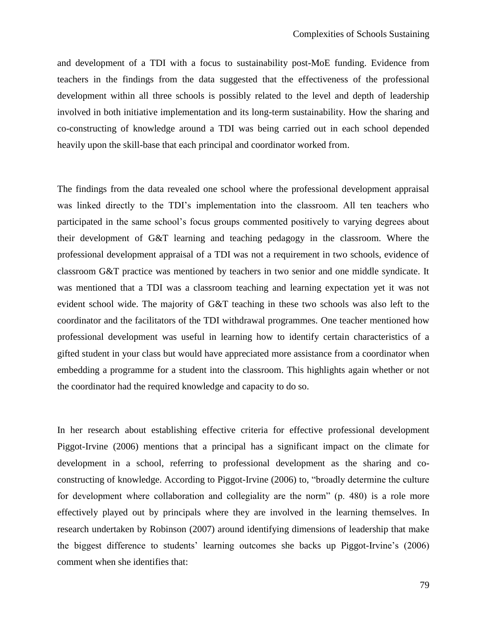and development of a TDI with a focus to sustainability post-MoE funding. Evidence from teachers in the findings from the data suggested that the effectiveness of the professional development within all three schools is possibly related to the level and depth of leadership involved in both initiative implementation and its long-term sustainability. How the sharing and co-constructing of knowledge around a TDI was being carried out in each school depended heavily upon the skill-base that each principal and coordinator worked from.

The findings from the data revealed one school where the professional development appraisal was linked directly to the TDI's implementation into the classroom. All ten teachers who participated in the same school's focus groups commented positively to varying degrees about their development of G&T learning and teaching pedagogy in the classroom. Where the professional development appraisal of a TDI was not a requirement in two schools, evidence of classroom G&T practice was mentioned by teachers in two senior and one middle syndicate. It was mentioned that a TDI was a classroom teaching and learning expectation yet it was not evident school wide. The majority of G&T teaching in these two schools was also left to the coordinator and the facilitators of the TDI withdrawal programmes. One teacher mentioned how professional development was useful in learning how to identify certain characteristics of a gifted student in your class but would have appreciated more assistance from a coordinator when embedding a programme for a student into the classroom. This highlights again whether or not the coordinator had the required knowledge and capacity to do so.

In her research about establishing effective criteria for effective professional development Piggot-Irvine (2006) mentions that a principal has a significant impact on the climate for development in a school, referring to professional development as the sharing and coconstructing of knowledge. According to Piggot-Irvine (2006) to, "broadly determine the culture for development where collaboration and collegiality are the norm" (p. 480) is a role more effectively played out by principals where they are involved in the learning themselves. In research undertaken by Robinson (2007) around identifying dimensions of leadership that make the biggest difference to students" learning outcomes she backs up Piggot-Irvine"s (2006) comment when she identifies that: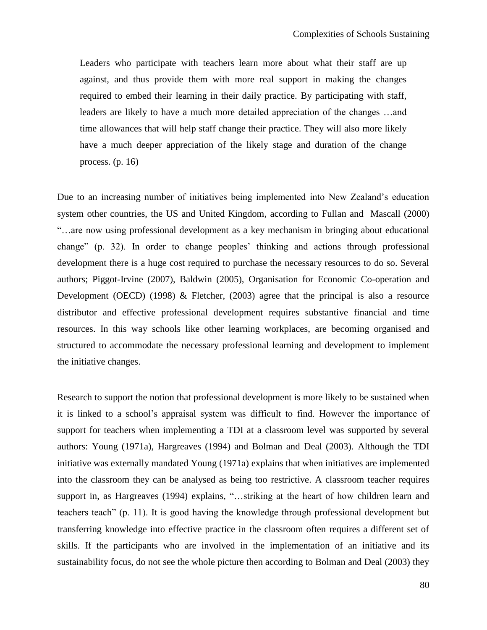Leaders who participate with teachers learn more about what their staff are up against, and thus provide them with more real support in making the changes required to embed their learning in their daily practice. By participating with staff, leaders are likely to have a much more detailed appreciation of the changes …and time allowances that will help staff change their practice. They will also more likely have a much deeper appreciation of the likely stage and duration of the change process. (p. 16)

Due to an increasing number of initiatives being implemented into New Zealand"s education system other countries, the US and United Kingdom, according to Fullan and Mascall (2000) "…are now using professional development as a key mechanism in bringing about educational change" (p. 32). In order to change peoples" thinking and actions through professional development there is a huge cost required to purchase the necessary resources to do so. Several authors; Piggot-Irvine (2007), Baldwin (2005), Organisation for Economic Co-operation and Development (OECD) (1998)  $\&$  Fletcher, (2003) agree that the principal is also a resource distributor and effective professional development requires substantive financial and time resources. In this way schools like other learning workplaces, are becoming organised and structured to accommodate the necessary professional learning and development to implement the initiative changes.

Research to support the notion that professional development is more likely to be sustained when it is linked to a school"s appraisal system was difficult to find. However the importance of support for teachers when implementing a TDI at a classroom level was supported by several authors: Young (1971a), Hargreaves (1994) and Bolman and Deal (2003). Although the TDI initiative was externally mandated Young (1971a) explains that when initiatives are implemented into the classroom they can be analysed as being too restrictive. A classroom teacher requires support in, as Hargreaves (1994) explains, "...striking at the heart of how children learn and teachers teach" (p. 11). It is good having the knowledge through professional development but transferring knowledge into effective practice in the classroom often requires a different set of skills. If the participants who are involved in the implementation of an initiative and its sustainability focus, do not see the whole picture then according to Bolman and Deal (2003) they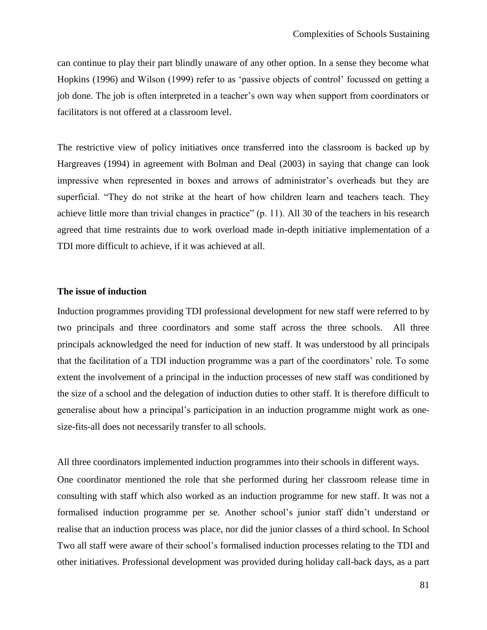can continue to play their part blindly unaware of any other option. In a sense they become what Hopkins (1996) and Wilson (1999) refer to as "passive objects of control" focussed on getting a job done. The job is often interpreted in a teacher"s own way when support from coordinators or facilitators is not offered at a classroom level.

The restrictive view of policy initiatives once transferred into the classroom is backed up by Hargreaves (1994) in agreement with Bolman and Deal (2003) in saying that change can look impressive when represented in boxes and arrows of administrator's overheads but they are superficial. "They do not strike at the heart of how children learn and teachers teach. They achieve little more than trivial changes in practice" (p. 11). All 30 of the teachers in his research agreed that time restraints due to work overload made in-depth initiative implementation of a TDI more difficult to achieve, if it was achieved at all.

## **The issue of induction**

Induction programmes providing TDI professional development for new staff were referred to by two principals and three coordinators and some staff across the three schools. All three principals acknowledged the need for induction of new staff. It was understood by all principals that the facilitation of a TDI induction programme was a part of the coordinators" role. To some extent the involvement of a principal in the induction processes of new staff was conditioned by the size of a school and the delegation of induction duties to other staff. It is therefore difficult to generalise about how a principal's participation in an induction programme might work as onesize-fits-all does not necessarily transfer to all schools.

All three coordinators implemented induction programmes into their schools in different ways.

One coordinator mentioned the role that she performed during her classroom release time in consulting with staff which also worked as an induction programme for new staff. It was not a formalised induction programme per se. Another school"s junior staff didn"t understand or realise that an induction process was place, nor did the junior classes of a third school. In School Two all staff were aware of their school"s formalised induction processes relating to the TDI and other initiatives. Professional development was provided during holiday call-back days, as a part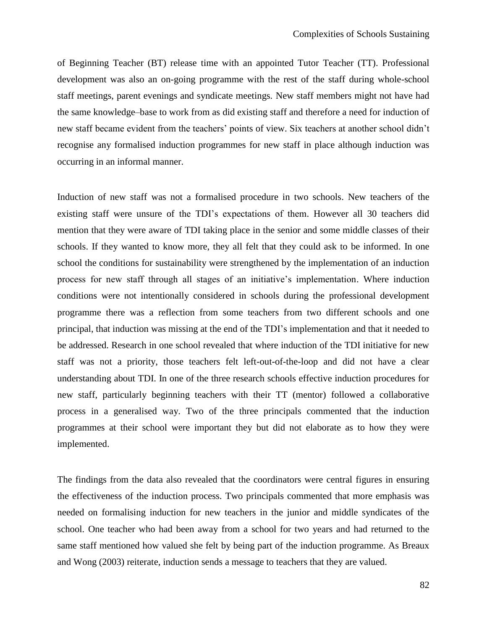of Beginning Teacher (BT) release time with an appointed Tutor Teacher (TT). Professional development was also an on-going programme with the rest of the staff during whole-school staff meetings, parent evenings and syndicate meetings. New staff members might not have had the same knowledge–base to work from as did existing staff and therefore a need for induction of new staff became evident from the teachers' points of view. Six teachers at another school didn't recognise any formalised induction programmes for new staff in place although induction was occurring in an informal manner.

Induction of new staff was not a formalised procedure in two schools. New teachers of the existing staff were unsure of the TDI"s expectations of them. However all 30 teachers did mention that they were aware of TDI taking place in the senior and some middle classes of their schools. If they wanted to know more, they all felt that they could ask to be informed. In one school the conditions for sustainability were strengthened by the implementation of an induction process for new staff through all stages of an initiative"s implementation. Where induction conditions were not intentionally considered in schools during the professional development programme there was a reflection from some teachers from two different schools and one principal, that induction was missing at the end of the TDI"s implementation and that it needed to be addressed. Research in one school revealed that where induction of the TDI initiative for new staff was not a priority, those teachers felt left-out-of-the-loop and did not have a clear understanding about TDI. In one of the three research schools effective induction procedures for new staff, particularly beginning teachers with their TT (mentor) followed a collaborative process in a generalised way. Two of the three principals commented that the induction programmes at their school were important they but did not elaborate as to how they were implemented.

The findings from the data also revealed that the coordinators were central figures in ensuring the effectiveness of the induction process. Two principals commented that more emphasis was needed on formalising induction for new teachers in the junior and middle syndicates of the school. One teacher who had been away from a school for two years and had returned to the same staff mentioned how valued she felt by being part of the induction programme. As Breaux and Wong (2003) reiterate, induction sends a message to teachers that they are valued.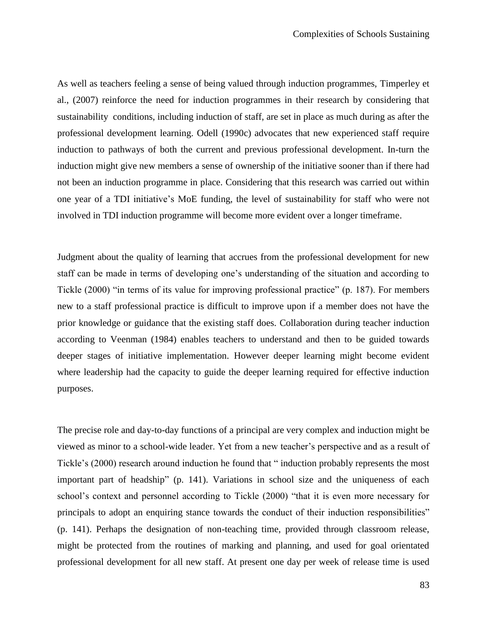As well as teachers feeling a sense of being valued through induction programmes, Timperley et al., (2007) reinforce the need for induction programmes in their research by considering that sustainability conditions, including induction of staff, are set in place as much during as after the professional development learning. Odell (1990c) advocates that new experienced staff require induction to pathways of both the current and previous professional development. In-turn the induction might give new members a sense of ownership of the initiative sooner than if there had not been an induction programme in place. Considering that this research was carried out within one year of a TDI initiative"s MoE funding, the level of sustainability for staff who were not involved in TDI induction programme will become more evident over a longer timeframe.

Judgment about the quality of learning that accrues from the professional development for new staff can be made in terms of developing one"s understanding of the situation and according to Tickle (2000) "in terms of its value for improving professional practice" (p. 187). For members new to a staff professional practice is difficult to improve upon if a member does not have the prior knowledge or guidance that the existing staff does. Collaboration during teacher induction according to Veenman (1984) enables teachers to understand and then to be guided towards deeper stages of initiative implementation. However deeper learning might become evident where leadership had the capacity to guide the deeper learning required for effective induction purposes.

The precise role and day-to-day functions of a principal are very complex and induction might be viewed as minor to a school-wide leader. Yet from a new teacher"s perspective and as a result of Tickle"s (2000) research around induction he found that " induction probably represents the most important part of headship" (p. 141). Variations in school size and the uniqueness of each school's context and personnel according to Tickle (2000) "that it is even more necessary for principals to adopt an enquiring stance towards the conduct of their induction responsibilities" (p. 141). Perhaps the designation of non-teaching time, provided through classroom release, might be protected from the routines of marking and planning, and used for goal orientated professional development for all new staff. At present one day per week of release time is used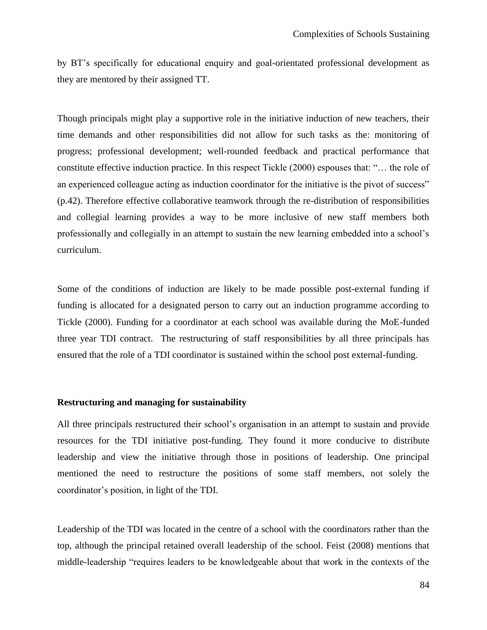by BT"s specifically for educational enquiry and goal-orientated professional development as they are mentored by their assigned TT.

Though principals might play a supportive role in the initiative induction of new teachers, their time demands and other responsibilities did not allow for such tasks as the: monitoring of progress; professional development; well-rounded feedback and practical performance that constitute effective induction practice. In this respect Tickle (2000) espouses that: "… the role of an experienced colleague acting as induction coordinator for the initiative is the pivot of success" (p.42). Therefore effective collaborative teamwork through the re-distribution of responsibilities and collegial learning provides a way to be more inclusive of new staff members both professionally and collegially in an attempt to sustain the new learning embedded into a school"s curriculum.

Some of the conditions of induction are likely to be made possible post-external funding if funding is allocated for a designated person to carry out an induction programme according to Tickle (2000). Funding for a coordinator at each school was available during the MoE-funded three year TDI contract. The restructuring of staff responsibilities by all three principals has ensured that the role of a TDI coordinator is sustained within the school post external-funding.

### **Restructuring and managing for sustainability**

All three principals restructured their school's organisation in an attempt to sustain and provide resources for the TDI initiative post-funding. They found it more conducive to distribute leadership and view the initiative through those in positions of leadership. One principal mentioned the need to restructure the positions of some staff members, not solely the coordinator"s position, in light of the TDI.

Leadership of the TDI was located in the centre of a school with the coordinators rather than the top, although the principal retained overall leadership of the school. Feist (2008) mentions that middle-leadership "requires leaders to be knowledgeable about that work in the contexts of the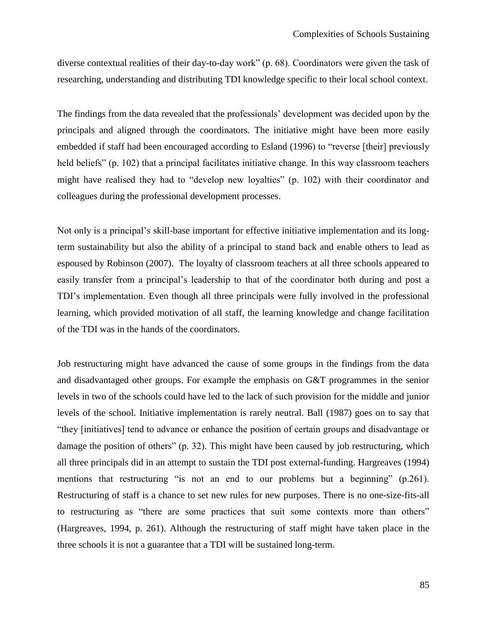diverse contextual realities of their day-to-day work" (p. 68). Coordinators were given the task of researching, understanding and distributing TDI knowledge specific to their local school context.

The findings from the data revealed that the professionals' development was decided upon by the principals and aligned through the coordinators. The initiative might have been more easily embedded if staff had been encouraged according to Esland (1996) to "reverse [their] previously held beliefs" (p. 102) that a principal facilitates initiative change. In this way classroom teachers might have realised they had to "develop new loyalties" (p. 102) with their coordinator and colleagues during the professional development processes.

Not only is a principal"s skill-base important for effective initiative implementation and its longterm sustainability but also the ability of a principal to stand back and enable others to lead as espoused by Robinson (2007). The loyalty of classroom teachers at all three schools appeared to easily transfer from a principal"s leadership to that of the coordinator both during and post a TDI"s implementation. Even though all three principals were fully involved in the professional learning, which provided motivation of all staff, the learning knowledge and change facilitation of the TDI was in the hands of the coordinators.

Job restructuring might have advanced the cause of some groups in the findings from the data and disadvantaged other groups. For example the emphasis on G&T programmes in the senior levels in two of the schools could have led to the lack of such provision for the middle and junior levels of the school. Initiative implementation is rarely neutral. Ball (1987) goes on to say that "they [initiatives] tend to advance or enhance the position of certain groups and disadvantage or damage the position of others" (p. 32). This might have been caused by job restructuring, which all three principals did in an attempt to sustain the TDI post external-funding. Hargreaves (1994) mentions that restructuring "is not an end to our problems but a beginning" (p.261). Restructuring of staff is a chance to set new rules for new purposes. There is no one-size-fits-all to restructuring as "there are some practices that suit some contexts more than others" (Hargreaves, 1994, p. 261). Although the restructuring of staff might have taken place in the three schools it is not a guarantee that a TDI will be sustained long-term.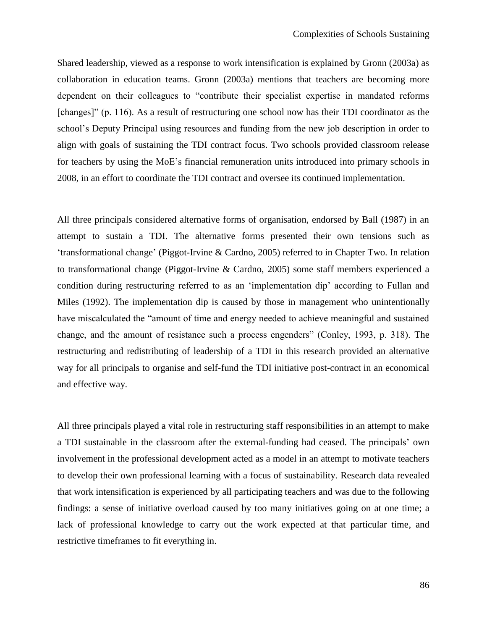Shared leadership, viewed as a response to work intensification is explained by Gronn (2003a) as collaboration in education teams. Gronn (2003a) mentions that teachers are becoming more dependent on their colleagues to "contribute their specialist expertise in mandated reforms [changes]" (p. 116). As a result of restructuring one school now has their TDI coordinator as the school"s Deputy Principal using resources and funding from the new job description in order to align with goals of sustaining the TDI contract focus. Two schools provided classroom release for teachers by using the MoE"s financial remuneration units introduced into primary schools in 2008, in an effort to coordinate the TDI contract and oversee its continued implementation.

All three principals considered alternative forms of organisation, endorsed by Ball (1987) in an attempt to sustain a TDI. The alternative forms presented their own tensions such as "transformational change" (Piggot-Irvine & Cardno, 2005) referred to in Chapter Two. In relation to transformational change (Piggot-Irvine & Cardno, 2005) some staff members experienced a condition during restructuring referred to as an "implementation dip" according to Fullan and Miles (1992). The implementation dip is caused by those in management who unintentionally have miscalculated the "amount of time and energy needed to achieve meaningful and sustained change, and the amount of resistance such a process engenders" (Conley, 1993, p. 318). The restructuring and redistributing of leadership of a TDI in this research provided an alternative way for all principals to organise and self-fund the TDI initiative post-contract in an economical and effective way.

All three principals played a vital role in restructuring staff responsibilities in an attempt to make a TDI sustainable in the classroom after the external-funding had ceased. The principals" own involvement in the professional development acted as a model in an attempt to motivate teachers to develop their own professional learning with a focus of sustainability. Research data revealed that work intensification is experienced by all participating teachers and was due to the following findings: a sense of initiative overload caused by too many initiatives going on at one time; a lack of professional knowledge to carry out the work expected at that particular time, and restrictive timeframes to fit everything in.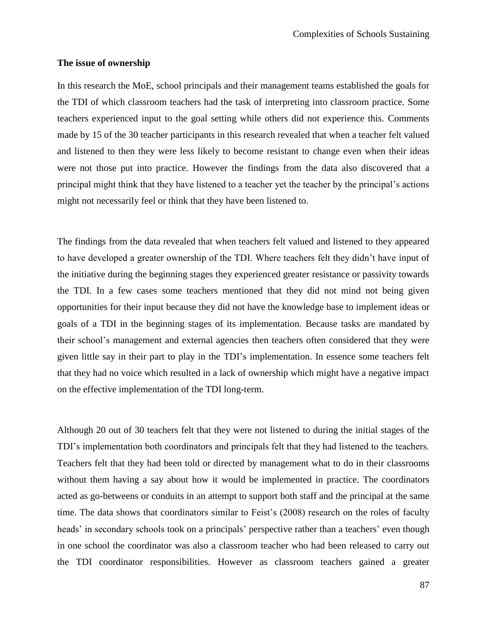#### **The issue of ownership**

In this research the MoE, school principals and their management teams established the goals for the TDI of which classroom teachers had the task of interpreting into classroom practice. Some teachers experienced input to the goal setting while others did not experience this. Comments made by 15 of the 30 teacher participants in this research revealed that when a teacher felt valued and listened to then they were less likely to become resistant to change even when their ideas were not those put into practice. However the findings from the data also discovered that a principal might think that they have listened to a teacher yet the teacher by the principal"s actions might not necessarily feel or think that they have been listened to.

The findings from the data revealed that when teachers felt valued and listened to they appeared to have developed a greater ownership of the TDI. Where teachers felt they didn"t have input of the initiative during the beginning stages they experienced greater resistance or passivity towards the TDI. In a few cases some teachers mentioned that they did not mind not being given opportunities for their input because they did not have the knowledge base to implement ideas or goals of a TDI in the beginning stages of its implementation. Because tasks are mandated by their school"s management and external agencies then teachers often considered that they were given little say in their part to play in the TDI"s implementation. In essence some teachers felt that they had no voice which resulted in a lack of ownership which might have a negative impact on the effective implementation of the TDI long-term.

Although 20 out of 30 teachers felt that they were not listened to during the initial stages of the TDI"s implementation both coordinators and principals felt that they had listened to the teachers. Teachers felt that they had been told or directed by management what to do in their classrooms without them having a say about how it would be implemented in practice. The coordinators acted as go-betweens or conduits in an attempt to support both staff and the principal at the same time. The data shows that coordinators similar to Feist's (2008) research on the roles of faculty heads' in secondary schools took on a principals' perspective rather than a teachers' even though in one school the coordinator was also a classroom teacher who had been released to carry out the TDI coordinator responsibilities. However as classroom teachers gained a greater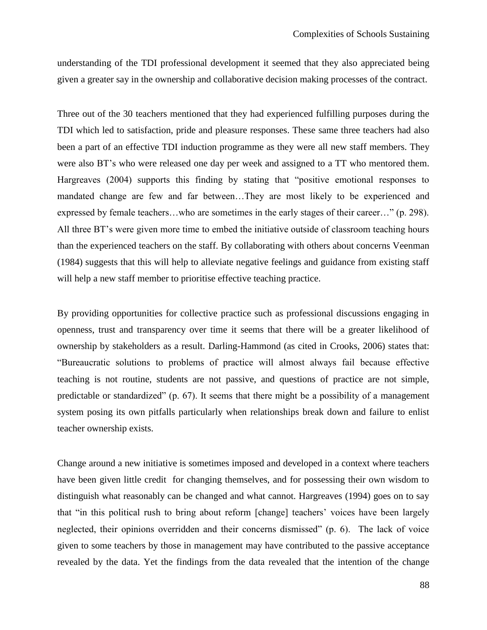understanding of the TDI professional development it seemed that they also appreciated being given a greater say in the ownership and collaborative decision making processes of the contract.

Three out of the 30 teachers mentioned that they had experienced fulfilling purposes during the TDI which led to satisfaction, pride and pleasure responses. These same three teachers had also been a part of an effective TDI induction programme as they were all new staff members. They were also BT"s who were released one day per week and assigned to a TT who mentored them. Hargreaves (2004) supports this finding by stating that "positive emotional responses to mandated change are few and far between…They are most likely to be experienced and expressed by female teachers…who are sometimes in the early stages of their career…" (p. 298). All three BT"s were given more time to embed the initiative outside of classroom teaching hours than the experienced teachers on the staff. By collaborating with others about concerns Veenman (1984) suggests that this will help to alleviate negative feelings and guidance from existing staff will help a new staff member to prioritise effective teaching practice.

By providing opportunities for collective practice such as professional discussions engaging in openness, trust and transparency over time it seems that there will be a greater likelihood of ownership by stakeholders as a result. Darling-Hammond (as cited in Crooks, 2006) states that: "Bureaucratic solutions to problems of practice will almost always fail because effective teaching is not routine, students are not passive, and questions of practice are not simple, predictable or standardized" (p. 67). It seems that there might be a possibility of a management system posing its own pitfalls particularly when relationships break down and failure to enlist teacher ownership exists.

Change around a new initiative is sometimes imposed and developed in a context where teachers have been given little credit for changing themselves, and for possessing their own wisdom to distinguish what reasonably can be changed and what cannot. Hargreaves (1994) goes on to say that "in this political rush to bring about reform [change] teachers" voices have been largely neglected, their opinions overridden and their concerns dismissed" (p. 6). The lack of voice given to some teachers by those in management may have contributed to the passive acceptance revealed by the data. Yet the findings from the data revealed that the intention of the change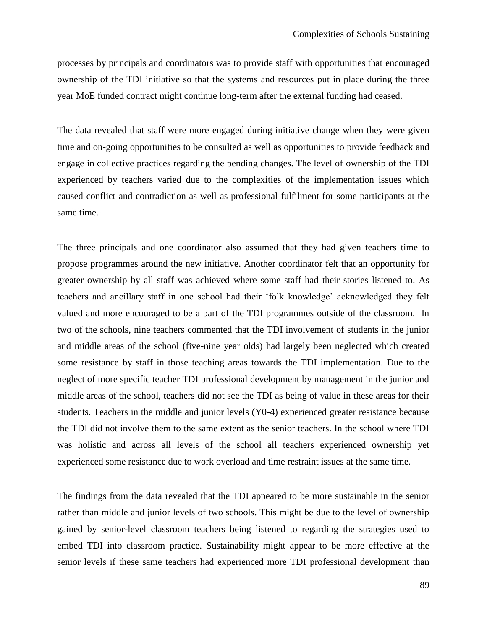processes by principals and coordinators was to provide staff with opportunities that encouraged ownership of the TDI initiative so that the systems and resources put in place during the three year MoE funded contract might continue long-term after the external funding had ceased.

The data revealed that staff were more engaged during initiative change when they were given time and on-going opportunities to be consulted as well as opportunities to provide feedback and engage in collective practices regarding the pending changes. The level of ownership of the TDI experienced by teachers varied due to the complexities of the implementation issues which caused conflict and contradiction as well as professional fulfilment for some participants at the same time.

The three principals and one coordinator also assumed that they had given teachers time to propose programmes around the new initiative. Another coordinator felt that an opportunity for greater ownership by all staff was achieved where some staff had their stories listened to. As teachers and ancillary staff in one school had their 'folk knowledge' acknowledged they felt valued and more encouraged to be a part of the TDI programmes outside of the classroom. In two of the schools, nine teachers commented that the TDI involvement of students in the junior and middle areas of the school (five-nine year olds) had largely been neglected which created some resistance by staff in those teaching areas towards the TDI implementation. Due to the neglect of more specific teacher TDI professional development by management in the junior and middle areas of the school, teachers did not see the TDI as being of value in these areas for their students. Teachers in the middle and junior levels (Y0-4) experienced greater resistance because the TDI did not involve them to the same extent as the senior teachers. In the school where TDI was holistic and across all levels of the school all teachers experienced ownership yet experienced some resistance due to work overload and time restraint issues at the same time.

The findings from the data revealed that the TDI appeared to be more sustainable in the senior rather than middle and junior levels of two schools. This might be due to the level of ownership gained by senior-level classroom teachers being listened to regarding the strategies used to embed TDI into classroom practice. Sustainability might appear to be more effective at the senior levels if these same teachers had experienced more TDI professional development than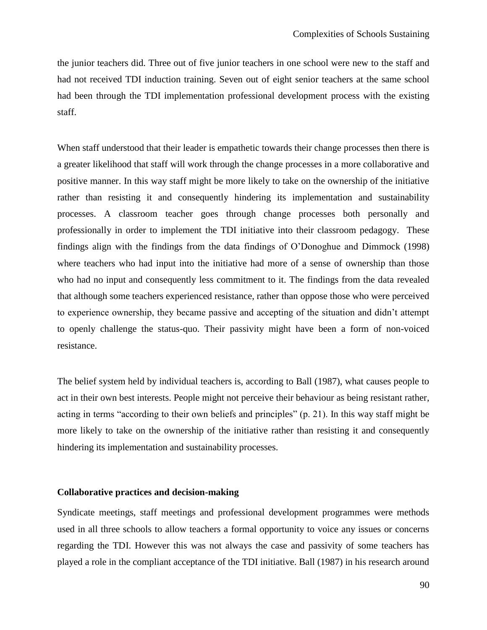the junior teachers did. Three out of five junior teachers in one school were new to the staff and had not received TDI induction training. Seven out of eight senior teachers at the same school had been through the TDI implementation professional development process with the existing staff.

When staff understood that their leader is empathetic towards their change processes then there is a greater likelihood that staff will work through the change processes in a more collaborative and positive manner. In this way staff might be more likely to take on the ownership of the initiative rather than resisting it and consequently hindering its implementation and sustainability processes. A classroom teacher goes through change processes both personally and professionally in order to implement the TDI initiative into their classroom pedagogy. These findings align with the findings from the data findings of O"Donoghue and Dimmock (1998) where teachers who had input into the initiative had more of a sense of ownership than those who had no input and consequently less commitment to it. The findings from the data revealed that although some teachers experienced resistance, rather than oppose those who were perceived to experience ownership, they became passive and accepting of the situation and didn"t attempt to openly challenge the status-quo. Their passivity might have been a form of non-voiced resistance.

The belief system held by individual teachers is, according to Ball (1987), what causes people to act in their own best interests. People might not perceive their behaviour as being resistant rather, acting in terms "according to their own beliefs and principles" (p. 21). In this way staff might be more likely to take on the ownership of the initiative rather than resisting it and consequently hindering its implementation and sustainability processes.

## **Collaborative practices and decision-making**

Syndicate meetings, staff meetings and professional development programmes were methods used in all three schools to allow teachers a formal opportunity to voice any issues or concerns regarding the TDI. However this was not always the case and passivity of some teachers has played a role in the compliant acceptance of the TDI initiative. Ball (1987) in his research around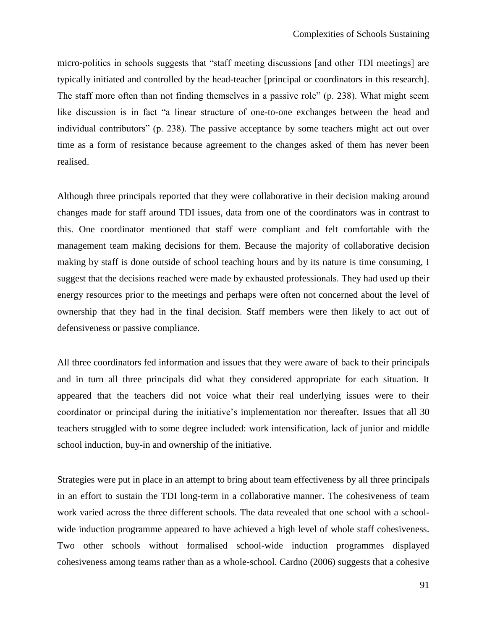micro-politics in schools suggests that "staff meeting discussions [and other TDI meetings] are typically initiated and controlled by the head-teacher [principal or coordinators in this research]. The staff more often than not finding themselves in a passive role" (p. 238). What might seem like discussion is in fact "a linear structure of one-to-one exchanges between the head and individual contributors" (p. 238). The passive acceptance by some teachers might act out over time as a form of resistance because agreement to the changes asked of them has never been realised.

Although three principals reported that they were collaborative in their decision making around changes made for staff around TDI issues, data from one of the coordinators was in contrast to this. One coordinator mentioned that staff were compliant and felt comfortable with the management team making decisions for them. Because the majority of collaborative decision making by staff is done outside of school teaching hours and by its nature is time consuming, I suggest that the decisions reached were made by exhausted professionals. They had used up their energy resources prior to the meetings and perhaps were often not concerned about the level of ownership that they had in the final decision. Staff members were then likely to act out of defensiveness or passive compliance.

All three coordinators fed information and issues that they were aware of back to their principals and in turn all three principals did what they considered appropriate for each situation. It appeared that the teachers did not voice what their real underlying issues were to their coordinator or principal during the initiative"s implementation nor thereafter. Issues that all 30 teachers struggled with to some degree included: work intensification, lack of junior and middle school induction, buy-in and ownership of the initiative.

Strategies were put in place in an attempt to bring about team effectiveness by all three principals in an effort to sustain the TDI long-term in a collaborative manner. The cohesiveness of team work varied across the three different schools. The data revealed that one school with a schoolwide induction programme appeared to have achieved a high level of whole staff cohesiveness. Two other schools without formalised school-wide induction programmes displayed cohesiveness among teams rather than as a whole-school. Cardno (2006) suggests that a cohesive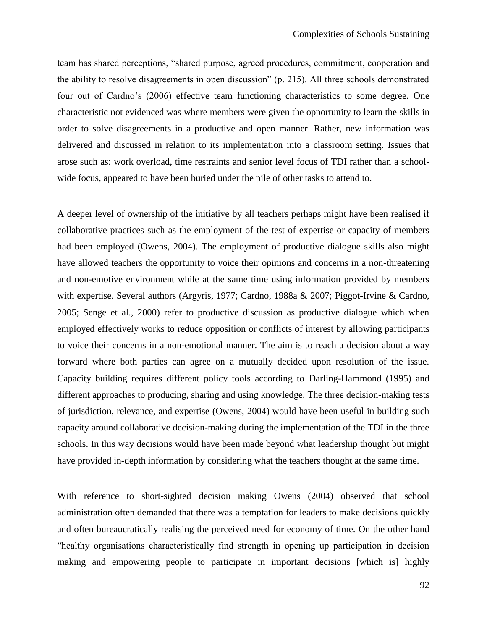team has shared perceptions, "shared purpose, agreed procedures, commitment, cooperation and the ability to resolve disagreements in open discussion" (p. 215). All three schools demonstrated four out of Cardno"s (2006) effective team functioning characteristics to some degree. One characteristic not evidenced was where members were given the opportunity to learn the skills in order to solve disagreements in a productive and open manner. Rather, new information was delivered and discussed in relation to its implementation into a classroom setting. Issues that arose such as: work overload, time restraints and senior level focus of TDI rather than a schoolwide focus, appeared to have been buried under the pile of other tasks to attend to.

A deeper level of ownership of the initiative by all teachers perhaps might have been realised if collaborative practices such as the employment of the test of expertise or capacity of members had been employed (Owens, 2004). The employment of productive dialogue skills also might have allowed teachers the opportunity to voice their opinions and concerns in a non-threatening and non-emotive environment while at the same time using information provided by members with expertise. Several authors (Argyris, 1977; Cardno, 1988a & 2007; Piggot-Irvine & Cardno, 2005; Senge et al., 2000) refer to productive discussion as productive dialogue which when employed effectively works to reduce opposition or conflicts of interest by allowing participants to voice their concerns in a non-emotional manner. The aim is to reach a decision about a way forward where both parties can agree on a mutually decided upon resolution of the issue. Capacity building requires different policy tools according to Darling-Hammond (1995) and different approaches to producing, sharing and using knowledge. The three decision-making tests of jurisdiction, relevance, and expertise (Owens, 2004) would have been useful in building such capacity around collaborative decision-making during the implementation of the TDI in the three schools. In this way decisions would have been made beyond what leadership thought but might have provided in-depth information by considering what the teachers thought at the same time.

With reference to short-sighted decision making Owens (2004) observed that school administration often demanded that there was a temptation for leaders to make decisions quickly and often bureaucratically realising the perceived need for economy of time. On the other hand "healthy organisations characteristically find strength in opening up participation in decision making and empowering people to participate in important decisions [which is] highly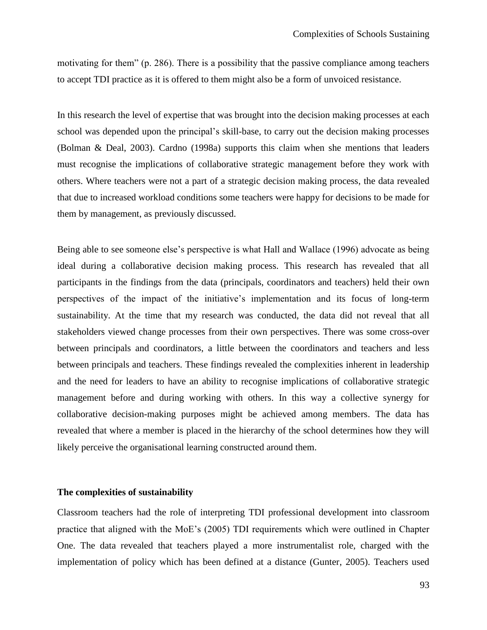motivating for them" (p. 286). There is a possibility that the passive compliance among teachers to accept TDI practice as it is offered to them might also be a form of unvoiced resistance.

In this research the level of expertise that was brought into the decision making processes at each school was depended upon the principal's skill-base, to carry out the decision making processes (Bolman & Deal, 2003). Cardno (1998a) supports this claim when she mentions that leaders must recognise the implications of collaborative strategic management before they work with others. Where teachers were not a part of a strategic decision making process, the data revealed that due to increased workload conditions some teachers were happy for decisions to be made for them by management, as previously discussed.

Being able to see someone else's perspective is what Hall and Wallace (1996) advocate as being ideal during a collaborative decision making process. This research has revealed that all participants in the findings from the data (principals, coordinators and teachers) held their own perspectives of the impact of the initiative"s implementation and its focus of long-term sustainability. At the time that my research was conducted, the data did not reveal that all stakeholders viewed change processes from their own perspectives. There was some cross-over between principals and coordinators, a little between the coordinators and teachers and less between principals and teachers. These findings revealed the complexities inherent in leadership and the need for leaders to have an ability to recognise implications of collaborative strategic management before and during working with others. In this way a collective synergy for collaborative decision-making purposes might be achieved among members. The data has revealed that where a member is placed in the hierarchy of the school determines how they will likely perceive the organisational learning constructed around them.

## **The complexities of sustainability**

Classroom teachers had the role of interpreting TDI professional development into classroom practice that aligned with the MoE"s (2005) TDI requirements which were outlined in Chapter One. The data revealed that teachers played a more instrumentalist role, charged with the implementation of policy which has been defined at a distance (Gunter, 2005). Teachers used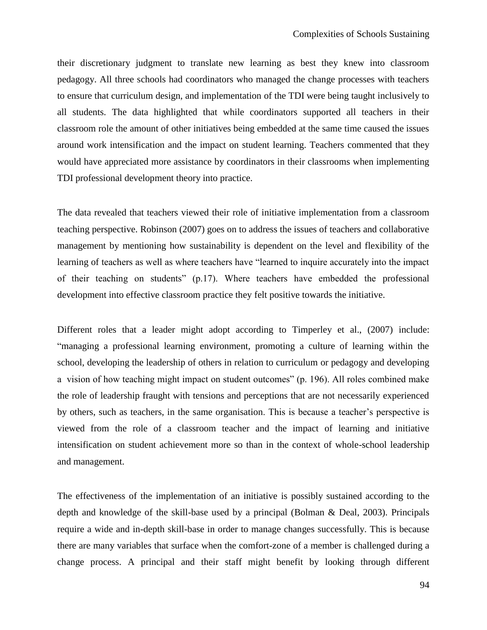their discretionary judgment to translate new learning as best they knew into classroom pedagogy. All three schools had coordinators who managed the change processes with teachers to ensure that curriculum design, and implementation of the TDI were being taught inclusively to all students. The data highlighted that while coordinators supported all teachers in their classroom role the amount of other initiatives being embedded at the same time caused the issues around work intensification and the impact on student learning. Teachers commented that they would have appreciated more assistance by coordinators in their classrooms when implementing TDI professional development theory into practice.

The data revealed that teachers viewed their role of initiative implementation from a classroom teaching perspective. Robinson (2007) goes on to address the issues of teachers and collaborative management by mentioning how sustainability is dependent on the level and flexibility of the learning of teachers as well as where teachers have "learned to inquire accurately into the impact of their teaching on students" (p.17). Where teachers have embedded the professional development into effective classroom practice they felt positive towards the initiative.

Different roles that a leader might adopt according to Timperley et al., (2007) include: "managing a professional learning environment, promoting a culture of learning within the school, developing the leadership of others in relation to curriculum or pedagogy and developing a vision of how teaching might impact on student outcomes" (p. 196). All roles combined make the role of leadership fraught with tensions and perceptions that are not necessarily experienced by others, such as teachers, in the same organisation. This is because a teacher"s perspective is viewed from the role of a classroom teacher and the impact of learning and initiative intensification on student achievement more so than in the context of whole-school leadership and management.

The effectiveness of the implementation of an initiative is possibly sustained according to the depth and knowledge of the skill-base used by a principal (Bolman & Deal, 2003). Principals require a wide and in-depth skill-base in order to manage changes successfully. This is because there are many variables that surface when the comfort-zone of a member is challenged during a change process. A principal and their staff might benefit by looking through different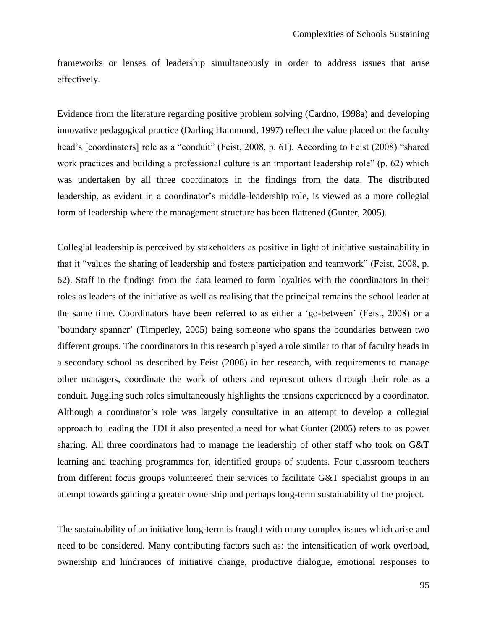frameworks or lenses of leadership simultaneously in order to address issues that arise effectively.

Evidence from the literature regarding positive problem solving (Cardno, 1998a) and developing innovative pedagogical practice (Darling Hammond, 1997) reflect the value placed on the faculty head's [coordinators] role as a "conduit" (Feist, 2008, p. 61). According to Feist (2008) "shared work practices and building a professional culture is an important leadership role" (p. 62) which was undertaken by all three coordinators in the findings from the data. The distributed leadership, as evident in a coordinator's middle-leadership role, is viewed as a more collegial form of leadership where the management structure has been flattened (Gunter, 2005).

Collegial leadership is perceived by stakeholders as positive in light of initiative sustainability in that it "values the sharing of leadership and fosters participation and teamwork" (Feist, 2008, p. 62). Staff in the findings from the data learned to form loyalties with the coordinators in their roles as leaders of the initiative as well as realising that the principal remains the school leader at the same time. Coordinators have been referred to as either a "go-between" (Feist, 2008) or a "boundary spanner" (Timperley, 2005) being someone who spans the boundaries between two different groups. The coordinators in this research played a role similar to that of faculty heads in a secondary school as described by Feist (2008) in her research, with requirements to manage other managers, coordinate the work of others and represent others through their role as a conduit. Juggling such roles simultaneously highlights the tensions experienced by a coordinator. Although a coordinator"s role was largely consultative in an attempt to develop a collegial approach to leading the TDI it also presented a need for what Gunter (2005) refers to as power sharing. All three coordinators had to manage the leadership of other staff who took on G&T learning and teaching programmes for, identified groups of students. Four classroom teachers from different focus groups volunteered their services to facilitate G&T specialist groups in an attempt towards gaining a greater ownership and perhaps long-term sustainability of the project.

The sustainability of an initiative long-term is fraught with many complex issues which arise and need to be considered. Many contributing factors such as: the intensification of work overload, ownership and hindrances of initiative change, productive dialogue, emotional responses to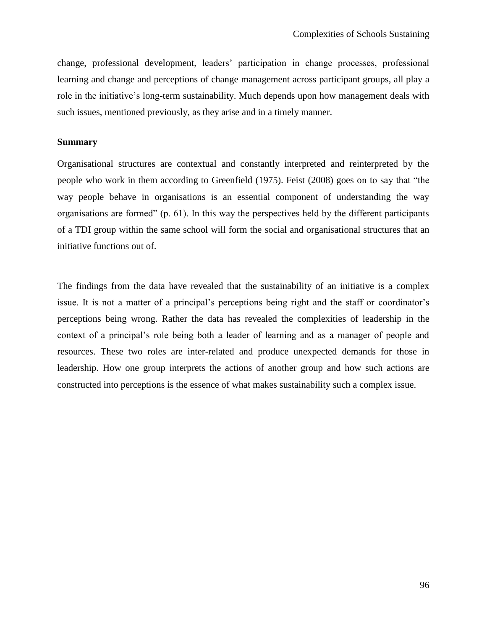change, professional development, leaders" participation in change processes, professional learning and change and perceptions of change management across participant groups, all play a role in the initiative's long-term sustainability. Much depends upon how management deals with such issues, mentioned previously, as they arise and in a timely manner.

## **Summary**

Organisational structures are contextual and constantly interpreted and reinterpreted by the people who work in them according to Greenfield (1975). Feist (2008) goes on to say that "the way people behave in organisations is an essential component of understanding the way organisations are formed" (p. 61). In this way the perspectives held by the different participants of a TDI group within the same school will form the social and organisational structures that an initiative functions out of.

The findings from the data have revealed that the sustainability of an initiative is a complex issue. It is not a matter of a principal's perceptions being right and the staff or coordinator's perceptions being wrong. Rather the data has revealed the complexities of leadership in the context of a principal"s role being both a leader of learning and as a manager of people and resources. These two roles are inter-related and produce unexpected demands for those in leadership. How one group interprets the actions of another group and how such actions are constructed into perceptions is the essence of what makes sustainability such a complex issue.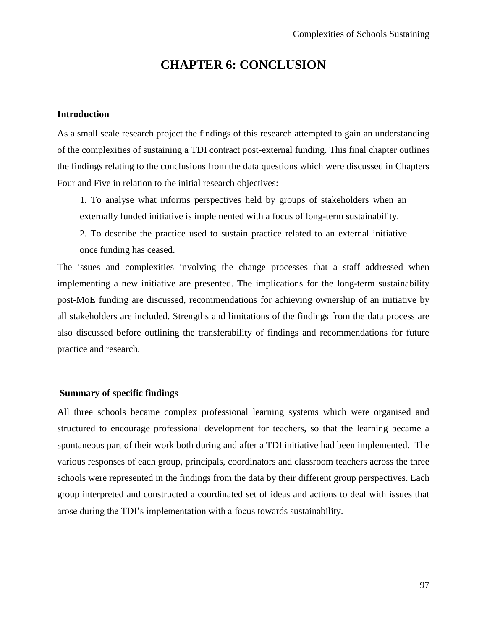# **CHAPTER 6: CONCLUSION**

# **Introduction**

As a small scale research project the findings of this research attempted to gain an understanding of the complexities of sustaining a TDI contract post-external funding. This final chapter outlines the findings relating to the conclusions from the data questions which were discussed in Chapters Four and Five in relation to the initial research objectives:

1. To analyse what informs perspectives held by groups of stakeholders when an externally funded initiative is implemented with a focus of long-term sustainability.

2. To describe the practice used to sustain practice related to an external initiative once funding has ceased.

The issues and complexities involving the change processes that a staff addressed when implementing a new initiative are presented. The implications for the long-term sustainability post-MoE funding are discussed, recommendations for achieving ownership of an initiative by all stakeholders are included. Strengths and limitations of the findings from the data process are also discussed before outlining the transferability of findings and recommendations for future practice and research.

## **Summary of specific findings**

All three schools became complex professional learning systems which were organised and structured to encourage professional development for teachers, so that the learning became a spontaneous part of their work both during and after a TDI initiative had been implemented. The various responses of each group, principals, coordinators and classroom teachers across the three schools were represented in the findings from the data by their different group perspectives. Each group interpreted and constructed a coordinated set of ideas and actions to deal with issues that arose during the TDI"s implementation with a focus towards sustainability.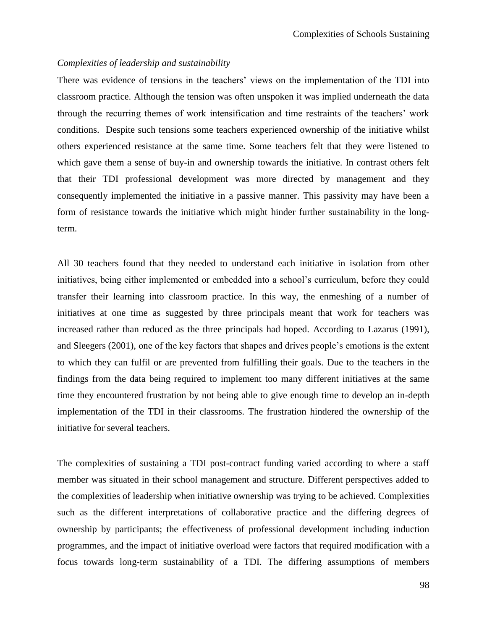## *Complexities of leadership and sustainability*

There was evidence of tensions in the teachers' views on the implementation of the TDI into classroom practice. Although the tension was often unspoken it was implied underneath the data through the recurring themes of work intensification and time restraints of the teachers" work conditions. Despite such tensions some teachers experienced ownership of the initiative whilst others experienced resistance at the same time. Some teachers felt that they were listened to which gave them a sense of buy-in and ownership towards the initiative. In contrast others felt that their TDI professional development was more directed by management and they consequently implemented the initiative in a passive manner. This passivity may have been a form of resistance towards the initiative which might hinder further sustainability in the longterm.

All 30 teachers found that they needed to understand each initiative in isolation from other initiatives, being either implemented or embedded into a school's curriculum, before they could transfer their learning into classroom practice. In this way, the enmeshing of a number of initiatives at one time as suggested by three principals meant that work for teachers was increased rather than reduced as the three principals had hoped. According to Lazarus (1991), and Sleegers (2001), one of the key factors that shapes and drives people"s emotions is the extent to which they can fulfil or are prevented from fulfilling their goals. Due to the teachers in the findings from the data being required to implement too many different initiatives at the same time they encountered frustration by not being able to give enough time to develop an in-depth implementation of the TDI in their classrooms. The frustration hindered the ownership of the initiative for several teachers.

The complexities of sustaining a TDI post-contract funding varied according to where a staff member was situated in their school management and structure. Different perspectives added to the complexities of leadership when initiative ownership was trying to be achieved. Complexities such as the different interpretations of collaborative practice and the differing degrees of ownership by participants; the effectiveness of professional development including induction programmes, and the impact of initiative overload were factors that required modification with a focus towards long-term sustainability of a TDI. The differing assumptions of members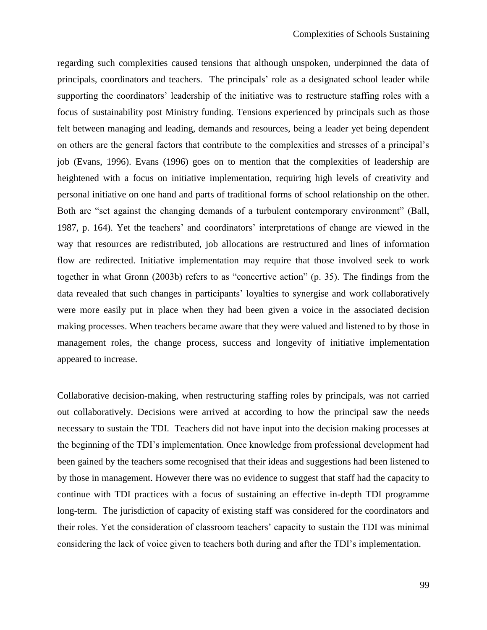regarding such complexities caused tensions that although unspoken, underpinned the data of principals, coordinators and teachers.The principals" role as a designated school leader while supporting the coordinators' leadership of the initiative was to restructure staffing roles with a focus of sustainability post Ministry funding. Tensions experienced by principals such as those felt between managing and leading, demands and resources, being a leader yet being dependent on others are the general factors that contribute to the complexities and stresses of a principal"s job (Evans, 1996). Evans (1996) goes on to mention that the complexities of leadership are heightened with a focus on initiative implementation, requiring high levels of creativity and personal initiative on one hand and parts of traditional forms of school relationship on the other. Both are "set against the changing demands of a turbulent contemporary environment" (Ball, 1987, p. 164). Yet the teachers" and coordinators" interpretations of change are viewed in the way that resources are redistributed, job allocations are restructured and lines of information flow are redirected. Initiative implementation may require that those involved seek to work together in what Gronn (2003b) refers to as "concertive action" (p. 35). The findings from the data revealed that such changes in participants' loyalties to synergise and work collaboratively were more easily put in place when they had been given a voice in the associated decision making processes. When teachers became aware that they were valued and listened to by those in management roles, the change process, success and longevity of initiative implementation appeared to increase.

Collaborative decision-making, when restructuring staffing roles by principals, was not carried out collaboratively. Decisions were arrived at according to how the principal saw the needs necessary to sustain the TDI. Teachers did not have input into the decision making processes at the beginning of the TDI"s implementation. Once knowledge from professional development had been gained by the teachers some recognised that their ideas and suggestions had been listened to by those in management. However there was no evidence to suggest that staff had the capacity to continue with TDI practices with a focus of sustaining an effective in-depth TDI programme long-term. The jurisdiction of capacity of existing staff was considered for the coordinators and their roles. Yet the consideration of classroom teachers" capacity to sustain the TDI was minimal considering the lack of voice given to teachers both during and after the TDI"s implementation.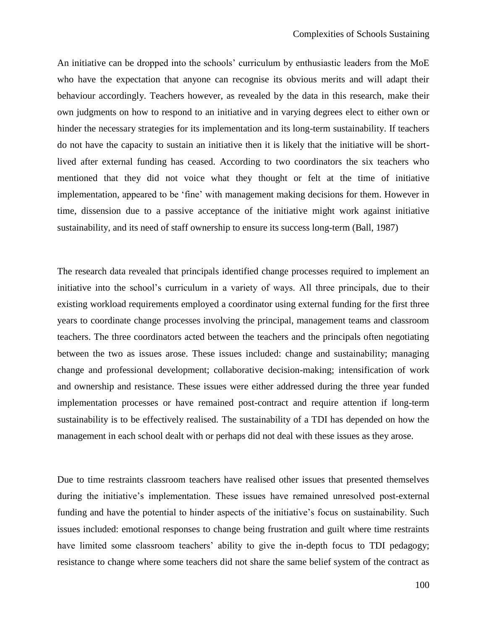An initiative can be dropped into the schools" curriculum by enthusiastic leaders from the MoE who have the expectation that anyone can recognise its obvious merits and will adapt their behaviour accordingly. Teachers however, as revealed by the data in this research, make their own judgments on how to respond to an initiative and in varying degrees elect to either own or hinder the necessary strategies for its implementation and its long-term sustainability. If teachers do not have the capacity to sustain an initiative then it is likely that the initiative will be shortlived after external funding has ceased. According to two coordinators the six teachers who mentioned that they did not voice what they thought or felt at the time of initiative implementation, appeared to be 'fine' with management making decisions for them. However in time, dissension due to a passive acceptance of the initiative might work against initiative sustainability, and its need of staff ownership to ensure its success long-term (Ball, 1987)

The research data revealed that principals identified change processes required to implement an initiative into the school"s curriculum in a variety of ways. All three principals, due to their existing workload requirements employed a coordinator using external funding for the first three years to coordinate change processes involving the principal, management teams and classroom teachers. The three coordinators acted between the teachers and the principals often negotiating between the two as issues arose. These issues included: change and sustainability; managing change and professional development; collaborative decision-making; intensification of work and ownership and resistance. These issues were either addressed during the three year funded implementation processes or have remained post-contract and require attention if long-term sustainability is to be effectively realised. The sustainability of a TDI has depended on how the management in each school dealt with or perhaps did not deal with these issues as they arose.

Due to time restraints classroom teachers have realised other issues that presented themselves during the initiative"s implementation. These issues have remained unresolved post-external funding and have the potential to hinder aspects of the initiative"s focus on sustainability. Such issues included: emotional responses to change being frustration and guilt where time restraints have limited some classroom teachers' ability to give the in-depth focus to TDI pedagogy; resistance to change where some teachers did not share the same belief system of the contract as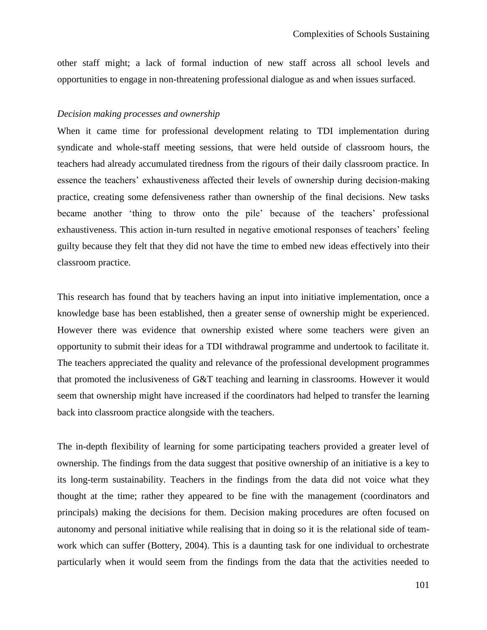other staff might; a lack of formal induction of new staff across all school levels and opportunities to engage in non-threatening professional dialogue as and when issues surfaced.

#### *Decision making processes and ownership*

When it came time for professional development relating to TDI implementation during syndicate and whole-staff meeting sessions, that were held outside of classroom hours, the teachers had already accumulated tiredness from the rigours of their daily classroom practice. In essence the teachers" exhaustiveness affected their levels of ownership during decision-making practice, creating some defensiveness rather than ownership of the final decisions. New tasks became another 'thing to throw onto the pile' because of the teachers' professional exhaustiveness. This action in-turn resulted in negative emotional responses of teachers' feeling guilty because they felt that they did not have the time to embed new ideas effectively into their classroom practice.

This research has found that by teachers having an input into initiative implementation, once a knowledge base has been established, then a greater sense of ownership might be experienced. However there was evidence that ownership existed where some teachers were given an opportunity to submit their ideas for a TDI withdrawal programme and undertook to facilitate it. The teachers appreciated the quality and relevance of the professional development programmes that promoted the inclusiveness of G&T teaching and learning in classrooms. However it would seem that ownership might have increased if the coordinators had helped to transfer the learning back into classroom practice alongside with the teachers.

The in-depth flexibility of learning for some participating teachers provided a greater level of ownership. The findings from the data suggest that positive ownership of an initiative is a key to its long-term sustainability. Teachers in the findings from the data did not voice what they thought at the time; rather they appeared to be fine with the management (coordinators and principals) making the decisions for them. Decision making procedures are often focused on autonomy and personal initiative while realising that in doing so it is the relational side of teamwork which can suffer (Bottery, 2004). This is a daunting task for one individual to orchestrate particularly when it would seem from the findings from the data that the activities needed to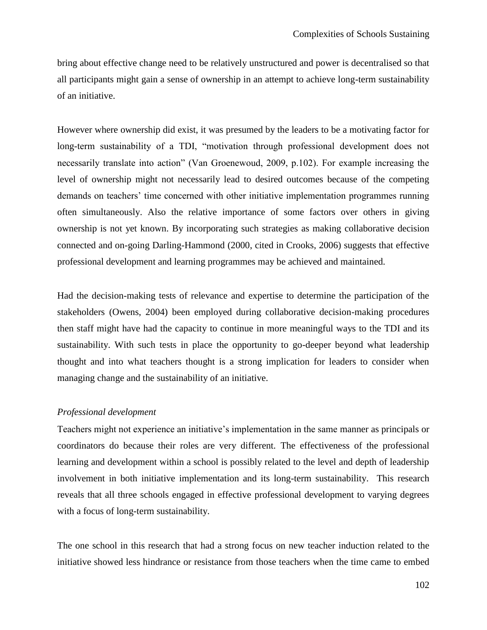bring about effective change need to be relatively unstructured and power is decentralised so that all participants might gain a sense of ownership in an attempt to achieve long-term sustainability of an initiative.

However where ownership did exist, it was presumed by the leaders to be a motivating factor for long-term sustainability of a TDI, "motivation through professional development does not necessarily translate into action" (Van Groenewoud, 2009, p.102). For example increasing the level of ownership might not necessarily lead to desired outcomes because of the competing demands on teachers' time concerned with other initiative implementation programmes running often simultaneously. Also the relative importance of some factors over others in giving ownership is not yet known. By incorporating such strategies as making collaborative decision connected and on-going Darling-Hammond (2000, cited in Crooks, 2006) suggests that effective professional development and learning programmes may be achieved and maintained.

Had the decision-making tests of relevance and expertise to determine the participation of the stakeholders (Owens, 2004) been employed during collaborative decision-making procedures then staff might have had the capacity to continue in more meaningful ways to the TDI and its sustainability. With such tests in place the opportunity to go-deeper beyond what leadership thought and into what teachers thought is a strong implication for leaders to consider when managing change and the sustainability of an initiative.

#### *Professional development*

Teachers might not experience an initiative"s implementation in the same manner as principals or coordinators do because their roles are very different. The effectiveness of the professional learning and development within a school is possibly related to the level and depth of leadership involvement in both initiative implementation and its long-term sustainability. This research reveals that all three schools engaged in effective professional development to varying degrees with a focus of long-term sustainability.

The one school in this research that had a strong focus on new teacher induction related to the initiative showed less hindrance or resistance from those teachers when the time came to embed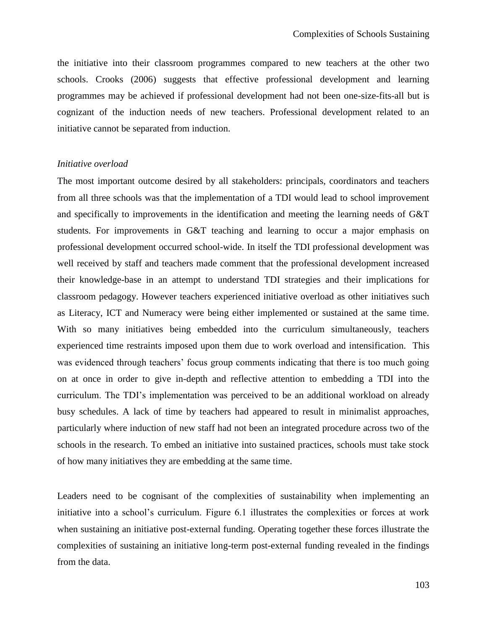the initiative into their classroom programmes compared to new teachers at the other two schools. Crooks (2006) suggests that effective professional development and learning programmes may be achieved if professional development had not been one-size-fits-all but is cognizant of the induction needs of new teachers. Professional development related to an initiative cannot be separated from induction.

#### *Initiative overload*

The most important outcome desired by all stakeholders: principals, coordinators and teachers from all three schools was that the implementation of a TDI would lead to school improvement and specifically to improvements in the identification and meeting the learning needs of G&T students. For improvements in G&T teaching and learning to occur a major emphasis on professional development occurred school-wide. In itself the TDI professional development was well received by staff and teachers made comment that the professional development increased their knowledge-base in an attempt to understand TDI strategies and their implications for classroom pedagogy. However teachers experienced initiative overload as other initiatives such as Literacy, ICT and Numeracy were being either implemented or sustained at the same time. With so many initiatives being embedded into the curriculum simultaneously, teachers experienced time restraints imposed upon them due to work overload and intensification. This was evidenced through teachers' focus group comments indicating that there is too much going on at once in order to give in-depth and reflective attention to embedding a TDI into the curriculum. The TDI"s implementation was perceived to be an additional workload on already busy schedules. A lack of time by teachers had appeared to result in minimalist approaches, particularly where induction of new staff had not been an integrated procedure across two of the schools in the research. To embed an initiative into sustained practices, schools must take stock of how many initiatives they are embedding at the same time.

Leaders need to be cognisant of the complexities of sustainability when implementing an initiative into a school"s curriculum. Figure 6.1 illustrates the complexities or forces at work when sustaining an initiative post-external funding. Operating together these forces illustrate the complexities of sustaining an initiative long-term post-external funding revealed in the findings from the data.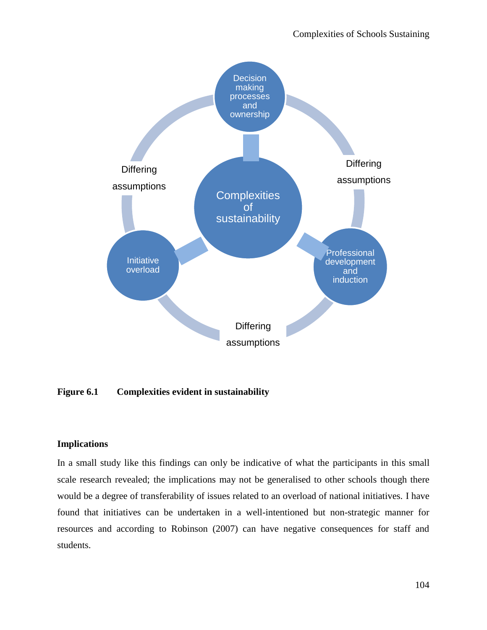

**Figure 6.1 Complexities evident in sustainability**

### **Implications**

In a small study like this findings can only be indicative of what the participants in this small scale research revealed; the implications may not be generalised to other schools though there would be a degree of transferability of issues related to an overload of national initiatives. I have found that initiatives can be undertaken in a well-intentioned but non-strategic manner for resources and according to Robinson (2007) can have negative consequences for staff and students.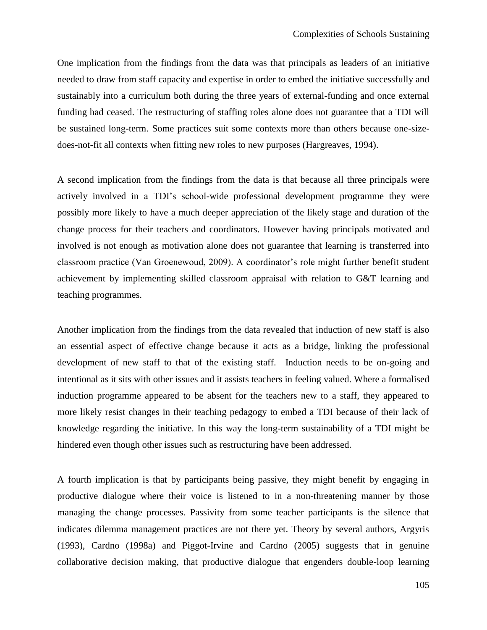One implication from the findings from the data was that principals as leaders of an initiative needed to draw from staff capacity and expertise in order to embed the initiative successfully and sustainably into a curriculum both during the three years of external-funding and once external funding had ceased. The restructuring of staffing roles alone does not guarantee that a TDI will be sustained long-term. Some practices suit some contexts more than others because one-sizedoes-not-fit all contexts when fitting new roles to new purposes (Hargreaves, 1994).

A second implication from the findings from the data is that because all three principals were actively involved in a TDI"s school-wide professional development programme they were possibly more likely to have a much deeper appreciation of the likely stage and duration of the change process for their teachers and coordinators. However having principals motivated and involved is not enough as motivation alone does not guarantee that learning is transferred into classroom practice (Van Groenewoud, 2009). A coordinator's role might further benefit student achievement by implementing skilled classroom appraisal with relation to G&T learning and teaching programmes.

Another implication from the findings from the data revealed that induction of new staff is also an essential aspect of effective change because it acts as a bridge, linking the professional development of new staff to that of the existing staff. Induction needs to be on-going and intentional as it sits with other issues and it assists teachers in feeling valued. Where a formalised induction programme appeared to be absent for the teachers new to a staff, they appeared to more likely resist changes in their teaching pedagogy to embed a TDI because of their lack of knowledge regarding the initiative. In this way the long-term sustainability of a TDI might be hindered even though other issues such as restructuring have been addressed.

A fourth implication is that by participants being passive, they might benefit by engaging in productive dialogue where their voice is listened to in a non-threatening manner by those managing the change processes. Passivity from some teacher participants is the silence that indicates dilemma management practices are not there yet. Theory by several authors, Argyris (1993), Cardno (1998a) and Piggot-Irvine and Cardno (2005) suggests that in genuine collaborative decision making, that productive dialogue that engenders double-loop learning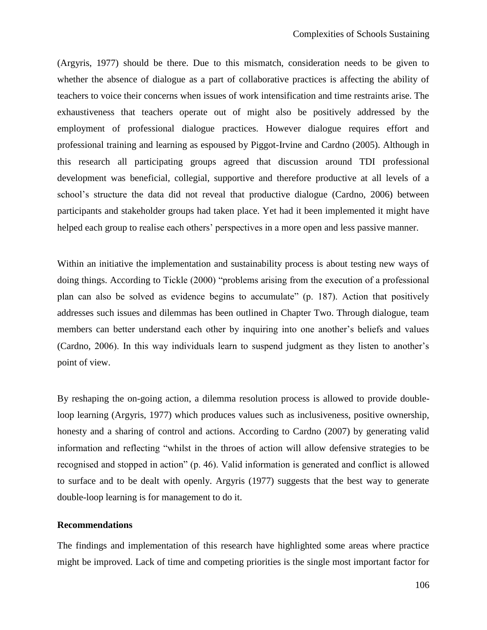(Argyris, 1977) should be there. Due to this mismatch, consideration needs to be given to whether the absence of dialogue as a part of collaborative practices is affecting the ability of teachers to voice their concerns when issues of work intensification and time restraints arise. The exhaustiveness that teachers operate out of might also be positively addressed by the employment of professional dialogue practices. However dialogue requires effort and professional training and learning as espoused by Piggot-Irvine and Cardno (2005). Although in this research all participating groups agreed that discussion around TDI professional development was beneficial, collegial, supportive and therefore productive at all levels of a school"s structure the data did not reveal that productive dialogue (Cardno, 2006) between participants and stakeholder groups had taken place. Yet had it been implemented it might have helped each group to realise each others' perspectives in a more open and less passive manner.

Within an initiative the implementation and sustainability process is about testing new ways of doing things. According to Tickle (2000) "problems arising from the execution of a professional plan can also be solved as evidence begins to accumulate" (p. 187). Action that positively addresses such issues and dilemmas has been outlined in Chapter Two. Through dialogue, team members can better understand each other by inquiring into one another"s beliefs and values (Cardno, 2006). In this way individuals learn to suspend judgment as they listen to another"s point of view.

By reshaping the on-going action, a dilemma resolution process is allowed to provide doubleloop learning (Argyris, 1977) which produces values such as inclusiveness, positive ownership, honesty and a sharing of control and actions. According to Cardno (2007) by generating valid information and reflecting "whilst in the throes of action will allow defensive strategies to be recognised and stopped in action" (p. 46). Valid information is generated and conflict is allowed to surface and to be dealt with openly. Argyris (1977) suggests that the best way to generate double-loop learning is for management to do it.

#### **Recommendations**

The findings and implementation of this research have highlighted some areas where practice might be improved. Lack of time and competing priorities is the single most important factor for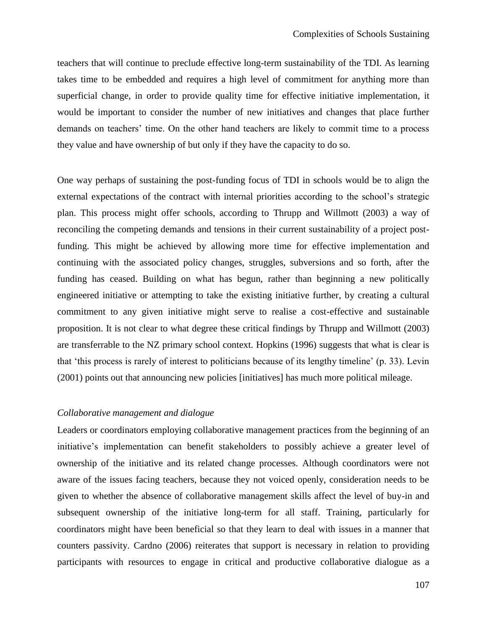teachers that will continue to preclude effective long-term sustainability of the TDI. As learning takes time to be embedded and requires a high level of commitment for anything more than superficial change, in order to provide quality time for effective initiative implementation, it would be important to consider the number of new initiatives and changes that place further demands on teachers' time. On the other hand teachers are likely to commit time to a process they value and have ownership of but only if they have the capacity to do so.

One way perhaps of sustaining the post-funding focus of TDI in schools would be to align the external expectations of the contract with internal priorities according to the school"s strategic plan. This process might offer schools, according to Thrupp and Willmott (2003) a way of reconciling the competing demands and tensions in their current sustainability of a project postfunding. This might be achieved by allowing more time for effective implementation and continuing with the associated policy changes, struggles, subversions and so forth, after the funding has ceased. Building on what has begun, rather than beginning a new politically engineered initiative or attempting to take the existing initiative further, by creating a cultural commitment to any given initiative might serve to realise a cost-effective and sustainable proposition. It is not clear to what degree these critical findings by Thrupp and Willmott (2003) are transferrable to the NZ primary school context. Hopkins (1996) suggests that what is clear is that "this process is rarely of interest to politicians because of its lengthy timeline" (p. 33). Levin (2001) points out that announcing new policies [initiatives] has much more political mileage.

#### *Collaborative management and dialogue*

Leaders or coordinators employing collaborative management practices from the beginning of an initiative's implementation can benefit stakeholders to possibly achieve a greater level of ownership of the initiative and its related change processes. Although coordinators were not aware of the issues facing teachers, because they not voiced openly, consideration needs to be given to whether the absence of collaborative management skills affect the level of buy-in and subsequent ownership of the initiative long-term for all staff. Training, particularly for coordinators might have been beneficial so that they learn to deal with issues in a manner that counters passivity. Cardno (2006) reiterates that support is necessary in relation to providing participants with resources to engage in critical and productive collaborative dialogue as a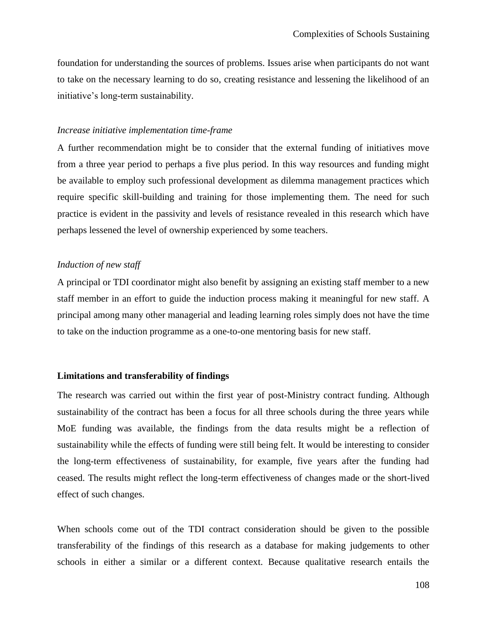foundation for understanding the sources of problems. Issues arise when participants do not want to take on the necessary learning to do so, creating resistance and lessening the likelihood of an initiative"s long-term sustainability.

#### *Increase initiative implementation time-frame*

A further recommendation might be to consider that the external funding of initiatives move from a three year period to perhaps a five plus period. In this way resources and funding might be available to employ such professional development as dilemma management practices which require specific skill-building and training for those implementing them. The need for such practice is evident in the passivity and levels of resistance revealed in this research which have perhaps lessened the level of ownership experienced by some teachers.

#### *Induction of new staff*

A principal or TDI coordinator might also benefit by assigning an existing staff member to a new staff member in an effort to guide the induction process making it meaningful for new staff. A principal among many other managerial and leading learning roles simply does not have the time to take on the induction programme as a one-to-one mentoring basis for new staff.

#### **Limitations and transferability of findings**

The research was carried out within the first year of post-Ministry contract funding. Although sustainability of the contract has been a focus for all three schools during the three years while MoE funding was available, the findings from the data results might be a reflection of sustainability while the effects of funding were still being felt. It would be interesting to consider the long-term effectiveness of sustainability, for example, five years after the funding had ceased. The results might reflect the long-term effectiveness of changes made or the short-lived effect of such changes.

When schools come out of the TDI contract consideration should be given to the possible transferability of the findings of this research as a database for making judgements to other schools in either a similar or a different context. Because qualitative research entails the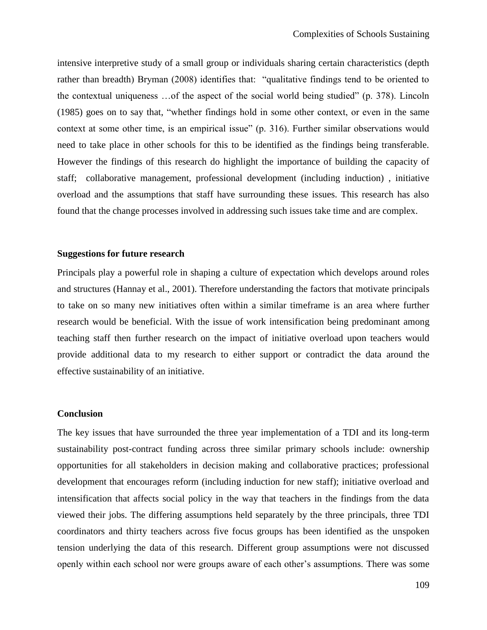intensive interpretive study of a small group or individuals sharing certain characteristics (depth rather than breadth) Bryman (2008) identifies that: "qualitative findings tend to be oriented to the contextual uniqueness …of the aspect of the social world being studied" (p. 378). Lincoln (1985) goes on to say that, "whether findings hold in some other context, or even in the same context at some other time, is an empirical issue" (p. 316). Further similar observations would need to take place in other schools for this to be identified as the findings being transferable. However the findings of this research do highlight the importance of building the capacity of staff; collaborative management, professional development (including induction) , initiative overload and the assumptions that staff have surrounding these issues. This research has also found that the change processes involved in addressing such issues take time and are complex.

#### **Suggestions for future research**

Principals play a powerful role in shaping a culture of expectation which develops around roles and structures (Hannay et al., 2001). Therefore understanding the factors that motivate principals to take on so many new initiatives often within a similar timeframe is an area where further research would be beneficial. With the issue of work intensification being predominant among teaching staff then further research on the impact of initiative overload upon teachers would provide additional data to my research to either support or contradict the data around the effective sustainability of an initiative.

#### **Conclusion**

The key issues that have surrounded the three year implementation of a TDI and its long-term sustainability post-contract funding across three similar primary schools include: ownership opportunities for all stakeholders in decision making and collaborative practices; professional development that encourages reform (including induction for new staff); initiative overload and intensification that affects social policy in the way that teachers in the findings from the data viewed their jobs. The differing assumptions held separately by the three principals, three TDI coordinators and thirty teachers across five focus groups has been identified as the unspoken tension underlying the data of this research. Different group assumptions were not discussed openly within each school nor were groups aware of each other"s assumptions. There was some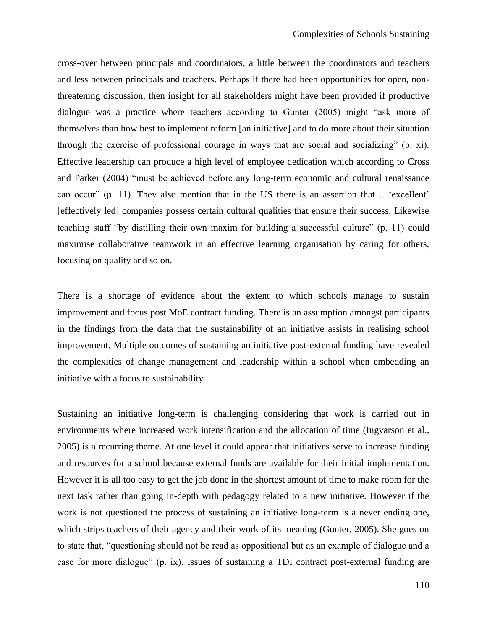cross-over between principals and coordinators, a little between the coordinators and teachers and less between principals and teachers. Perhaps if there had been opportunities for open, nonthreatening discussion, then insight for all stakeholders might have been provided if productive dialogue was a practice where teachers according to Gunter (2005) might "ask more of themselves than how best to implement reform [an initiative] and to do more about their situation through the exercise of professional courage in ways that are social and socializing" (p. xi). Effective leadership can produce a high level of employee dedication which according to Cross and Parker (2004) "must be achieved before any long-term economic and cultural renaissance can occur" (p. 11). They also mention that in the US there is an assertion that ... 'excellent' [effectively led] companies possess certain cultural qualities that ensure their success. Likewise teaching staff "by distilling their own maxim for building a successful culture" (p. 11) could maximise collaborative teamwork in an effective learning organisation by caring for others, focusing on quality and so on.

There is a shortage of evidence about the extent to which schools manage to sustain improvement and focus post MoE contract funding. There is an assumption amongst participants in the findings from the data that the sustainability of an initiative assists in realising school improvement. Multiple outcomes of sustaining an initiative post-external funding have revealed the complexities of change management and leadership within a school when embedding an initiative with a focus to sustainability.

Sustaining an initiative long-term is challenging considering that work is carried out in environments where increased work intensification and the allocation of time (Ingvarson et al., 2005) is a recurring theme. At one level it could appear that initiatives serve to increase funding and resources for a school because external funds are available for their initial implementation. However it is all too easy to get the job done in the shortest amount of time to make room for the next task rather than going in-depth with pedagogy related to a new initiative. However if the work is not questioned the process of sustaining an initiative long-term is a never ending one, which strips teachers of their agency and their work of its meaning (Gunter, 2005). She goes on to state that, "questioning should not be read as oppositional but as an example of dialogue and a case for more dialogue" (p. ix). Issues of sustaining a TDI contract post-external funding are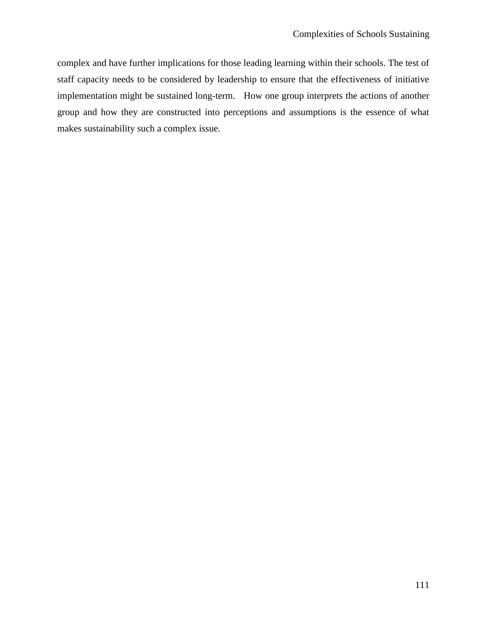complex and have further implications for those leading learning within their schools. The test of staff capacity needs to be considered by leadership to ensure that the effectiveness of initiative implementation might be sustained long-term. How one group interprets the actions of another group and how they are constructed into perceptions and assumptions is the essence of what makes sustainability such a complex issue.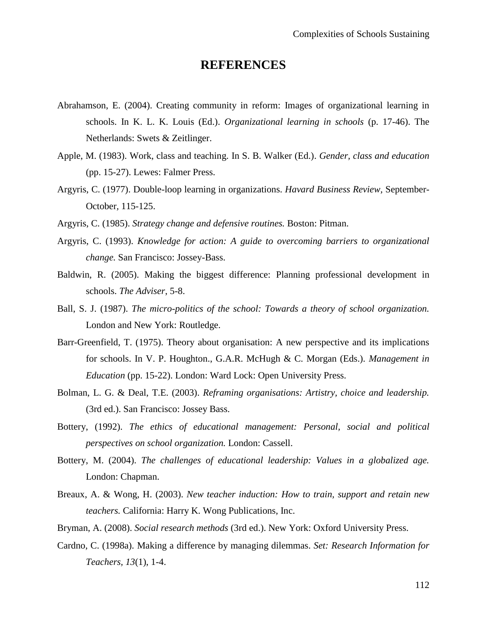## **REFERENCES**

- Abrahamson, E. (2004). Creating community in reform: Images of organizational learning in schools. In K. L. K. Louis (Ed.). *Organizational learning in schools* (p. 17-46). The Netherlands: Swets & Zeitlinger.
- Apple, M. (1983). Work, class and teaching. In S. B. Walker (Ed.). *Gender, class and education* (pp. 15-27). Lewes: Falmer Press.
- Argyris, C. (1977). Double-loop learning in organizations. *Havard Business Review,* September-October*,* 115-125.
- Argyris, C. (1985). *Strategy change and defensive routines.* Boston: Pitman.
- Argyris, C. (1993). *Knowledge for action: A guide to overcoming barriers to organizational change.* San Francisco: Jossey-Bass.
- Baldwin, R. (2005). Making the biggest difference: Planning professional development in schools. *The Adviser*, 5-8.
- Ball, S. J. (1987). *The micro-politics of the school: Towards a theory of school organization.* London and New York: Routledge.
- Barr-Greenfield, T. (1975). Theory about organisation: A new perspective and its implications for schools. In V. P. Houghton., G.A.R. McHugh & C. Morgan (Eds.). *Management in Education* (pp. 15-22). London: Ward Lock: Open University Press.
- Bolman, L. G. & Deal, T.E. (2003). *Reframing organisations: Artistry, choice and leadership.* (3rd ed.). San Francisco: Jossey Bass.
- Bottery, (1992). *The ethics of educational management: Personal, social and political perspectives on school organization.* London: Cassell.
- Bottery, M. (2004). *The challenges of educational leadership: Values in a globalized age.* London: Chapman.
- Breaux, A. & Wong, H. (2003). *New teacher induction: How to train, support and retain new teachers.* California: Harry K. Wong Publications, Inc.
- Bryman, A. (2008). *Social research methods* (3rd ed.). New York: Oxford University Press.
- Cardno, C. (1998a). Making a difference by managing dilemmas. *Set: Research Information for Teachers, 13*(1), 1-4.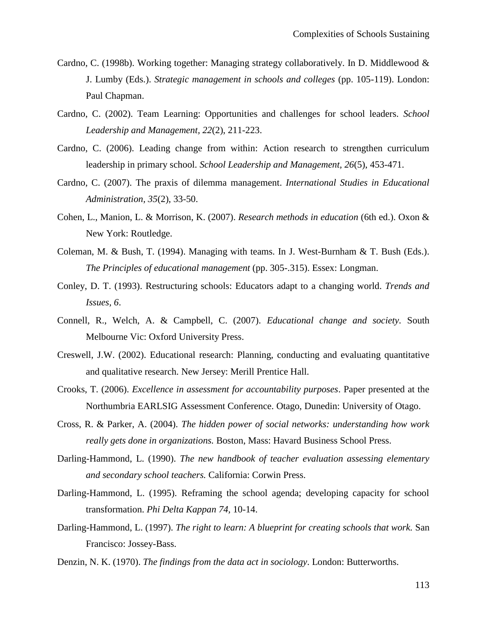- Cardno, C. (1998b). Working together: Managing strategy collaboratively. In D. Middlewood & J. Lumby (Eds.). *Strategic management in schools and colleges* (pp. 105-119). London: Paul Chapman.
- Cardno, C. (2002). Team Learning: Opportunities and challenges for school leaders. *School Leadership and Management, 22*(2), 211-223.
- Cardno, C. (2006). Leading change from within: Action research to strengthen curriculum leadership in primary school. *School Leadership and Management, 26*(5), 453-471.
- Cardno, C. (2007). The praxis of dilemma management. *International Studies in Educational Administration, 35*(2), 33-50.
- Cohen, L., Manion, L. & Morrison, K. (2007). *Research methods in education* (6th ed.). Oxon & New York: Routledge.
- Coleman, M. & Bush, T. (1994). Managing with teams. In J. West-Burnham & T. Bush (Eds.). *The Principles of educational management* (pp. 305-.315). Essex: Longman.
- Conley, D. T. (1993). Restructuring schools: Educators adapt to a changing world. *Trends and Issues, 6*.
- Connell, R., Welch, A. & Campbell, C. (2007). *Educational change and society.* South Melbourne Vic: Oxford University Press.
- Creswell, J.W. (2002). Educational research: Planning, conducting and evaluating quantitative and qualitative research. New Jersey: Merill Prentice Hall.
- Crooks, T. (2006). *Excellence in assessment for accountability purposes*. Paper presented at the Northumbria EARLSIG Assessment Conference. Otago, Dunedin: University of Otago.
- Cross, R. & Parker, A. (2004). *The hidden power of social networks: understanding how work really gets done in organizations.* Boston, Mass: Havard Business School Press.
- Darling-Hammond, L. (1990). *The new handbook of teacher evaluation assessing elementary and secondary school teachers.* California: Corwin Press.
- Darling-Hammond, L. (1995). Reframing the school agenda; developing capacity for school transformation. *Phi Delta Kappan 74,* 10-14.
- Darling-Hammond, L. (1997). *The right to learn: A blueprint for creating schools that work.* San Francisco: Jossey-Bass.
- Denzin, N. K. (1970). *The findings from the data act in sociology*. London: Butterworths.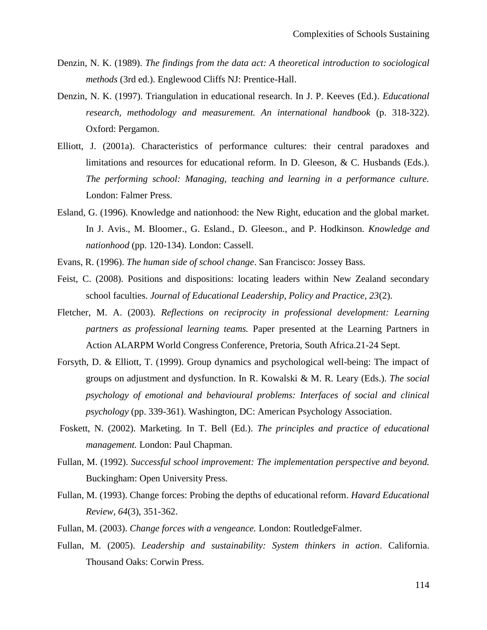- Denzin, N. K. (1989). *The findings from the data act: A theoretical introduction to sociological methods* (3rd ed.). Englewood Cliffs NJ: Prentice-Hall.
- Denzin, N. K. (1997). Triangulation in educational research. In J. P. Keeves (Ed.). *Educational research, methodology and measurement. An international handbook* (p. 318-322). Oxford: Pergamon.
- Elliott, J. (2001a). Characteristics of performance cultures: their central paradoxes and limitations and resources for educational reform. In D. Gleeson, & C. Husbands (Eds.). *The performing school: Managing, teaching and learning in a performance culture.* London: Falmer Press.
- Esland, G. (1996). Knowledge and nationhood: the New Right, education and the global market. In J. Avis., M. Bloomer., G. Esland., D. Gleeson., and P. Hodkinson. *Knowledge and nationhood* (pp. 120-134). London: Cassell.
- Evans, R. (1996). *The human side of school change*. San Francisco: Jossey Bass.
- Feist, C. (2008). Positions and dispositions: locating leaders within New Zealand secondary school faculties. *Journal of Educational Leadership, Policy and Practice, 23*(2).
- Fletcher, M. A. (2003). *Reflections on reciprocity in professional development: Learning partners as professional learning teams.* Paper presented at the Learning Partners in Action ALARPM World Congress Conference, Pretoria, South Africa.21-24 Sept.
- Forsyth, D. & Elliott, T. (1999). Group dynamics and psychological well-being: The impact of groups on adjustment and dysfunction. In R. Kowalski & M. R. Leary (Eds.). *The social psychology of emotional and behavioural problems: Interfaces of social and clinical psychology* (pp. 339-361). Washington, DC: American Psychology Association.
- Foskett, N. (2002). Marketing. In T. Bell (Ed.). *The principles and practice of educational management.* London: Paul Chapman.
- Fullan, M. (1992). *Successful school improvement: The implementation perspective and beyond.* Buckingham: Open University Press.
- Fullan, M. (1993). Change forces: Probing the depths of educational reform. *Havard Educational Review, 64*(3), 351-362.
- Fullan, M. (2003). *Change forces with a vengeance.* London: RoutledgeFalmer.
- Fullan, M. (2005). *Leadership and sustainability: System thinkers in action*. California. Thousand Oaks: Corwin Press.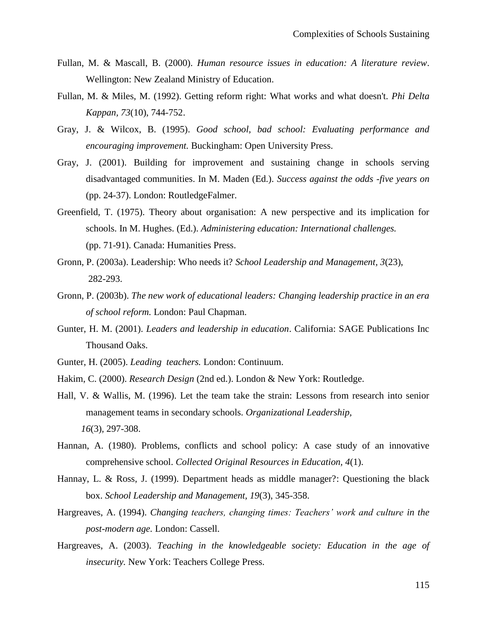- Fullan, M. & Mascall, B. (2000). *Human resource issues in education: A literature review*. Wellington: New Zealand Ministry of Education.
- Fullan, M. & Miles, M. (1992). Getting reform right: What works and what doesn't. *Phi Delta Kappan, 73*(10), 744-752.
- Gray, J. & Wilcox, B. (1995). *Good school, bad school: Evaluating performance and encouraging improvement.* Buckingham: Open University Press.
- Gray, J. (2001). Building for improvement and sustaining change in schools serving disadvantaged communities. In M. Maden (Ed.). *Success against the odds -five years on* (pp. 24-37). London: RoutledgeFalmer.
- Greenfield, T. (1975). Theory about organisation: A new perspective and its implication for schools. In M. Hughes. (Ed.). *Administering education: International challenges.* (pp. 71-91). Canada: Humanities Press.
- Gronn, P. (2003a). Leadership: Who needs it? *School Leadership and Management, 3*(23), 282-293.
- Gronn, P. (2003b). *The new work of educational leaders: Changing leadership practice in an era of school reform.* London: Paul Chapman.
- Gunter, H. M. (2001). *Leaders and leadership in education*. California: SAGE Publications Inc Thousand Oaks.
- Gunter, H. (2005). *Leading teachers.* London: Continuum.
- Hakim, C. (2000). *Research Design* (2nd ed.). London & New York: Routledge.
- Hall, V. & Wallis, M. (1996). Let the team take the strain: Lessons from research into senior management teams in secondary schools. *Organizational Leadership, 16*(3), 297-308.
- Hannan, A. (1980). Problems, conflicts and school policy: A case study of an innovative comprehensive school. *Collected Original Resources in Education, 4*(1).
- Hannay, L. & Ross, J. (1999). Department heads as middle manager?: Questioning the black box. *School Leadership and Management, 19*(3), 345-358.
- Hargreaves, A. (1994). *Changing teachers, changing times: Teachers" work and culture in the post-modern age.* London: Cassell.
- Hargreaves, A. (2003). *Teaching in the knowledgeable society: Education in the age of insecurity.* New York: Teachers College Press.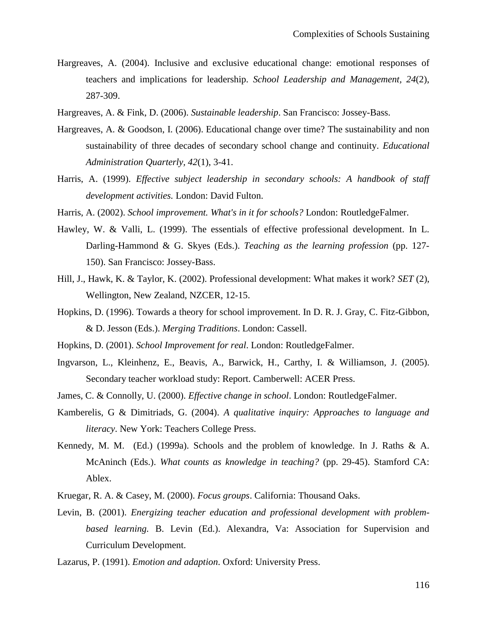- Hargreaves, A. (2004). Inclusive and exclusive educational change: emotional responses of teachers and implications for leadership. *School Leadership and Management, 24*(2), 287-309.
- Hargreaves, A. & Fink, D. (2006). *Sustainable leadership*. San Francisco: Jossey-Bass.
- Hargreaves, A. & Goodson, I. (2006). Educational change over time? The sustainability and non sustainability of three decades of secondary school change and continuity. *Educational Administration Quarterly, 42*(1), 3-41.
- Harris, A. (1999). *Effective subject leadership in secondary schools: A handbook of staff development activities.* London: David Fulton.
- Harris, A. (2002). *School improvement. What's in it for schools?* London: RoutledgeFalmer.
- Hawley, W. & Valli, L. (1999). The essentials of effective professional development. In L. Darling-Hammond & G. Skyes (Eds.). *Teaching as the learning profession* (pp. 127- 150). San Francisco: Jossey-Bass.
- Hill, J., Hawk, K. & Taylor, K. (2002). Professional development: What makes it work? *SET* (2), Wellington, New Zealand, NZCER, 12-15.
- Hopkins, D. (1996). Towards a theory for school improvement. In D. R. J. Gray, C. Fitz-Gibbon, & D. Jesson (Eds.). *Merging Traditions*. London: Cassell.
- Hopkins, D. (2001). *School Improvement for real*. London: RoutledgeFalmer.
- Ingvarson, L., Kleinhenz, E., Beavis, A., Barwick, H., Carthy, I. & Williamson, J. (2005). Secondary teacher workload study: Report. Camberwell: ACER Press.
- James, C. & Connolly, U. (2000). *Effective change in school*. London: RoutledgeFalmer.
- Kamberelis, G & Dimitriads, G. (2004). *A qualitative inquiry: Approaches to language and literacy*. New York: Teachers College Press.
- Kennedy, M. M. (Ed.) (1999a). Schools and the problem of knowledge. In J. Raths & A. McAninch (Eds.). *What counts as knowledge in teaching?* (pp. 29-45). Stamford CA: Ablex.
- Kruegar, R. A. & Casey, M. (2000). *Focus groups*. California: Thousand Oaks.
- Levin, B. (2001). *Energizing teacher education and professional development with problembased learning.* B. Levin (Ed.). Alexandra, Va: Association for Supervision and Curriculum Development.
- Lazarus, P. (1991). *Emotion and adaption*. Oxford: University Press.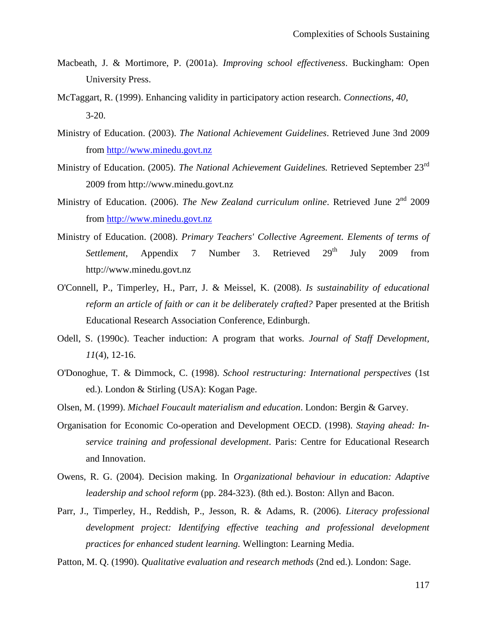- Macbeath, J. & Mortimore, P. (2001a). *Improving school effectiveness*. Buckingham: Open University Press.
- McTaggart, R. (1999). Enhancing validity in participatory action research. *Connections, 40*, 3-20.
- Ministry of Education. (2003). *The National Achievement Guidelines*. Retrieved June 3nd 2009 from [http://www.minedu.govt.nz](http://www.minedu.govt.nz/)
- Ministry of Education. (2005). *The National Achievement Guidelines.* Retrieved September 23rd 2009 from http://www.minedu.govt.nz
- Ministry of Education. (2006). *The New Zealand curriculum online*. Retrieved June 2<sup>nd</sup> 2009 from [http://www.minedu.govt.nz](http://www.minedu.govt.nz/)
- Ministry of Education. (2008). *Primary Teachers' Collective Agreement. Elements of terms of*  Settlement, Appendix 7 Number 3. Retrieved 29<sup>th</sup> July 2009 from http://www.minedu.govt.nz
- O'Connell, P., Timperley, H., Parr, J. & Meissel, K. (2008). *Is sustainability of educational reform an article of faith or can it be deliberately crafted?* Paper presented at the British Educational Research Association Conference, Edinburgh.
- Odell, S. (1990c). Teacher induction: A program that works. *Journal of Staff Development, 11*(4), 12-16.
- O'Donoghue, T. & Dimmock, C. (1998). *School restructuring: International perspectives* (1st ed.). London & Stirling (USA): Kogan Page.
- Olsen, M. (1999). *Michael Foucault materialism and education*. London: Bergin & Garvey.
- Organisation for Economic Co-operation and Development OECD. (1998). *Staying ahead: Inservice training and professional development*. Paris: Centre for Educational Research and Innovation.
- Owens, R. G. (2004). Decision making. In *Organizational behaviour in education: Adaptive leadership and school reform* (pp. 284-323). (8th ed.). Boston: Allyn and Bacon.
- Parr, J., Timperley, H., Reddish, P., Jesson, R. & Adams, R. (2006). *Literacy professional development project: Identifying effective teaching and professional development practices for enhanced student learning.* Wellington: Learning Media.
- Patton, M. Q. (1990). *Qualitative evaluation and research methods* (2nd ed.). London: Sage.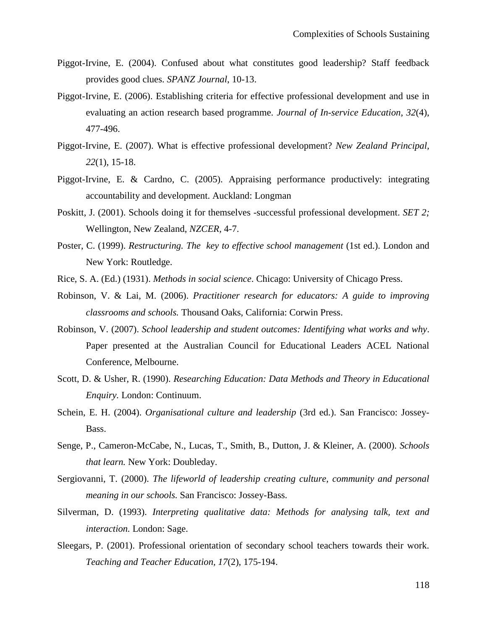- Piggot-Irvine, E. (2004). Confused about what constitutes good leadership? Staff feedback provides good clues. *SPANZ Journal*, 10-13.
- Piggot-Irvine, E. (2006). Establishing criteria for effective professional development and use in evaluating an action research based programme. *Journal of In-service Education, 32*(4), 477-496.
- Piggot-Irvine, E. (2007). What is effective professional development? *New Zealand Principal, 22*(1), 15-18.
- Piggot-Irvine, E. & Cardno, C. (2005). Appraising performance productively: integrating accountability and development. Auckland: Longman
- Poskitt, J. (2001). Schools doing it for themselves -successful professional development. *SET 2;*  Wellington, New Zealand, *NZCER,* 4-7.
- Poster, C. (1999). *Restructuring. The key to effective school management* (1st ed.). London and New York: Routledge.
- Rice, S. A. (Ed.) (1931). *Methods in social science*. Chicago: University of Chicago Press.
- Robinson, V. & Lai, M. (2006). *Practitioner research for educators: A guide to improving classrooms and schools.* Thousand Oaks, California: Corwin Press.
- Robinson, V. (2007). *School leadership and student outcomes: Identifying what works and why*. Paper presented at the Australian Council for Educational Leaders ACEL National Conference, Melbourne.
- Scott, D. & Usher, R. (1990). *Researching Education: Data Methods and Theory in Educational Enquiry.* London: Continuum.
- Schein, E. H. (2004). *Organisational culture and leadership* (3rd ed.). San Francisco: Jossey-Bass.
- Senge, P., Cameron-McCabe, N., Lucas, T., Smith, B., Dutton, J. & Kleiner, A. (2000). *Schools that learn.* New York: Doubleday.
- Sergiovanni, T. (2000). *The lifeworld of leadership creating culture, community and personal meaning in our schools.* San Francisco: Jossey-Bass.
- Silverman, D. (1993). *Interpreting qualitative data: Methods for analysing talk, text and interaction.* London: Sage.
- Sleegars, P. (2001). Professional orientation of secondary school teachers towards their work. *Teaching and Teacher Education, 17*(2), 175-194.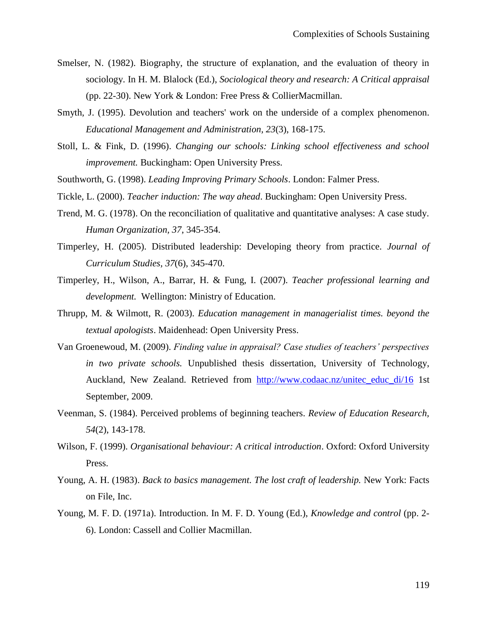- Smelser, N. (1982). Biography, the structure of explanation, and the evaluation of theory in sociology. In H. M. Blalock (Ed.), *Sociological theory and research: A Critical appraisal* (pp. 22-30). New York & London: Free Press & CollierMacmillan.
- Smyth, J. (1995). Devolution and teachers' work on the underside of a complex phenomenon. *Educational Management and Administration, 23*(3), 168-175.
- Stoll, L. & Fink, D. (1996). *Changing our schools: Linking school effectiveness and school improvement.* Buckingham: Open University Press.
- Southworth, G. (1998). *Leading Improving Primary Schools*. London: Falmer Press.
- Tickle, L. (2000). *Teacher induction: The way ahead*. Buckingham: Open University Press.
- Trend, M. G. (1978). On the reconciliation of qualitative and quantitative analyses: A case study. *Human Organization, 37*, 345-354.
- Timperley, H. (2005). Distributed leadership: Developing theory from practice. *Journal of Curriculum Studies, 37*(6), 345-470.
- Timperley, H., Wilson, A., Barrar, H. & Fung, I. (2007). *Teacher professional learning and development.* Wellington: Ministry of Education.
- Thrupp, M. & Wilmott, R. (2003). *Education management in managerialist times. beyond the textual apologists*. Maidenhead: Open University Press.
- Van Groenewoud, M. (2009). *Finding value in appraisal? Case studies of teachers" perspectives in two private schools.* Unpublished thesis dissertation, University of Technology, Auckland, New Zealand. Retrieved from [http://www.codaac.nz/unitec\\_educ\\_di/16](http://www.codaac.nz/unitec_educ_di/16) 1st September, 2009.
- Veenman, S. (1984). Perceived problems of beginning teachers. *Review of Education Research, 54*(2), 143-178.
- Wilson, F. (1999). *Organisational behaviour: A critical introduction*. Oxford: Oxford University Press.
- Young, A. H. (1983). *Back to basics management. The lost craft of leadership.* New York: Facts on File, Inc.
- Young, M. F. D. (1971a). Introduction. In M. F. D. Young (Ed.), *Knowledge and control* (pp. 2- 6). London: Cassell and Collier Macmillan.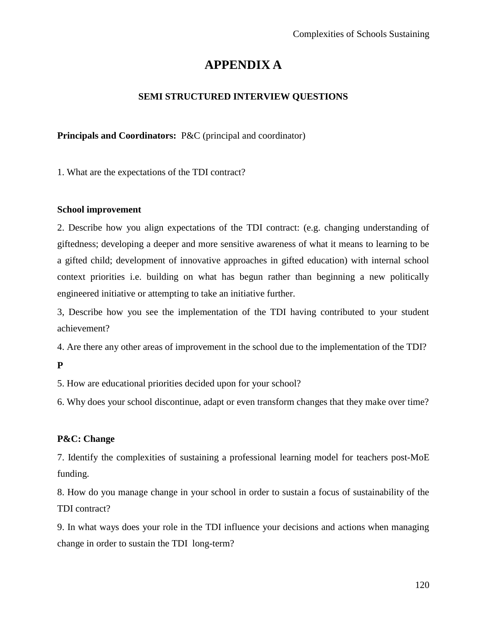# **APPENDIX A**

## **SEMI STRUCTURED INTERVIEW QUESTIONS**

## **Principals and Coordinators:** P&C (principal and coordinator)

1. What are the expectations of the TDI contract?

### **School improvement**

2. Describe how you align expectations of the TDI contract: (e.g. changing understanding of giftedness; developing a deeper and more sensitive awareness of what it means to learning to be a gifted child; development of innovative approaches in gifted education) with internal school context priorities i.e. building on what has begun rather than beginning a new politically engineered initiative or attempting to take an initiative further.

3, Describe how you see the implementation of the TDI having contributed to your student achievement?

4. Are there any other areas of improvement in the school due to the implementation of the TDI?

**P**

5. How are educational priorities decided upon for your school?

6. Why does your school discontinue, adapt or even transform changes that they make over time?

### **P&C: Change**

7. Identify the complexities of sustaining a professional learning model for teachers post-MoE funding.

8. How do you manage change in your school in order to sustain a focus of sustainability of the TDI contract?

9. In what ways does your role in the TDI influence your decisions and actions when managing change in order to sustain the TDI long-term?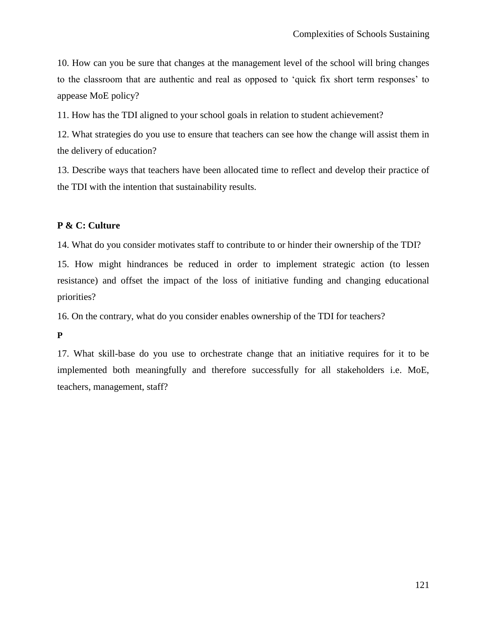10. How can you be sure that changes at the management level of the school will bring changes to the classroom that are authentic and real as opposed to "quick fix short term responses" to appease MoE policy?

11. How has the TDI aligned to your school goals in relation to student achievement?

12. What strategies do you use to ensure that teachers can see how the change will assist them in the delivery of education?

13. Describe ways that teachers have been allocated time to reflect and develop their practice of the TDI with the intention that sustainability results.

### **P & C: Culture**

14. What do you consider motivates staff to contribute to or hinder their ownership of the TDI?

15. How might hindrances be reduced in order to implement strategic action (to lessen resistance) and offset the impact of the loss of initiative funding and changing educational priorities?

16. On the contrary, what do you consider enables ownership of the TDI for teachers?

**P**

17. What skill-base do you use to orchestrate change that an initiative requires for it to be implemented both meaningfully and therefore successfully for all stakeholders i.e. MoE, teachers, management, staff?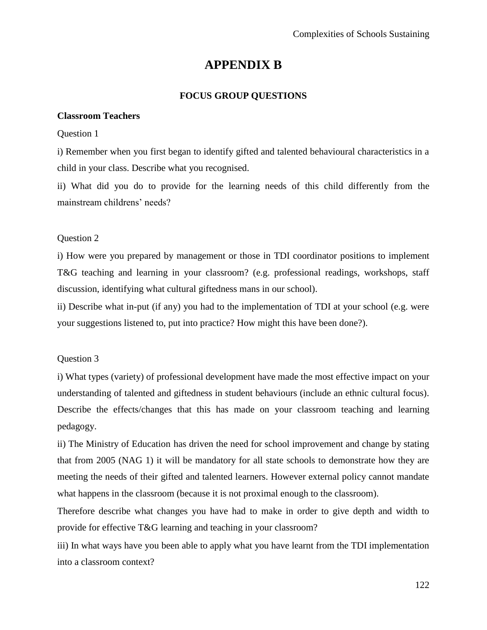## **APPENDIX B**

## **FOCUS GROUP QUESTIONS**

## **Classroom Teachers**

## Question 1

i) Remember when you first began to identify gifted and talented behavioural characteristics in a child in your class. Describe what you recognised.

ii) What did you do to provide for the learning needs of this child differently from the mainstream childrens' needs?

## Question 2

i) How were you prepared by management or those in TDI coordinator positions to implement T&G teaching and learning in your classroom? (e.g. professional readings, workshops, staff discussion, identifying what cultural giftedness mans in our school).

ii) Describe what in-put (if any) you had to the implementation of TDI at your school (e.g. were your suggestions listened to, put into practice? How might this have been done?).

## Question 3

i) What types (variety) of professional development have made the most effective impact on your understanding of talented and giftedness in student behaviours (include an ethnic cultural focus). Describe the effects/changes that this has made on your classroom teaching and learning pedagogy.

ii) The Ministry of Education has driven the need for school improvement and change by stating that from 2005 (NAG 1) it will be mandatory for all state schools to demonstrate how they are meeting the needs of their gifted and talented learners. However external policy cannot mandate what happens in the classroom (because it is not proximal enough to the classroom).

Therefore describe what changes you have had to make in order to give depth and width to provide for effective T&G learning and teaching in your classroom?

iii) In what ways have you been able to apply what you have learnt from the TDI implementation into a classroom context?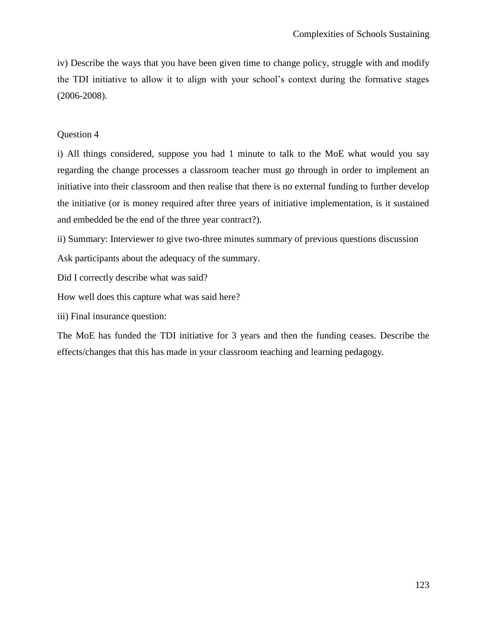iv) Describe the ways that you have been given time to change policy, struggle with and modify the TDI initiative to allow it to align with your school"s context during the formative stages (2006-2008).

#### Question 4

i) All things considered, suppose you had 1 minute to talk to the MoE what would you say regarding the change processes a classroom teacher must go through in order to implement an initiative into their classroom and then realise that there is no external funding to further develop the initiative (or is money required after three years of initiative implementation, is it sustained and embedded be the end of the three year contract?).

ii) Summary: Interviewer to give two-three minutes summary of previous questions discussion

Ask participants about the adequacy of the summary.

Did I correctly describe what was said?

How well does this capture what was said here?

iii) Final insurance question:

The MoE has funded the TDI initiative for 3 years and then the funding ceases. Describe the effects/changes that this has made in your classroom teaching and learning pedagogy.